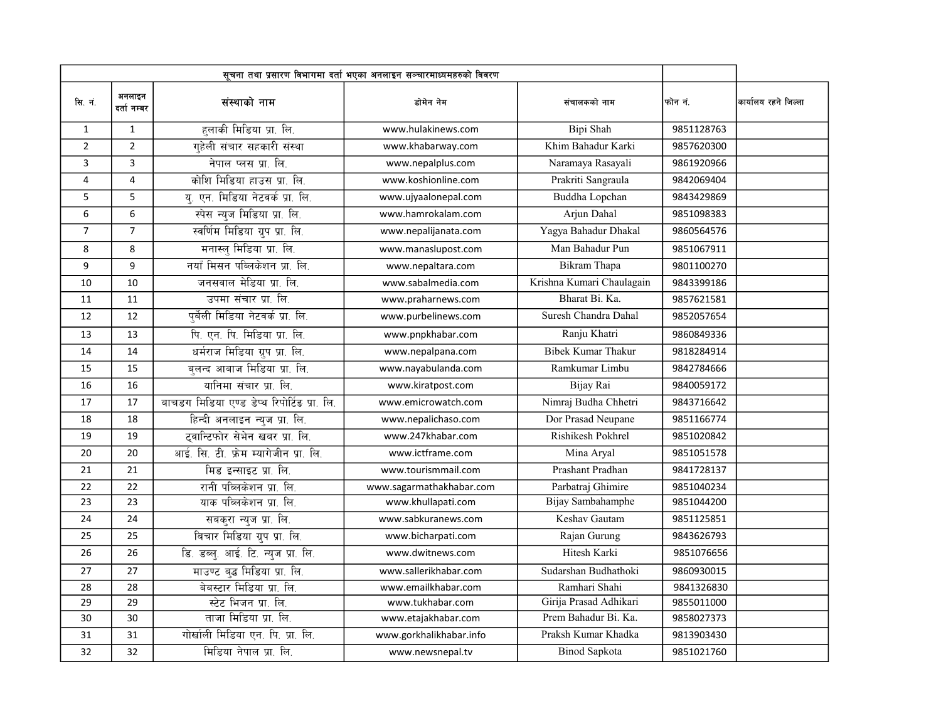|                | सूचना तथा प्रसारण विभागमा दर्ता भएका अनलाइन सञ्चारमाध्यमहरुको विवरण |                                             |                          |                           |            |                      |
|----------------|---------------------------------------------------------------------|---------------------------------------------|--------------------------|---------------------------|------------|----------------------|
| सि. नं.        | अनलाइन<br>दर्ता नम्बर                                               | संस्थाको नाम                                | डोमेन नेम                | संचालकको नाम              | फोन नं.    | कार्यालय रहने जिल्ला |
| $\mathbf{1}$   | $\mathbf{1}$                                                        | हलाकी मिडिया प्रा. लि.                      | www.hulakinews.com       | Bipi Shah                 | 9851128763 |                      |
| $\overline{2}$ | $\overline{2}$                                                      | गुहेली संचार सहकारी संस्था                  | www.khabarway.com        | Khim Bahadur Karki        | 9857620300 |                      |
| 3              | $\overline{3}$                                                      | नेपाल प्लस प्रा. लि.                        | www.nepalplus.com        | Naramaya Rasayali         | 9861920966 |                      |
| $\overline{4}$ | $\overline{\mathbf{4}}$                                             | कोशि मिडिया हाउस प्रा. लि.                  | www.koshionline.com      | Prakriti Sangraula        | 9842069404 |                      |
| 5              | 5                                                                   | य. एन. मिडिया नेटवर्क प्रा. लि.             | www.ujyaalonepal.com     | Buddha Lopchan            | 9843429869 |                      |
| 6              | 6                                                                   | स्पेस न्युज मिडिया प्रा. लि.                | www.hamrokalam.com       | Arjun Dahal               | 9851098383 |                      |
| $\overline{7}$ | $\overline{7}$                                                      | स्वर्णिम मिडिया ग्रुप प्रा. लि.             | www.nepalijanata.com     | Yagya Bahadur Dhakal      | 9860564576 |                      |
| 8              | 8                                                                   | मनास्ल् मिडिया प्रा. लि.                    | www.manaslupost.com      | Man Bahadur Pun           | 9851067911 |                      |
| 9              | 9                                                                   | नयाँ मिसन पब्लिकेशन प्रा. लि.               | www.nepaltara.com        | Bikram Thapa              | 9801100270 |                      |
| 10             | 10                                                                  | जनसवाल मेडिया प्रा. लि.                     | www.sabalmedia.com       | Krishna Kumari Chaulagain | 9843399186 |                      |
| 11             | 11                                                                  | उपमा संचार प्रा. लि.                        | www.praharnews.com       | Bharat Bi. Ka.            | 9857621581 |                      |
| 12             | 12                                                                  | पूर्वेली मिडिया नेटवर्क प्रा. लि.           | www.purbelinews.com      | Suresh Chandra Dahal      | 9852057654 |                      |
| 13             | 13                                                                  | पि. एन. पि. मिडिया प्रा. लि.                | www.pnpkhabar.com        | Ranju Khatri              | 9860849336 |                      |
| 14             | 14                                                                  | धर्मराज मिडिया ग्रुप प्रा. लि.              | www.nepalpana.com        | <b>Bibek Kumar Thakur</b> | 9818284914 |                      |
| 15             | 15                                                                  | बुलन्द आबाज मिडिया प्रा. लि.                | www.nayabulanda.com      | Ramkumar Limbu            | 9842784666 |                      |
| 16             | 16                                                                  | यानिमा संचार प्रा. लि.                      | www.kiratpost.com        | Bijay Rai                 | 9840059172 |                      |
| 17             | 17                                                                  | बाचडग मिडिया एण्ड डेप्थ रिपोर्टिड प्रा. लि. | www.emicrowatch.com      | Nimraj Budha Chhetri      | 9843716642 |                      |
| 18             | 18                                                                  | हिन्दी अनलाइन न्युज प्रा. लि.               | www.nepalichaso.com      | Dor Prasad Neupane        | 9851166774 |                      |
| 19             | 19                                                                  | टवान्टिफोर सेभेन खबर प्रा. लि.              | www.247khabar.com        | Rishikesh Pokhrel         | 9851020842 |                      |
| 20             | 20                                                                  | आई. सि. टी. फ्रेम म्यागेजीन प्रा. लि.       | www.ictframe.com         | Mina Aryal                | 9851051578 |                      |
| 21             | 21                                                                  | मिड इन्साइट प्रा. लि.                       | www.tourismmail.com      | Prashant Pradhan          | 9841728137 |                      |
| 22             | 22                                                                  | रानी पब्लिकेशन प्रा. लि.                    | www.sagarmathakhabar.com | Parbatraj Ghimire         | 9851040234 |                      |
| 23             | $\overline{23}$                                                     | याक पब्लिकेशन प्रा. लि.                     | www.khullapati.com       | Bijay Sambahamphe         | 9851044200 |                      |
| 24             | 24                                                                  | सबकुरा न्युज प्रा. लि.                      | www.sabkuranews.com      | Keshav Gautam             | 9851125851 |                      |
| 25             | 25                                                                  | बिचार मिडिया ग्रुप प्रा. लि.                | www.bicharpati.com       | Rajan Gurung              | 9843626793 |                      |
| 26             | 26                                                                  | डि. डब्ल्. आई. टि. न्युज प्रा. लि.          | www.dwitnews.com         | Hitesh Karki              | 9851076656 |                      |
| 27             | 27                                                                  | माउण्ट बुद्ध मिडिया प्रा. लि.               | www.sallerikhabar.com    | Sudarshan Budhathoki      | 9860930015 |                      |
| 28             | 28                                                                  | बेबस्टार मिडिया प्रा. लि.                   | www.emailkhabar.com      | Ramhari Shahi             | 9841326830 |                      |
| 29             | 29                                                                  | स्टेट भिजन प्रा. लि.                        | www.tukhabar.com         | Girija Prasad Adhikari    | 9855011000 |                      |
| 30             | 30                                                                  | ताजा मिडिया प्रा. लि.                       | www.etajakhabar.com      | Prem Bahadur Bi. Ka.      | 9858027373 |                      |
| 31             | 31                                                                  | गोर्खाली मिडिया एन. पि. प्रा. लि.           | www.gorkhalikhabar.info  | Praksh Kumar Khadka       | 9813903430 |                      |
| 32             | 32                                                                  | मिडिया नेपाल प्रा. लि.                      | www.newsnepal.tv         | <b>Binod Sapkota</b>      | 9851021760 |                      |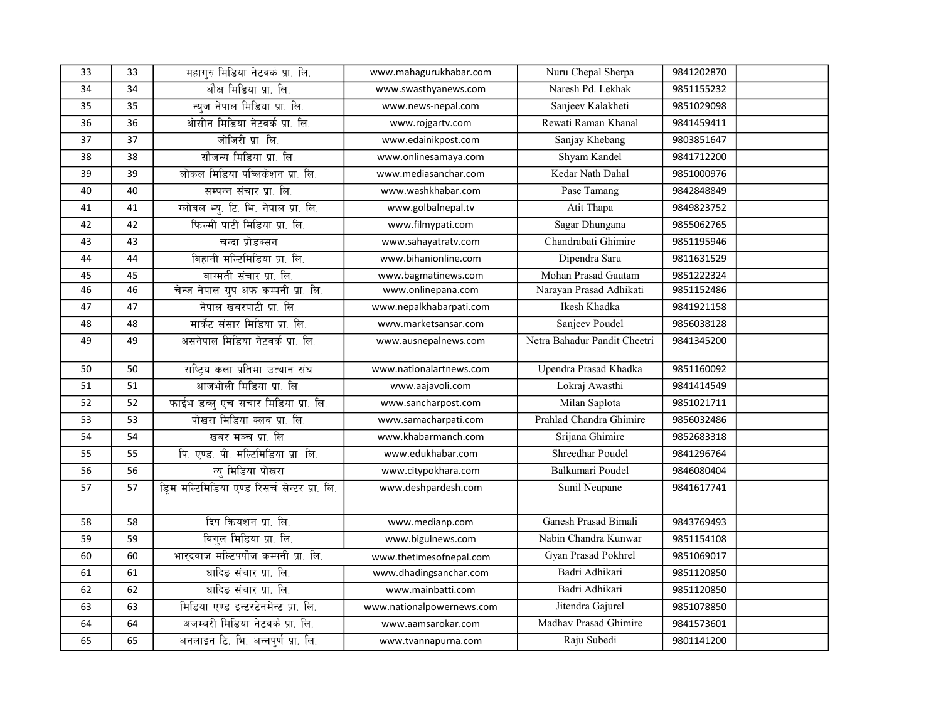| 33 | 33 | महागुरु मिडिया नेटवर्क प्रा. लि.              | www.mahagurukhabar.com    | Nuru Chepal Sherpa           | 9841202870 |
|----|----|-----------------------------------------------|---------------------------|------------------------------|------------|
| 34 | 34 | औक्ष मिडिया प्रा. लि.                         | www.swasthyanews.com      | Naresh Pd. Lekhak            | 9851155232 |
| 35 | 35 | न्यज नेपाल मिडिया प्रा. लि.                   | www.news-nepal.com        | Sanjeev Kalakheti            | 9851029098 |
| 36 | 36 | ओसीन मिडिया नेटवर्क प्रा. लि.                 | www.rojgartv.com          | Rewati Raman Khanal          | 9841459411 |
| 37 | 37 | जोजिरी प्रा. लि.                              | www.edainikpost.com       | Sanjay Khebang               | 9803851647 |
| 38 | 38 | सौजन्य मिडिया प्रा. लि.                       | www.onlinesamaya.com      | Shyam Kandel                 | 9841712200 |
| 39 | 39 | लोकल मिडिया पब्लिकेशन प्रा. लि.               | www.mediasanchar.com      | Kedar Nath Dahal             | 9851000976 |
| 40 | 40 | सम्पन्न संचार प्रा. लि.                       | www.washkhabar.com        | Pase Tamang                  | 9842848849 |
| 41 | 41 | ग्लोबल भ्यु. टि. भि. नेपाल प्रा. लि.          | www.golbalnepal.tv        | Atit Thapa                   | 9849823752 |
| 42 | 42 | फिल्मी पाटी मिडिया प्रा. लि.                  | www.filmypati.com         | Sagar Dhungana               | 9855062765 |
| 43 | 43 | चन्दा प्रोडक्सन                               | www.sahayatratv.com       | Chandrabati Ghimire          | 9851195946 |
| 44 | 44 | बिहानी मल्टिमिडिया प्रा. लि.                  | www.bihanionline.com      | Dipendra Saru                | 9811631529 |
| 45 | 45 | बाग्मती संचार प्रा. लि.                       | www.bagmatinews.com       | Mohan Prasad Gautam          | 9851222324 |
| 46 | 46 | चेन्ज नेपाल ग्रुप अफ कम्पनी प्रा. लि.         | www.onlinepana.com        | Narayan Prasad Adhikati      | 9851152486 |
| 47 | 47 | नेपाल खबरपाटी प्रा. लि.                       | www.nepalkhabarpati.com   | Ikesh Khadka                 | 9841921158 |
| 48 | 48 | मार्केट संसार मिडिया प्रा. लि.                | www.marketsansar.com      | Sanjeev Poudel               | 9856038128 |
| 49 | 49 | असनेपाल मिडिया नेटवर्क प्रा. लि.              | www.ausnepalnews.com      | Netra Bahadur Pandit Cheetri | 9841345200 |
| 50 | 50 | राष्ट्रिय कला प्रतिभा उत्थान संघ              | www.nationalartnews.com   | Upendra Prasad Khadka        | 9851160092 |
| 51 | 51 | आजभोली मिडिया प्रा. लि.                       | www.aajavoli.com          | Lokraj Awasthi               | 9841414549 |
| 52 | 52 | फाईभ डब्लु एच संचार मिडिया प्रा. लि.          | www.sancharpost.com       | Milan Saplota                | 9851021711 |
| 53 | 53 | पोखरा मिडिया क्लब प्रा. लि.                   | www.samacharpati.com      | Prahlad Chandra Ghimire      | 9856032486 |
| 54 | 54 | खबर मञ्च प्रा. लि.                            | www.khabarmanch.com       | Srijana Ghimire              | 9852683318 |
| 55 | 55 | पि. एण्ड. पी. मल्टिमिडिया प्रा. लि.           | www.edukhabar.com         | Shreedhar Poudel             | 9841296764 |
| 56 | 56 | न्य मिडिया पोखरा                              | www.citypokhara.com       | Balkumari Poudel             | 9846080404 |
| 57 | 57 | ड़िम मल्टिमिडिया एण्ड रिसर्च सेन्टर प्रा. लि. | www.deshpardesh.com       | Sunil Neupane                | 9841617741 |
| 58 | 58 | दिप क्रियशन प्रा. लि.                         | www.medianp.com           | Ganesh Prasad Bimali         | 9843769493 |
| 59 | 59 | बिगल मिडिया प्रा. लि.                         | www.bigulnews.com         | Nabin Chandra Kunwar         | 9851154108 |
| 60 | 60 | भारदवाज मल्टिपर्पोज कम्पनी प्रा. लि.          | www.thetimesofnepal.com   | Gyan Prasad Pokhrel          | 9851069017 |
| 61 | 61 | धादिङ संचार प्रा. लि.                         | www.dhadingsanchar.com    | Badri Adhikari               | 9851120850 |
| 62 | 62 | धादिङ संचार प्रा. लि.                         | www.mainbatti.com         | Badri Adhikari               | 9851120850 |
| 63 | 63 | मिडिया एण्ड इन्टरटेनमेन्ट प्रा. लि.           | www.nationalpowernews.com | Jitendra Gajurel             | 9851078850 |
| 64 | 64 | अजम्बरी मिडिया नेटवर्क प्रा. लि.              | www.aamsarokar.com        | Madhav Prasad Ghimire        | 9841573601 |
| 65 | 65 | अनलाइन टि. भि. अन्नपूर्ण प्रा. लि.            | www.tvannapurna.com       | Raju Subedi                  | 9801141200 |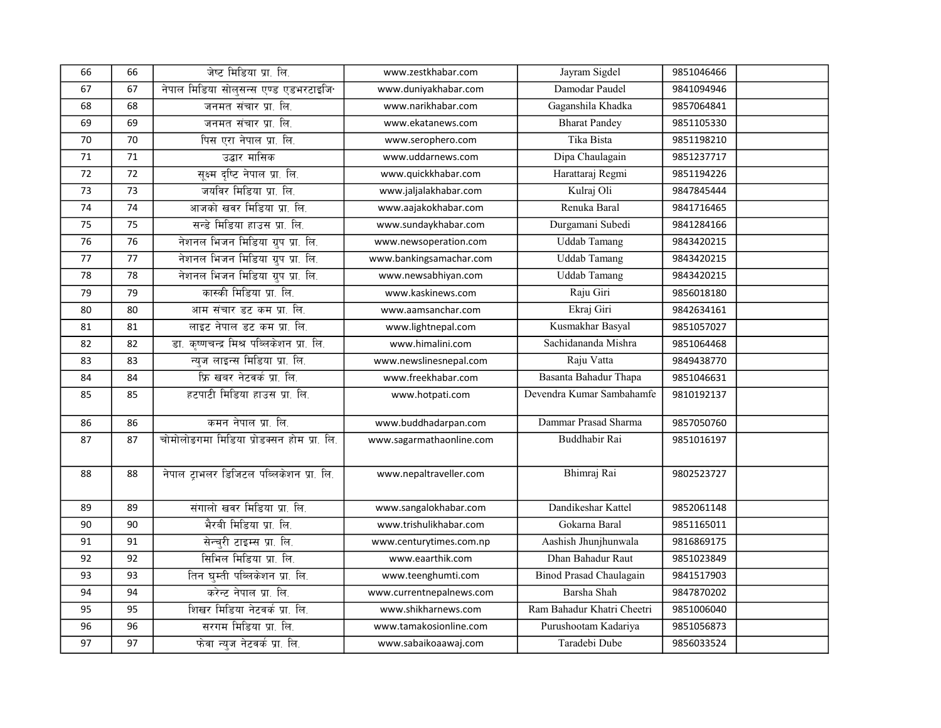| 66 | 66 | जेष्ट मिडिया प्रा. लि.                    | www.zestkhabar.com       | Jayram Sigdel              | 9851046466 |  |
|----|----|-------------------------------------------|--------------------------|----------------------------|------------|--|
| 67 | 67 | नेपाल मिडिया सोलसन्स एण्ड एडभरटाइजि       | www.duniyakhabar.com     | Damodar Paudel             | 9841094946 |  |
| 68 | 68 | जनमत संचार प्रा. लि.                      | www.narikhabar.com       | Gaganshila Khadka          | 9857064841 |  |
| 69 | 69 | जनमत संचार प्रा. लि.                      | www.ekatanews.com        | <b>Bharat Pandey</b>       | 9851105330 |  |
| 70 | 70 | पिस एरा नेपाल प्रा. लि.                   | www.serophero.com        | Tika Bista                 | 9851198210 |  |
| 71 | 71 | उद्बार मासिक                              | www.uddarnews.com        | Dipa Chaulagain            | 9851237717 |  |
| 72 | 72 | सूक्ष्म दृष्टि नेपाल प्रा. लि.            | www.quickkhabar.com      | Harattaraj Regmi           | 9851194226 |  |
| 73 | 73 | जयविर मिडिया प्रा. लि.                    | www.jaljalakhabar.com    | Kulraj Oli                 | 9847845444 |  |
| 74 | 74 | आजको खवर मिडिया प्रा. लि.                 | www.aajakokhabar.com     | Renuka Baral               | 9841716465 |  |
| 75 | 75 | सन्डे मिडिया हाउस प्रा. लि.               | www.sundaykhabar.com     | Durgamani Subedi           | 9841284166 |  |
| 76 | 76 | नेशनल भिजन मिडिया ग्रुप प्रा. लि.         | www.newsoperation.com    | <b>Uddab Tamang</b>        | 9843420215 |  |
| 77 | 77 | नेशनल भिजन मिडिया ग्रुप प्रा. लि.         | www.bankingsamachar.com  | <b>Uddab Tamang</b>        | 9843420215 |  |
| 78 | 78 | नेशनल भिजन मिडिया ग्रुप प्रा. लि.         | www.newsabhiyan.com      | <b>Uddab Tamang</b>        | 9843420215 |  |
| 79 | 79 | कास्की मिडिया प्रा. लि.                   | www.kaskinews.com        | Raju Giri                  | 9856018180 |  |
| 80 | 80 | आम संचार डट कम प्रा. लि.                  | www.aamsanchar.com       | Ekraj Giri                 | 9842634161 |  |
| 81 | 81 | लाइट नेपाल डट कम प्रा. लि.                | www.lightnepal.com       | Kusmakhar Basyal           | 9851057027 |  |
| 82 | 82 | डा. कृष्णचन्द्र मिश्र पब्लिकेशन प्रा. लि. | www.himalini.com         | Sachidananda Mishra        | 9851064468 |  |
| 83 | 83 | न्युज लाइन्स मिडिया प्रा. लि.             | www.newslinesnepal.com   | Raju Vatta                 | 9849438770 |  |
| 84 | 84 | फ्रि खबर नेटवर्क प्रा. लि.                | www.freekhabar.com       | Basanta Bahadur Thapa      | 9851046631 |  |
| 85 | 85 | हटपाटी मिडिया हाउस प्रा. लि.              | www.hotpati.com          | Devendra Kumar Sambahamfe  | 9810192137 |  |
| 86 | 86 | कमन नेपाल प्रा. लि.                       | www.buddhadarpan.com     | Dammar Prasad Sharma       | 9857050760 |  |
| 87 | 87 | चोमोलोडगमा मिडिया प्रोडक्सन होम प्रा. लि. | www.sagarmathaonline.com | Buddhabir Rai              | 9851016197 |  |
| 88 | 88 | नेपाल ट्राभलर डिजिटल पब्लिकेशन प्रा. लि.  | www.nepaltraveller.com   | Bhimraj Rai                | 9802523727 |  |
| 89 | 89 | संगालो खवर मिडिया प्रा. लि.               | www.sangalokhabar.com    | Dandikeshar Kattel         | 9852061148 |  |
| 90 | 90 | भैरबी मिडिया प्रा. लि.                    | www.trishulikhabar.com   | Gokarna Baral              | 9851165011 |  |
| 91 | 91 | सेन्चरी टाइम्स प्रा. लि.                  | www.centurytimes.com.np  | Aashish Jhunjhunwala       | 9816869175 |  |
| 92 | 92 | सिभिल मिडिया प्रा. लि.                    | www.eaarthik.com         | Dhan Bahadur Raut          | 9851023849 |  |
| 93 | 93 | तिन घुम्ती पब्लिकेशन प्रा. लि.            | www.teenghumti.com       | Binod Prasad Chaulagain    | 9841517903 |  |
| 94 | 94 | करेन्ट नेपाल प्रा. लि.                    | www.currentnepalnews.com | Barsha Shah                | 9847870202 |  |
| 95 | 95 | शिखर मिडिया नेटवर्क प्रा. लि.             | www.shikharnews.com      | Ram Bahadur Khatri Cheetri | 9851006040 |  |
| 96 | 96 | सरगम मिडिया प्रा. लि.                     | www.tamakosionline.com   | Purushootam Kadariya       | 9851056873 |  |
| 97 | 97 | फेवा न्यूज नेटवर्क प्रा. लि.              | www.sabaikoaawaj.com     | Taradebi Dube              | 9856033524 |  |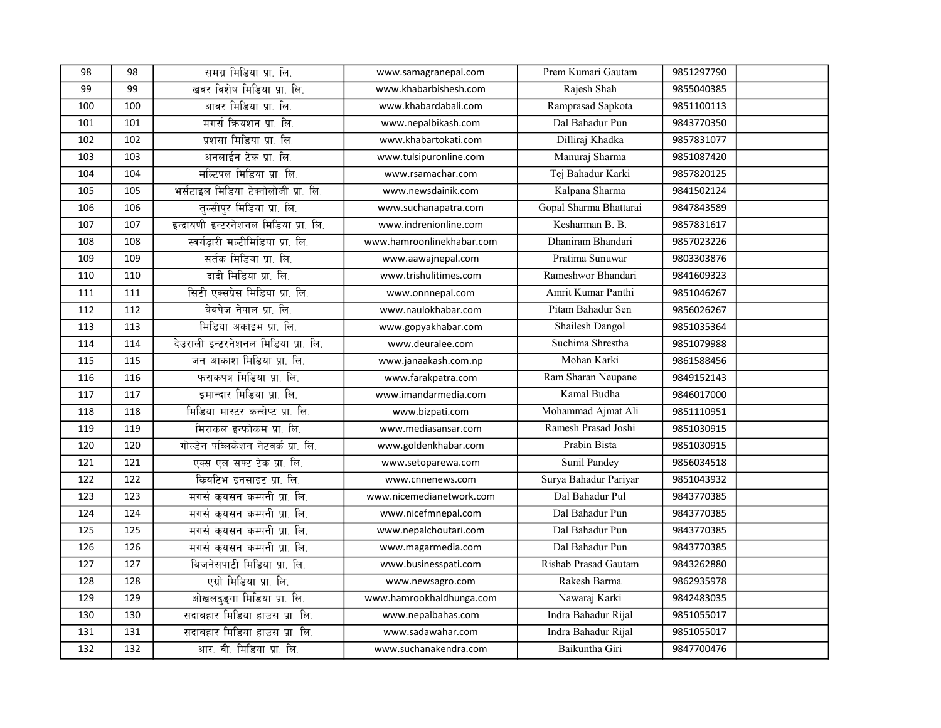| 98  | 98  | समग्र मिडिया प्रा. लि.                 | www.samagranepal.com      | Prem Kumari Gautam     | 9851297790 |  |
|-----|-----|----------------------------------------|---------------------------|------------------------|------------|--|
| 99  | 99  | खवर विशेष मिडिया प्रा. लि.             | www.khabarbishesh.com     | Rajesh Shah            | 9855040385 |  |
| 100 | 100 | आवर मिडिया प्रा. लि.                   | www.khabardabali.com      | Ramprasad Sapkota      | 9851100113 |  |
| 101 | 101 | मगर्स कियशन प्रा. लि.                  | www.nepalbikash.com       | Dal Bahadur Pun        | 9843770350 |  |
| 102 | 102 | प्रशंसा मिडिया प्रा. लि.               | www.khabartokati.com      | Dilliraj Khadka        | 9857831077 |  |
| 103 | 103 | अनलाईन टेक प्रा. लि.                   | www.tulsipuronline.com    | Manuraj Sharma         | 9851087420 |  |
| 104 | 104 | मल्टिपल मिडिया प्रा. लि.               | www.rsamachar.com         | Tej Bahadur Karki      | 9857820125 |  |
| 105 | 105 | भर्सटाइल मिडिया टेक्नोलोजी प्रा. लि.   | www.newsdainik.com        | Kalpana Sharma         | 9841502124 |  |
| 106 | 106 | तल्सीपुर मिडिया प्रा. लि.              | www.suchanapatra.com      | Gopal Sharma Bhattarai | 9847843589 |  |
| 107 | 107 | इन्द्रायणी इन्टरनेशनल मिडिया प्रा. लि. | www.indrenionline.com     | Kesharman B. B.        | 9857831617 |  |
| 108 | 108 | स्वर्गद्धारी मल्टीमिडिया प्रा. लि.     | www.hamroonlinekhabar.com | Dhaniram Bhandari      | 9857023226 |  |
| 109 | 109 | सर्तक मिडिया प्रा. लि.                 | www.aawajnepal.com        | Pratima Sunuwar        | 9803303876 |  |
| 110 | 110 | दादी मिडिया प्रा. लि.                  | www.trishulitimes.com     | Rameshwor Bhandari     | 9841609323 |  |
| 111 | 111 | सिटी एक्सप्रेस मिडिया प्रा. लि.        | www.onnnepal.com          | Amrit Kumar Panthi     | 9851046267 |  |
| 112 | 112 | वेबपेज नेपाल प्रा. लि.                 | www.naulokhabar.com       | Pitam Bahadur Sen      | 9856026267 |  |
| 113 | 113 | मिडिया अर्काइभ प्रा. लि.               | www.gopyakhabar.com       | Shailesh Dangol        | 9851035364 |  |
| 114 | 114 | देउराली इन्टरनेशनल मिडिया प्रा. लि.    | www.deuralee.com          | Suchima Shrestha       | 9851079988 |  |
| 115 | 115 | जन आकाश मिडिया प्रा. लि.               | www.janaakash.com.np      | Mohan Karki            | 9861588456 |  |
| 116 | 116 | फसकपत्र मिडिया प्रा. लि.               | www.farakpatra.com        | Ram Sharan Neupane     | 9849152143 |  |
| 117 | 117 | इमान्दार मिडिया प्रा. लि.              | www.imandarmedia.com      | Kamal Budha            | 9846017000 |  |
| 118 | 118 | मिडिया मास्टर कन्सेप्ट प्रा. लि.       | www.bizpati.com           | Mohammad Ajmat Ali     | 9851110951 |  |
| 119 | 119 | मिराकल इन्फोकम प्रा. लि.               | www.mediasansar.com       | Ramesh Prasad Joshi    | 9851030915 |  |
| 120 | 120 | गोल्डेन पब्लिकेशन नेटवर्क प्रा. लि.    | www.goldenkhabar.com      | Prabin Bista           | 9851030915 |  |
| 121 | 121 | एक्स एल सफ्ट टेक प्रा. लि.             | www.setoparewa.com        | Sunil Pandey           | 9856034518 |  |
| 122 | 122 | कियटिभ इनसाइट प्रा. लि.                | www.cnnenews.com          | Surya Bahadur Pariyar  | 9851043932 |  |
| 123 | 123 | मगर्स कृयसन कम्पनी प्रा. लि.           | www.nicemedianetwork.com  | Dal Bahadur Pul        | 9843770385 |  |
| 124 | 124 | मगर्स कृयसन कम्पनी प्रा. लि.           | www.nicefmnepal.com       | Dal Bahadur Pun        | 9843770385 |  |
| 125 | 125 | मगर्स कृयसन कम्पनी प्रा. लि.           | www.nepalchoutari.com     | Dal Bahadur Pun        | 9843770385 |  |
| 126 | 126 | मगर्स कुयसन कम्पनी प्रा. लि.           | www.magarmedia.com        | Dal Bahadur Pun        | 9843770385 |  |
| 127 | 127 | बिजनेसपाटी मिडिया प्रा. लि.            | www.businesspati.com      | Rishab Prasad Gautam   | 9843262880 |  |
| 128 | 128 | एग्रो मिडिया प्रा. लि.                 | www.newsagro.com          | Rakesh Barma           | 9862935978 |  |
| 129 | 129 | ओखलढ्ङ्गा मिडिया प्रा. लि.             | www.hamrookhaldhunga.com  | Nawaraj Karki          | 9842483035 |  |
| 130 | 130 | सदाबहार मिडिया हाउस प्रा. लि.          | www.nepalbahas.com        | Indra Bahadur Rijal    | 9851055017 |  |
| 131 | 131 | सदाबहार मिडिया हाउस प्रा. लि.          | www.sadawahar.com         | Indra Bahadur Rijal    | 9851055017 |  |
| 132 | 132 | आर. वी. मिडिया प्रा. लि.               | www.suchanakendra.com     | Baikuntha Giri         | 9847700476 |  |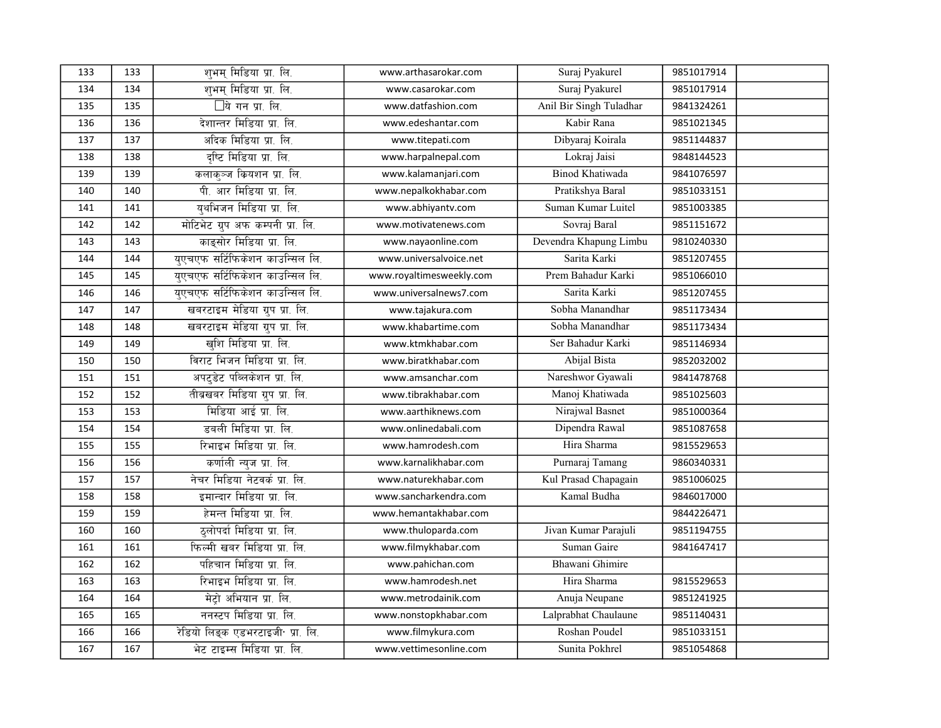| 133 | 133 | शुभम् मिडिया प्रा. लि.            | www.arthasarokar.com     | Suraj Pyakurel          | 9851017914 |  |
|-----|-----|-----------------------------------|--------------------------|-------------------------|------------|--|
| 134 | 134 | शुभम् मिडिया प्रा. लि.            | www.casarokar.com        | Suraj Pyakurel          | 9851017914 |  |
| 135 | 135 | □ये गन प्रा. लि.                  | www.datfashion.com       | Anil Bir Singh Tuladhar | 9841324261 |  |
| 136 | 136 | देशान्तर मिडिया प्रा. लि.         | www.edeshantar.com       | Kabir Rana              | 9851021345 |  |
| 137 | 137 | अदिक मिडिया प्रा. लि.             | www.titepati.com         | Dibyaraj Koirala        | 9851144837 |  |
| 138 | 138 | दृष्टि मिडिया प्रा. लि.           | www.harpalnepal.com      | Lokraj Jaisi            | 9848144523 |  |
| 139 | 139 | कलाकुञ्ज कियशन प्रा. लि.          | www.kalamanjari.com      | <b>Binod Khatiwada</b>  | 9841076597 |  |
| 140 | 140 | पी. आर मिडिया प्रा. लि.           | www.nepalkokhabar.com    | Pratikshya Baral        | 9851033151 |  |
| 141 | 141 | युथभिजन मिडिया प्रा. लि.          | www.abhiyantv.com        | Suman Kumar Luitel      | 9851003385 |  |
| 142 | 142 | मोटिभेट ग्रुप अफ कम्पनी प्रा. लि. | www.motivatenews.com     | Sovraj Baral            | 9851151672 |  |
| 143 | 143 | काइसोर मिडिया प्रा. लि.           | www.nayaonline.com       | Devendra Khapung Limbu  | 9810240330 |  |
| 144 | 144 | युएचएफ सर्टिफिकेशन काउन्सिल लि.   | www.universalvoice.net   | Sarita Karki            | 9851207455 |  |
| 145 | 145 | युएचएफ सर्टिफिकेशन काउन्सिल लि.   | www.royaltimesweekly.com | Prem Bahadur Karki      | 9851066010 |  |
| 146 | 146 | युएचएफ सर्टिफिकेशन काउन्सिल लि.   | www.universalnews7.com   | Sarita Karki            | 9851207455 |  |
| 147 | 147 | खबरटाइम मेडिया ग्रुप प्रा. लि.    | www.tajakura.com         | Sobha Manandhar         | 9851173434 |  |
| 148 | 148 | खबरटाइम मेडिया ग्रुप प्रा. लि.    | www.khabartime.com       | Sobha Manandhar         | 9851173434 |  |
| 149 | 149 | खुशि मिडिया प्रा. लि.             | www.ktmkhabar.com        | Ser Bahadur Karki       | 9851146934 |  |
| 150 | 150 | विराट भिजन मिडिया प्रा. लि.       | www.biratkhabar.com      | Abijal Bista            | 9852032002 |  |
| 151 | 151 | अपटुडेट पब्लिकेशन प्रा. लि.       | www.amsanchar.com        | Nareshwor Gyawali       | 9841478768 |  |
| 152 | 152 | तीब्रखबर मिडिया ग्रुप प्रा. लि.   | www.tibrakhabar.com      | Manoj Khatiwada         | 9851025603 |  |
| 153 | 153 | मिडिया आई प्रा. लि.               | www.aarthiknews.com      | Nirajwal Basnet         | 9851000364 |  |
| 154 | 154 | डबली मिडिया प्रा. लि.             | www.onlinedabali.com     | Dipendra Rawal          | 9851087658 |  |
| 155 | 155 | रिभाइभ मिडिया प्रा. लि.           | www.hamrodesh.com        | Hira Sharma             | 9815529653 |  |
| 156 | 156 | कर्णाली न्यूज प्रा. लि.           | www.karnalikhabar.com    | Purnaraj Tamang         | 9860340331 |  |
| 157 | 157 | नेचर मिडिया नेटवर्क प्रा. लि.     | www.naturekhabar.com     | Kul Prasad Chapagain    | 9851006025 |  |
| 158 | 158 | इमान्दार मिडिया प्रा. लि.         | www.sancharkendra.com    | Kamal Budha             | 9846017000 |  |
| 159 | 159 | हेमन्त मिडिया प्रा. लि.           | www.hemantakhabar.com    |                         | 9844226471 |  |
| 160 | 160 | ठुलोपर्दा मिडिया प्रा. लि.        | www.thuloparda.com       | Jivan Kumar Parajuli    | 9851194755 |  |
| 161 | 161 | फिल्मी खबर मिडिया प्रा. लि.       | www.filmykhabar.com      | Suman Gaire             | 9841647417 |  |
| 162 | 162 | पहिचान मिडिया प्रा. लि.           | www.pahichan.com         | Bhawani Ghimire         |            |  |
| 163 | 163 | रिभाइभ मिडिया प्रा. लि.           | www.hamrodesh.net        | Hira Sharma             | 9815529653 |  |
| 164 | 164 | मेट्रो अभियान प्रा. लि.           | www.metrodainik.com      | Anuja Neupane           | 9851241925 |  |
| 165 | 165 | ननस्टप मिडिया प्रा. लि.           | www.nonstopkhabar.com    | Lalprabhat Chaulaune    | 9851140431 |  |
| 166 | 166 | रेडियो लिङ्क एडभरटाइजी प्रा. लि.  | www.filmykura.com        | Roshan Poudel           | 9851033151 |  |
| 167 | 167 | भेट टाइम्स मिडिया प्रा. लि.       | www.vettimesonline.com   | Sunita Pokhrel          | 9851054868 |  |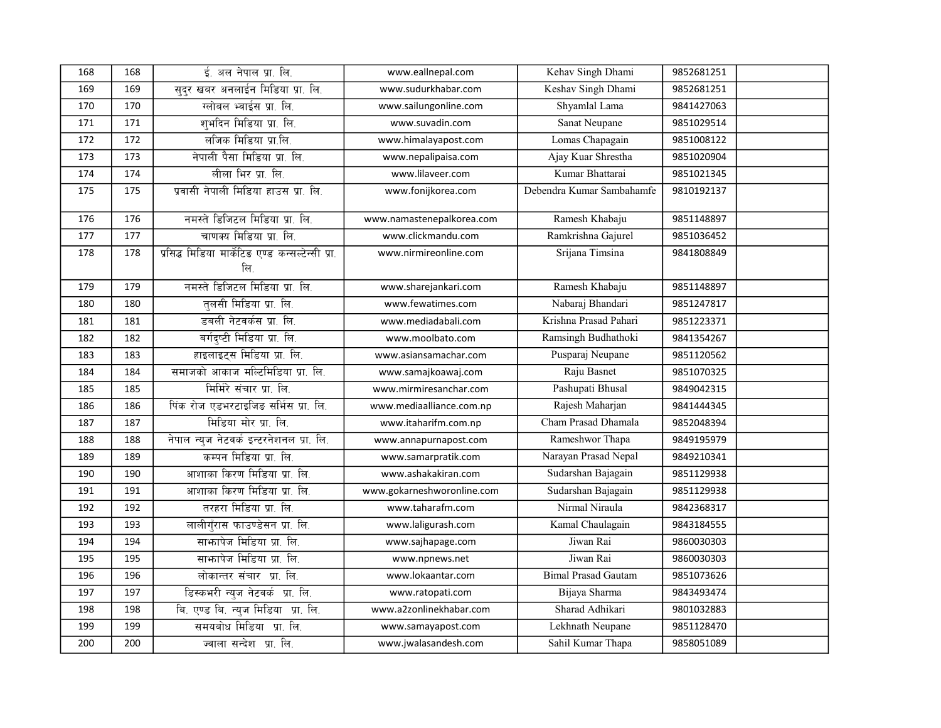| 168 | 168 | ई. अल नेपाल प्रा. लि.                                    | www.eallnepal.com          | Kehav Singh Dhami          | 9852681251 |
|-----|-----|----------------------------------------------------------|----------------------------|----------------------------|------------|
| 169 | 169 | सुदुर खबर अनलाईन मिडिया प्रा. लि.                        | www.sudurkhabar.com        | Keshav Singh Dhami         | 9852681251 |
| 170 | 170 | ग्लोबल भ्वाईस प्रा. लि.                                  | www.sailungonline.com      | Shyamlal Lama              | 9841427063 |
| 171 | 171 | शुभदिन मिडिया प्रा. लि.                                  | www.suvadin.com            | <b>Sanat Neupane</b>       | 9851029514 |
| 172 | 172 | लजिक मिडिया प्रा.लि.                                     | www.himalayapost.com       | Lomas Chapagain            | 9851008122 |
| 173 | 173 | नेपाली पैसा मिडिया प्रा. लि.                             | www.nepalipaisa.com        | Ajay Kuar Shrestha         | 9851020904 |
| 174 | 174 | लीला भिर प्रा. लि.                                       | www.lilaveer.com           | Kumar Bhattarai            | 9851021345 |
| 175 | 175 | प्रवासी नेपाली मिडिया हाउस प्रा. लि.                     | www.fonijkorea.com         | Debendra Kumar Sambahamfe  | 9810192137 |
| 176 | 176 | नमस्ते डिजिटल मिडिया प्रा. लि.                           | www.namastenepalkorea.com  | Ramesh Khabaju             | 9851148897 |
| 177 | 177 | चाणक्य मिडिया प्रा. लि.                                  | www.clickmandu.com         | Ramkrishna Gajurel         | 9851036452 |
| 178 | 178 | प्रसिद्ध मिडिया मार्केटिङ एण्ड कन्सल्टेन्सी प्रा.<br>लि. | www.nirmireonline.com      | Srijana Timsina            | 9841808849 |
| 179 | 179 | नमस्ते डिजिटल मिडिया प्रा. लि.                           | www.sharejankari.com       | Ramesh Khabaju             | 9851148897 |
| 180 | 180 | तलसी मिडिया प्रा. लि.                                    | www.fewatimes.com          | Nabaraj Bhandari           | 9851247817 |
| 181 | 181 | डबली नेटवर्कस प्रा. लि.                                  | www.mediadabali.com        | Krishna Prasad Pahari      | 9851223371 |
| 182 | 182 | बर्गदृष्टी मिडिया प्रा. लि.                              | www.moolbato.com           | Ramsingh Budhathoki        | 9841354267 |
| 183 | 183 | हाइलाइट्स मिडिया प्रा. लि.                               | www.asiansamachar.com      | Pusparaj Neupane           | 9851120562 |
| 184 | 184 | समाजको आकाज मल्टिमिडिया प्रा. लि.                        | www.samajkoawaj.com        | Raju Basnet                | 9851070325 |
| 185 | 185 | मिर्मिरे संचार प्रा. लि.                                 | www.mirmiresanchar.com     | Pashupati Bhusal           | 9849042315 |
| 186 | 186 | पिंक रोज एडभरटाइजिड सर्भिस प्रा. लि.                     | www.mediaalliance.com.np   | Rajesh Maharjan            | 9841444345 |
| 187 | 187 | मिडिया मोर प्रा. लि.                                     | www.itaharifm.com.np       | Cham Prasad Dhamala        | 9852048394 |
| 188 | 188 | नेपाल न्यूज नेटवर्क इन्टरनेशनल प्रा. लि.                 | www.annapurnapost.com      | Rameshwor Thapa            | 9849195979 |
| 189 | 189 | कम्पन मिडिया प्रा. लि.                                   | www.samarpratik.com        | Narayan Prasad Nepal       | 9849210341 |
| 190 | 190 | आशाका किरण मिडिया प्रा. लि.                              | www.ashakakiran.com        | Sudarshan Bajagain         | 9851129938 |
| 191 | 191 | आशाका किरण मिडिया प्रा. लि.                              | www.gokarneshworonline.com | Sudarshan Bajagain         | 9851129938 |
| 192 | 192 | तरहरा मिडिया प्रा. लि.                                   | www.taharafm.com           | Nirmal Niraula             | 9842368317 |
| 193 | 193 | लालीगँरास फाउण्डेसन प्रा. लि.                            | www.laligurash.com         | Kamal Chaulagain           | 9843184555 |
| 194 | 194 | साफापेज मिडिया प्रा. लि.                                 | www.sajhapage.com          | Jiwan Rai                  | 9860030303 |
| 195 | 195 | साफापेज मिडिया प्रा. लि.                                 | www.npnews.net             | Jiwan Rai                  | 9860030303 |
| 196 | 196 | लोकान्तर संचार प्रा. लि.                                 | www.lokaantar.com          | <b>Bimal Prasad Gautam</b> | 9851073626 |
| 197 | 197 | डिस्कभरी न्यूज नेटवर्क प्रा. लि.                         | www.ratopati.com           | Bijaya Sharma              | 9843493474 |
| 198 | 198 | बि. एण्ड बि. न्युज मिडिया प्रा. लि.                      | www.a2zonlinekhabar.com    | Sharad Adhikari            | 9801032883 |
| 199 | 199 | समयबोध मिडिया प्रा. लि.                                  | www.samayapost.com         | Lekhnath Neupane           | 9851128470 |
| 200 | 200 | ज्वाला सन्देश प्रा. लि.                                  | www.jwalasandesh.com       | Sahil Kumar Thapa          | 9858051089 |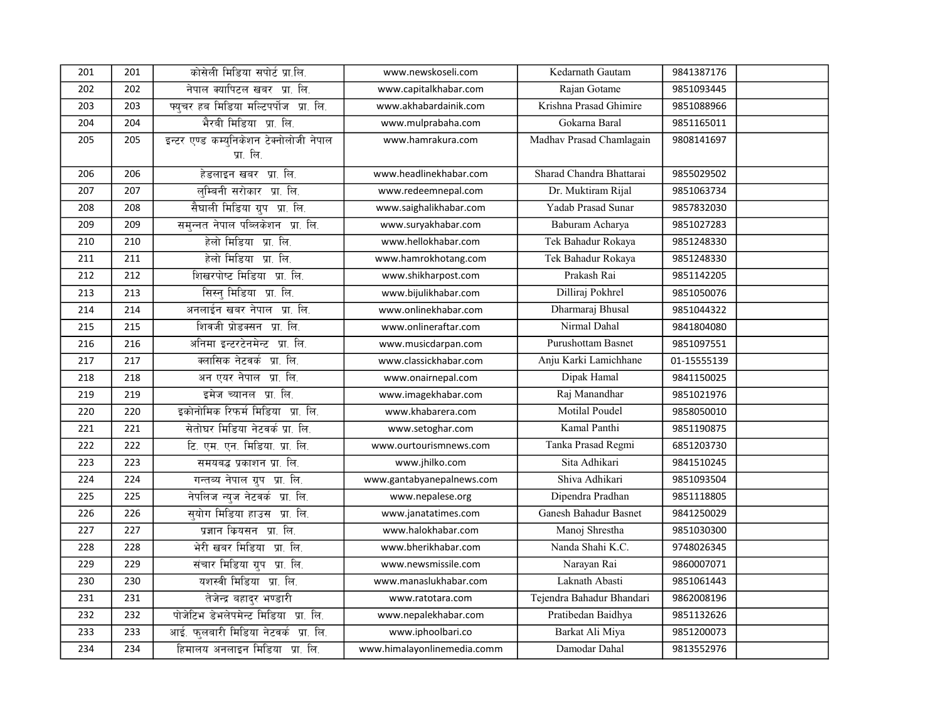| 201 | 201 | कोसेली मिडिया सपोर्ट प्रा.लि.                        | www.newskoseli.com          | Kedarnath Gautam          | 9841387176  |  |
|-----|-----|------------------------------------------------------|-----------------------------|---------------------------|-------------|--|
| 202 | 202 | नेपाल क्यापिटल खबर प्रा. लि.                         | www.capitalkhabar.com       | Rajan Gotame              | 9851093445  |  |
| 203 | 203 | पयचर हब मिडिया मल्टिपर्पोज प्रा. लि.                 | www.akhabardainik.com       | Krishna Prasad Ghimire    | 9851088966  |  |
| 204 | 204 | भैरबी मिडिया प्रा. लि.                               | www.mulprabaha.com          | Gokarna Baral             | 9851165011  |  |
| 205 | 205 | इन्टर एण्ड कम्युनिकेशन टेक्नोलोजी नेपाल<br>प्रा. लि. | www.hamrakura.com           | Madhav Prasad Chamlagain  | 9808141697  |  |
| 206 | 206 | हेडलाइन खबर प्रा. लि.                                | www.headlinekhabar.com      | Sharad Chandra Bhattarai  | 9855029502  |  |
| 207 | 207 | लुम्बिनी सरोकार प्रा. लि.                            | www.redeemnepal.com         | Dr. Muktiram Rijal        | 9851063734  |  |
| 208 | 208 | सैघाली मिडिया ग्रुप प्रा. लि.                        | www.saighalikhabar.com      | Yadab Prasad Sunar        | 9857832030  |  |
| 209 | 209 | समुन्नत नेपाल पब्लिकेशन प्रा. लि.                    | www.suryakhabar.com         | Baburam Acharya           | 9851027283  |  |
| 210 | 210 | हेलो मिडिया प्रा. लि.                                | www.hellokhabar.com         | Tek Bahadur Rokaya        | 9851248330  |  |
| 211 | 211 | हेलो मिडिया प्रा. लि.                                | www.hamrokhotang.com        | Tek Bahadur Rokaya        | 9851248330  |  |
| 212 | 212 | शिखरपोष्ट मिडिया प्रा. लि.                           | www.shikharpost.com         | Prakash Rai               | 9851142205  |  |
| 213 | 213 | सिस्न् मिडिया प्रा. लि.                              | www.bijulikhabar.com        | Dilliraj Pokhrel          | 9851050076  |  |
| 214 | 214 | अनलाईन खबर नेपाल प्रा. लि.                           | www.onlinekhabar.com        | Dharmaraj Bhusal          | 9851044322  |  |
| 215 | 215 | शिवजी प्रोडक्सन प्रा. लि.                            | www.onlineraftar.com        | Nirmal Dahal              | 9841804080  |  |
| 216 | 216 | अनिमा इन्टरटेनमेन्ट प्रा. लि.                        | www.musicdarpan.com         | Purushottam Basnet        | 9851097551  |  |
| 217 | 217 | क्लासिक नेटवर्क प्रा. लि.                            | www.classickhabar.com       | Anju Karki Lamichhane     | 01-15555139 |  |
| 218 | 218 | अन एयर नेपाल प्रा. लि.                               | www.onairnepal.com          | Dipak Hamal               | 9841150025  |  |
| 219 | 219 | इमेज च्यानल प्रा. लि.                                | www.imagekhabar.com         | Raj Manandhar             | 9851021976  |  |
| 220 | 220 | इकोनोमिक रिफर्म मिडिया प्रा. लि.                     | www.khabarera.com           | Motilal Poudel            | 9858050010  |  |
| 221 | 221 | सेतोघर मिडिया नेटवर्क प्रा. लि.                      | www.setoghar.com            | Kamal Panthi              | 9851190875  |  |
| 222 | 222 | टि. एम. एन. मिडिया. प्रा. लि.                        | www.ourtourismnews.com      | Tanka Prasad Regmi        | 6851203730  |  |
| 223 | 223 | समयबद्ध प्रकाशन प्रा. लि.                            | www.jhilko.com              | Sita Adhikari             | 9841510245  |  |
| 224 | 224 | गन्तब्य नेपाल ग्रुप प्रा. लि.                        | www.gantabyanepalnews.com   | Shiva Adhikari            | 9851093504  |  |
| 225 | 225 | नेपलिज न्यूज नेटवर्क प्रा. लि.                       | www.nepalese.org            | Dipendra Pradhan          | 9851118805  |  |
| 226 | 226 | सुयोग मिडिया हाउस प्रा. लि.                          | www.janatatimes.com         | Ganesh Bahadur Basnet     | 9841250029  |  |
| 227 | 227 | प्रज्ञान कियसन प्रा. लि.                             | www.halokhabar.com          | Manoj Shrestha            | 9851030300  |  |
| 228 | 228 | भेरी खबर मिडिया प्रा. लि.                            | www.bherikhabar.com         | Nanda Shahi K.C.          | 9748026345  |  |
| 229 | 229 | संचार मिडिया ग्रुप प्रा. लि.                         | www.newsmissile.com         | Narayan Rai               | 9860007071  |  |
| 230 | 230 | यशस्वी मिडिया प्रा. लि.                              | www.manaslukhabar.com       | Laknath Abasti            | 9851061443  |  |
| 231 | 231 | तेजेन्द्र बहादुर भण्डारी                             | www.ratotara.com            | Tejendra Bahadur Bhandari | 9862008196  |  |
| 232 | 232 | पोजेटिभ डेभलेपमेन्ट मिडिया प्रा. लि.                 | www.nepalekhabar.com        | Pratibedan Baidhya        | 9851132626  |  |
| 233 | 233 | आई. फुलबारी मिडिया नेटवर्क प्रा. लि.                 | www.iphoolbari.co           | Barkat Ali Miya           | 9851200073  |  |
| 234 | 234 | हिमालय अनलाइन मिडिया प्रा. लि.                       | www.himalayonlinemedia.comm | Damodar Dahal             | 9813552976  |  |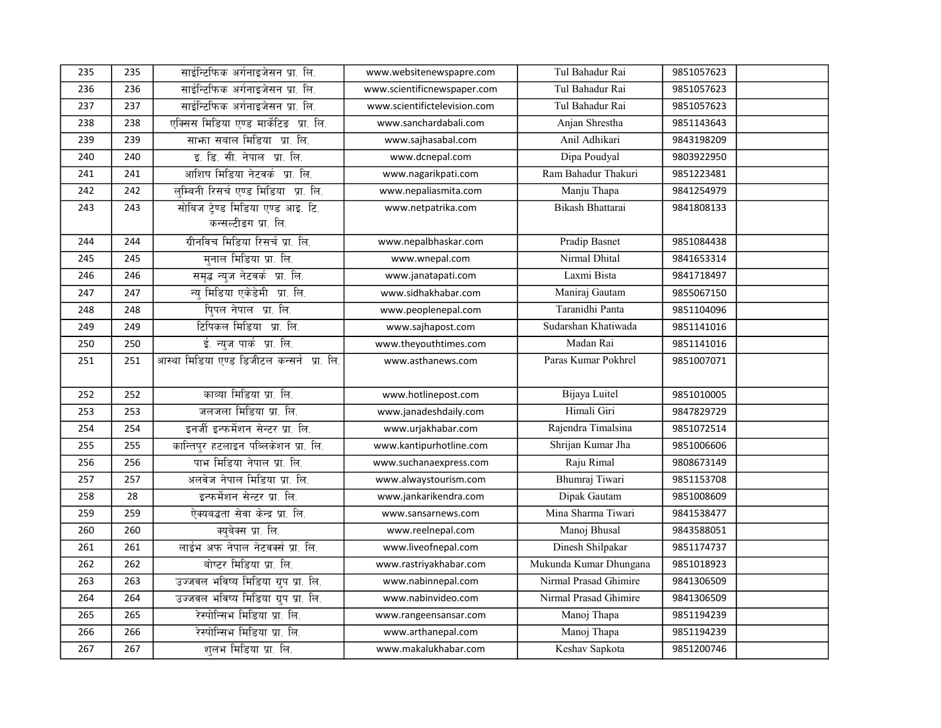| 235 | 235 | साईन्टिफिक अर्गनाइजेसन प्रा. लि.           | www.websitenewspapre.com     | Tul Bahadur Rai        | 9851057623 |  |
|-----|-----|--------------------------------------------|------------------------------|------------------------|------------|--|
| 236 | 236 | साईन्टिफिक अर्गनाइजेसन प्रा. लि.           | www.scientificnewspaper.com  | Tul Bahadur Rai        | 9851057623 |  |
| 237 | 237 | साईन्टिफिक अर्गनाइजेसन प्रा. लि.           | www.scientifictelevision.com | Tul Bahadur Rai        | 9851057623 |  |
| 238 | 238 | एक्सिस मिडिया एण्ड मार्केटिड प्रा. लि.     | www.sanchardabali.com        | Anjan Shrestha         | 9851143643 |  |
| 239 | 239 | साफा सबाल मिडिया प्रा. लि.                 | www.sajhasabal.com           | Anil Adhikari          | 9843198209 |  |
| 240 | 240 | इ. डि. सी. नेपाल प्रा. लि.                 | www.dcnepal.com              | Dipa Poudyal           | 9803922950 |  |
| 241 | 241 | आशिष मिडिया नेटवर्क प्रा. लि.              | www.nagarikpati.com          | Ram Bahadur Thakuri    | 9851223481 |  |
| 242 | 242 | लम्बिनी रिसर्च एण्ड मिडिया प्रा. लि.       | www.nepaliasmita.com         | Manju Thapa            | 9841254979 |  |
| 243 | 243 | सोबिज ट्रेण्ड मिडिया एण्ड आइ. टि.          | www.netpatrika.com           | Bikash Bhattarai       | 9841808133 |  |
|     |     | कन्सल्टीडग प्रा. लि.                       |                              |                        |            |  |
| 244 | 244 | ग्रीनविच मिडिया रिसर्च प्रा. लि.           | www.nepalbhaskar.com         | Pradip Basnet          | 9851084438 |  |
| 245 | 245 | मनाल मिडिया प्रा. लि.                      | www.wnepal.com               | Nirmal Dhital          | 9841653314 |  |
| 246 | 246 | समृद्ध न्यूज नेटवर्क प्रा. लि.             | www.janatapati.com           | Laxmi Bista            | 9841718497 |  |
| 247 | 247 | न्य मिडिया एकेडेमी प्रा. लि.               | www.sidhakhabar.com          | Maniraj Gautam         | 9855067150 |  |
| 248 | 248 | पि्पल नेपाल प्रा. लि.                      | www.peoplenepal.com          | Taranidhi Panta        | 9851104096 |  |
| 249 | 249 | टिपिकल मिडिया प्रा. लि.                    | www.sajhapost.com            | Sudarshan Khatiwada    | 9851141016 |  |
| 250 | 250 | ई. न्यूज पार्क प्रा. लि.                   | www.theyouthtimes.com        | Madan Rai              | 9851141016 |  |
| 251 | 251 | आस्था मिडिया एण्ड डिजीटल कन्सर्न प्रा. लि. | www.asthanews.com            | Paras Kumar Pokhrel    | 9851007071 |  |
|     |     |                                            |                              |                        |            |  |
| 252 | 252 | काव्या मिडिया प्रा. लि.                    | www.hotlinepost.com          | Bijaya Luitel          | 9851010005 |  |
| 253 | 253 | जलजला मिडिया प्रा. लि.                     | www.janadeshdaily.com        | Himali Giri            | 9847829729 |  |
| 254 | 254 | इनर्जी इन्फर्मेशन सेन्टर प्रा. लि.         | www.urjakhabar.com           | Rajendra Timalsina     | 9851072514 |  |
| 255 | 255 | कान्तिपुर हटलाइन पब्लिकेशन प्रा. लि.       | www.kantipurhotline.com      | Shrijan Kumar Jha      | 9851006606 |  |
| 256 | 256 | पाभ मिडिया नेपाल प्रा. लि.                 | www.suchanaexpress.com       | Raju Rimal             | 9808673149 |  |
| 257 | 257 | अलवेज नेपाल मिडिया प्रा. लि.               | www.alwaystourism.com        | Bhumraj Tiwari         | 9851153708 |  |
| 258 | 28  | इन्फर्मेशन सेन्टर प्रा. लि.                | www.jankarikendra.com        | Dipak Gautam           | 9851008609 |  |
| 259 | 259 | ऐक्यबद्धता सेवा केन्द्र प्रा. लि.          | www.sansarnews.com           | Mina Sharma Tiwari     | 9841538477 |  |
| 260 | 260 | क्युबेक्स प्रा. लि.                        | www.reelnepal.com            | Manoj Bhusal           | 9843588051 |  |
| 261 | 261 | लाईभ अफ नेपाल नेटवर्क्स प्रा. लि.          | www.liveofnepal.com          | Dinesh Shilpakar       | 9851174737 |  |
| 262 | 262 | बोप्टर मिडिया प्रा. लि.                    | www.rastriyakhabar.com       | Mukunda Kumar Dhungana | 9851018923 |  |
| 263 | 263 | उज्जवल भविष्य मिडिया ग्रुप प्रा. लि.       | www.nabinnepal.com           | Nirmal Prasad Ghimire  | 9841306509 |  |
| 264 | 264 | उज्जवल भविष्य मिडिया ग्रुप प्रा. लि.       | www.nabinvideo.com           | Nirmal Prasad Ghimire  | 9841306509 |  |
| 265 | 265 | रेस्पोन्सिभ मिडिया प्रा. लि.               | www.rangeensansar.com        | Manoj Thapa            | 9851194239 |  |
| 266 | 266 | रेस्पोन्सिभ मिडिया प्रा. लि.               | www.arthanepal.com           | Manoj Thapa            | 9851194239 |  |
| 267 | 267 | शलभ मिडिया प्रा. लि.                       | www.makalukhabar.com         | Keshav Sapkota         | 9851200746 |  |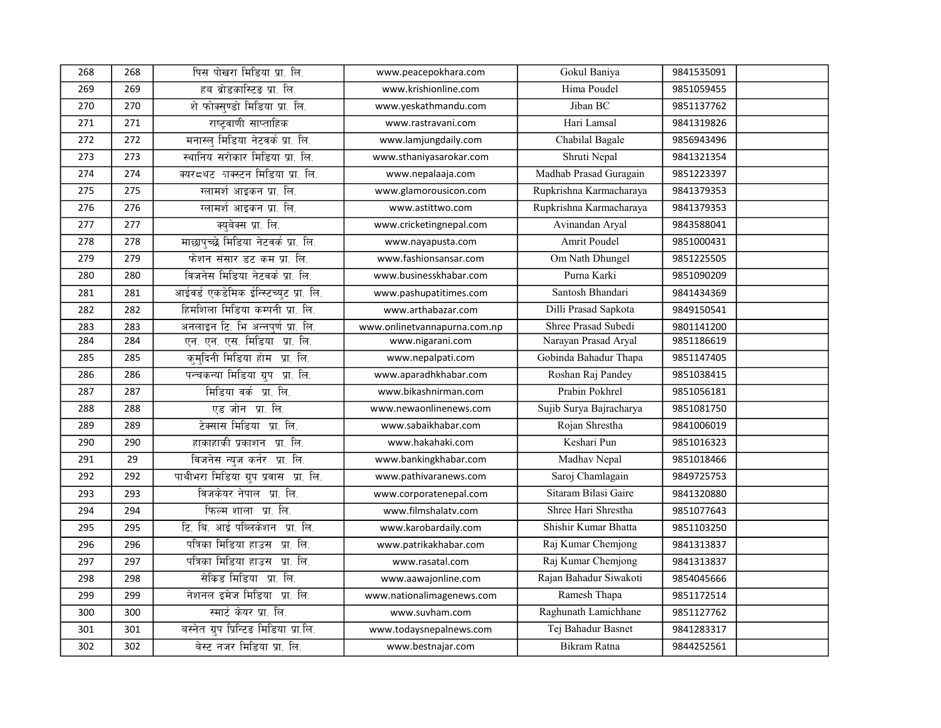| 268 | 268 | पिस पोखरा मिडिया प्रा. लि.             | www.peacepokhara.com         | Gokul Baniya            | 9841535091 |  |
|-----|-----|----------------------------------------|------------------------------|-------------------------|------------|--|
| 269 | 269 | हब ब्रोडकास्टिङ प्रा. लि.              | www.krishionline.com         | Hima Poudel             | 9851059455 |  |
| 270 | 270 | शे फोक्सण्डो मिडिया प्रा. लि.          | www.yeskathmandu.com         | Jiban BC                | 9851137762 |  |
| 271 | 271 | राष्टवाणी साप्ताहिक                    | www.rastravani.com           | Hari Lamsal             | 9841319826 |  |
| 272 | 272 | मनास्ल् मिडिया नेटवर्क प्रा. लि.       | www.lamjungdaily.com         | Chabilal Bagale         | 9856943496 |  |
| 273 | 273 | स्थानिय सरोकार मिडिया प्रा. लि.        | www.sthaniyasarokar.com      | Shruti Nepal            | 9841321354 |  |
| 274 | 274 | क्यरद्धट जक्स्टन मिडिया प्रा. लि.      | www.nepalaaja.com            | Madhab Prasad Guragain  | 9851223397 |  |
| 275 | 275 | ग्लामर्श आइकन प्रा. लि.                | www.glamorousicon.com        | Rupkrishna Karmacharaya | 9841379353 |  |
| 276 | 276 | ग्लामर्श आइकन प्रा. लि.                | www.astittwo.com             | Rupkrishna Karmacharaya | 9841379353 |  |
| 277 | 277 | क्युवेक्स प्रा. लि.                    | www.cricketingnepal.com      | Avinandan Aryal         | 9843588041 |  |
| 278 | 278 | माछापुच्छे मिडिया नेटवर्क प्रा. लि.    | www.nayapusta.com            | <b>Amrit Poudel</b>     | 9851000431 |  |
| 279 | 279 | फेशन संसार डट कम प्रा. लि.             | www.fashionsansar.com        | Om Nath Dhungel         | 9851225505 |  |
| 280 | 280 | विजनेस मिडिया नेटवर्क प्रा. लि.        | www.businesskhabar.com       | Purna Karki             | 9851090209 |  |
| 281 | 281 | आईवर्ड एकडेमिक ईन्स्टिच्युट प्रा. लि.  | www.pashupatitimes.com       | Santosh Bhandari        | 9841434369 |  |
| 282 | 282 | हिमशिला मिडिया कम्पनी प्रा. लि.        | www.arthabazar.com           | Dilli Prasad Sapkota    | 9849150541 |  |
| 283 | 283 | अनलाइन टि. भि अन्नपूर्ण प्रा. लि.      | www.onlinetvannapurna.com.np | Shree Prasad Subedi     | 9801141200 |  |
| 284 | 284 | एन. एन. एस. मिडिया प्रा. लि.           | www.nigarani.com             | Narayan Prasad Aryal    | 9851186619 |  |
| 285 | 285 | कुमुदिनी मिडिया होम प्रा. लि.          | www.nepalpati.com            | Gobinda Bahadur Thapa   | 9851147405 |  |
| 286 | 286 | पन्चकन्या मिडिया ग्रुप प्रा. लि.       | www.aparadhkhabar.com        | Roshan Raj Pandey       | 9851038415 |  |
| 287 | 287 | मिडिया वर्क प्रा. लि.                  | www.bikashnirman.com         | Prabin Pokhrel          | 9851056181 |  |
| 288 | 288 | एड जोन प्रा. लि.                       | www.newaonlinenews.com       | Sujib Surya Bajracharya | 9851081750 |  |
| 289 | 289 | टेक्सास मिडिया प्रा. लि.               | www.sabaikhabar.com          | Rojan Shrestha          | 9841006019 |  |
| 290 | 290 | हाकाहाकी प्रकाशन प्रा. लि.             | www.hakahaki.com             | Keshari Pun             | 9851016323 |  |
| 291 | 29  | विजनेस न्युज कर्नर प्रा. लि.           | www.bankingkhabar.com        | Madhav Nepal            | 9851018466 |  |
| 292 | 292 | पाथीभरा मिडिया ग्रुप प्रवास प्रा. लि.  | www.pathivaranews.com        | Saroj Chamlagain        | 9849725753 |  |
| 293 | 293 | विजकेयर नेपाल प्रा. लि.                | www.corporatenepal.com       | Sitaram Bilasi Gaire    | 9841320880 |  |
| 294 | 294 | फिल्म शाला प्रा. लि.                   | www.filmshalatv.com          | Shree Hari Shrestha     | 9851077643 |  |
| 295 | 295 | टि. बि. आई पब्लिकेशन प्रा. लि.         | www.karobardaily.com         | Shishir Kumar Bhatta    | 9851103250 |  |
| 296 | 296 | पत्रिका मिडिया हाउस प्रा. लि.          | www.patrikakhabar.com        | Raj Kumar Chemjong      | 9841313837 |  |
| 297 | 297 | पत्रिका मिडिया हाउस प्रा. लि.          | www.rasatal.com              | Raj Kumar Chemjong      | 9841313837 |  |
| 298 | 298 | सेकिड मिडिया प्रा. लि.                 | www.aawajonline.com          | Rajan Bahadur Siwakoti  | 9854045666 |  |
| 299 | 299 | नेशनल इमेज मिडिया प्रा. लि.            | www.nationalimagenews.com    | Ramesh Thapa            | 9851172514 |  |
| 300 | 300 | स्मार्ट केयर प्रा. लि.                 | www.suvham.com               | Raghunath Lamichhane    | 9851127762 |  |
| 301 | 301 | बस्नेत ग्रुप प्रिन्टिङ मिडिया प्रा.लि. | www.todaysnepalnews.com      | Tej Bahadur Basnet      | 9841283317 |  |
| 302 | 302 | बेस्ट नजर मिडिया प्रा. लि.             | www.bestnajar.com            | Bikram Ratna            | 9844252561 |  |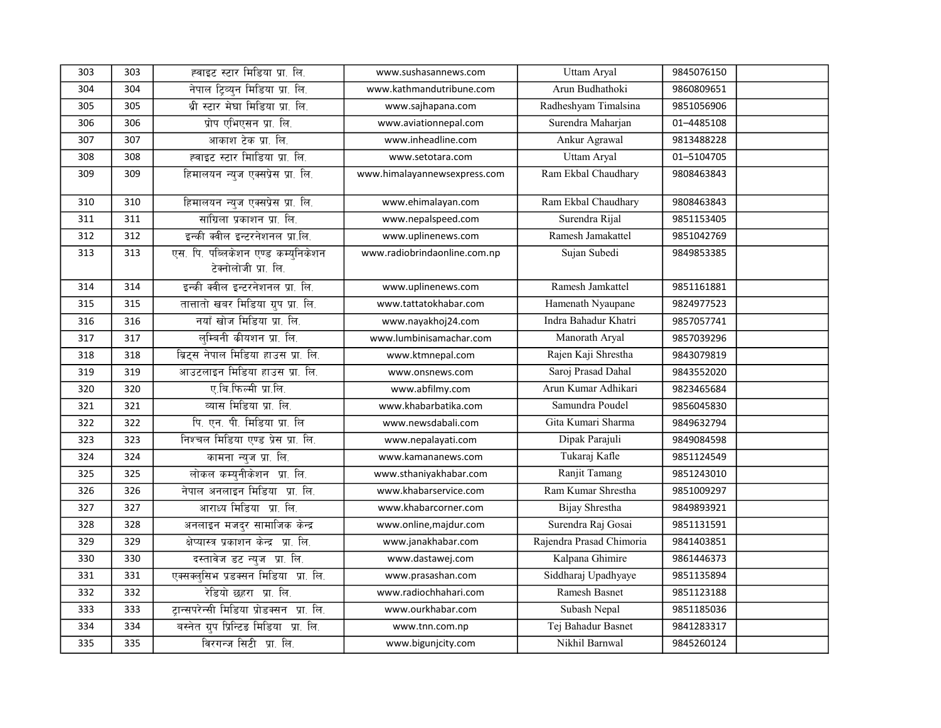| 303 | 303 | ह्वाइट स्टार मिडिया प्रा. लि.                              | www.sushasannews.com         | <b>Uttam Aryal</b>       | 9845076150 |  |
|-----|-----|------------------------------------------------------------|------------------------------|--------------------------|------------|--|
| 304 | 304 | नेपाल ट्रिव्युन मिडिया प्रा. लि.                           | www.kathmandutribune.com     | Arun Budhathoki          | 9860809651 |  |
| 305 | 305 | थ्री स्टार मेघा मिडिया प्रा. लि.                           | www.sajhapana.com            | Radheshyam Timalsina     | 9851056906 |  |
| 306 | 306 | प्रोप एभिएसन प्रा. लि.                                     | www.aviationnepal.com        | Surendra Maharjan        | 01-4485108 |  |
| 307 | 307 | आकाश टेक प्रा. लि.                                         | www.inheadline.com           | Ankur Agrawal            | 9813488228 |  |
| 308 | 308 | ह्वाइट स्टार मािडिया प्रा. लि.                             | www.setotara.com             | Uttam Aryal              | 01-5104705 |  |
| 309 | 309 | हिमालयन न्युज एक्सप्रेस प्रा. लि.                          | www.himalayannewsexpress.com | Ram Ekbal Chaudhary      | 9808463843 |  |
| 310 | 310 | हिमालयन न्यूज एक्सप्रेस प्रा. लि.                          | www.ehimalayan.com           | Ram Ekbal Chaudhary      | 9808463843 |  |
| 311 | 311 | सांग्रिला प्रकाशन प्रा. लि.                                | www.nepalspeed.com           | Surendra Rijal           | 9851153405 |  |
| 312 | 312 | इन्की क्वील इन्टरनेशनल प्रा.लि.                            | www.uplinenews.com           | Ramesh Jamakattel        | 9851042769 |  |
| 313 | 313 | एस. पि. पब्लिकेशन एण्ड कम्युनिकेशन<br>टेक्नोलोजी प्रा. लि. | www.radiobrindaonline.com.np | Sujan Subedi             | 9849853385 |  |
| 314 | 314 | इन्की क्वील इन्टरनेशनल प्रा. लि.                           | www.uplinenews.com           | Ramesh Jamkattel         | 9851161881 |  |
| 315 | 315 | तात्तातो खबर मिडिया ग्रुप प्रा. लि.                        | www.tattatokhabar.com        | Hamenath Nyaupane        | 9824977523 |  |
| 316 | 316 | नयाँ खोज मिडिया प्रा. लि.                                  | www.nayakhoj24.com           | Indra Bahadur Khatri     | 9857057741 |  |
| 317 | 317 | लम्बिनी कीयशन प्रा. लि.                                    | www.lumbinisamachar.com      | Manorath Aryal           | 9857039296 |  |
| 318 | 318 | ब्रिट्स नेपाल मिडिया हाउस प्रा. लि.                        | www.ktmnepal.com             | Rajen Kaji Shrestha      | 9843079819 |  |
| 319 | 319 | आउटलाइन मिडिया हाउस प्रा. लि.                              | www.onsnews.com              | Saroj Prasad Dahal       | 9843552020 |  |
| 320 | 320 | ए.बि.फिल्मी प्रा.लि.                                       | www.abfilmy.com              | Arun Kumar Adhikari      | 9823465684 |  |
| 321 | 321 | व्यास मिडिया प्रा. लि.                                     | www.khabarbatika.com         | Samundra Poudel          | 9856045830 |  |
| 322 | 322 | पि. एन. पी. मिडिया प्रा. लि                                | www.newsdabali.com           | Gita Kumari Sharma       | 9849632794 |  |
| 323 | 323 | निश्चल मिडिया एण्ड प्रेस प्रा. लि.                         | www.nepalayati.com           | Dipak Parajuli           | 9849084598 |  |
| 324 | 324 | कामना न्युज प्रा. लि.                                      | www.kamananews.com           | Tukaraj Kafle            | 9851124549 |  |
| 325 | 325 | लोकल कम्युनीकेशन प्रा. लि.                                 | www.sthaniyakhabar.com       | Ranjit Tamang            | 9851243010 |  |
| 326 | 326 | नेपाल अनलाइन मिडिया प्रा. लि.                              | www.khabarservice.com        | Ram Kumar Shrestha       | 9851009297 |  |
| 327 | 327 | आराध्य मिडिया प्रा. लि.                                    | www.khabarcorner.com         | Bijay Shrestha           | 9849893921 |  |
| 328 | 328 | अनलाइन मजदुर सामाजिक केन्द्र                               | www.online,majdur.com        | Surendra Raj Gosai       | 9851131591 |  |
| 329 | 329 | क्षेप्यास्त्र प्रकाशन केन्द्र प्रा. लि.                    | www.janakhabar.com           | Rajendra Prasad Chimoria | 9841403851 |  |
| 330 | 330 | दस्तावेज डट न्युज प्रा. लि.                                | www.dastawej.com             | Kalpana Ghimire          | 9861446373 |  |
| 331 | 331 | एक्सक्लुसिभ प्रडक्सन मिडिया प्रा. लि.                      | www.prasashan.com            | Siddharaj Upadhyaye      | 9851135894 |  |
| 332 | 332 | रेडियो छहरा प्रा. लि.                                      | www.radiochhahari.com        | Ramesh Basnet            | 9851123188 |  |
| 333 | 333 | ट्रान्सपरेन्सी मिडिया प्रोडक्सन प्रा. लि.                  | www.ourkhabar.com            | Subash Nepal             | 9851185036 |  |
| 334 | 334 | बस्नेत ग्रुप प्रिन्टिङ मिडिया प्रा. लि.                    | www.tnn.com.np               | Tej Bahadur Basnet       | 9841283317 |  |
| 335 | 335 | विरगन्ज सिटी प्रा. लि.                                     | www.bigunjcity.com           | Nikhil Barnwal           | 9845260124 |  |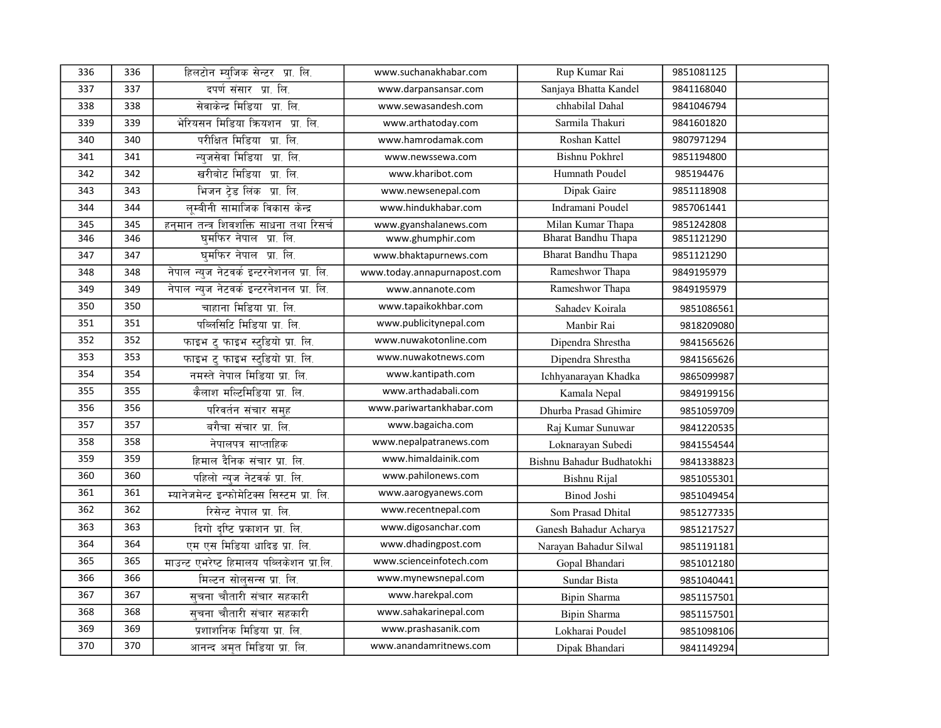| 336 | 336 | हिलटोन म्युजिक सेन्टर प्रा. लि.            | www.suchanakhabar.com       | Rup Kumar Rai             | 9851081125 |  |
|-----|-----|--------------------------------------------|-----------------------------|---------------------------|------------|--|
| 337 | 337 | दपर्ण संसार प्रा. लि.                      | www.darpansansar.com        | Sanjaya Bhatta Kandel     | 9841168040 |  |
| 338 | 338 | सेवाकेन्द्र मिडिया प्रा. लि.               | www.sewasandesh.com         | chhabilal Dahal           | 9841046794 |  |
| 339 | 339 | भेरियसन मिडिया क्रियशन प्रा. लि.           | www.arthatoday.com          | Sarmila Thakuri           | 9841601820 |  |
| 340 | 340 | परीक्षित मिडिया प्रा. लि.                  | www.hamrodamak.com          | Roshan Kattel             | 9807971294 |  |
| 341 | 341 | न्युजसेवा मिडिया प्रा. लि.                 | www.newssewa.com            | <b>Bishnu Pokhrel</b>     | 9851194800 |  |
| 342 | 342 | खरीबोट मिडिया प्रा. लि.                    | www.kharibot.com            | Humnath Poudel            | 985194476  |  |
| 343 | 343 | भिजन ट्रेड लिंक प्रा. लि.                  | www.newsenepal.com          | Dipak Gaire               | 9851118908 |  |
| 344 | 344 | लुम्बीनी सामाजिक विकास केन्द्र             | www.hindukhabar.com         | Indramani Poudel          | 9857061441 |  |
| 345 | 345 | हनमान तन्त्र शिवशक्ति साधना तथा रिसर्च     | www.gyanshalanews.com       | Milan Kumar Thapa         | 9851242808 |  |
| 346 | 346 | घुमफिर नेपाल प्रा. लि.                     | www.ghumphir.com            | Bharat Bandhu Thapa       | 9851121290 |  |
| 347 | 347 | घमफिर नेपाल प्रा. लि.                      | www.bhaktapurnews.com       | Bharat Bandhu Thapa       | 9851121290 |  |
| 348 | 348 | नेपाल न्यूज नेटवर्क इन्टरनेशनल प्रा. लि.   | www.today.annapurnapost.com | Rameshwor Thapa           | 9849195979 |  |
| 349 | 349 | नेपाल न्युज नेटवर्क इन्टरनेशनल प्रा. लि.   | www.annanote.com            | Rameshwor Thapa           | 9849195979 |  |
| 350 | 350 | चाहाना मिडिया प्रा. लि.                    | www.tapaikokhbar.com        | Sahadev Koirala           | 9851086561 |  |
| 351 | 351 | पब्लिसिटि मिडिया प्रा. लि.                 | www.publicitynepal.com      | Manbir Rai                | 9818209080 |  |
| 352 | 352 | फाइभ ट् फाइभ स्ट्डियो प्रा. लि.            | www.nuwakotonline.com       | Dipendra Shrestha         | 9841565626 |  |
| 353 | 353 | फाइभ ट् फाइभ स्ट्डियो प्रा. लि.            | www.nuwakotnews.com         | Dipendra Shrestha         | 9841565626 |  |
| 354 | 354 | नमस्ते नेपाल मिडिया प्रा. लि.              | www.kantipath.com           | Ichhyanarayan Khadka      | 9865099987 |  |
| 355 | 355 | कैलाश मल्टिमिडिया प्रा. लि.                | www.arthadabali.com         | Kamala Nepal              | 9849199156 |  |
| 356 | 356 | परिवर्तन संचार समुह                        | www.pariwartankhabar.com    | Dhurba Prasad Ghimire     | 9851059709 |  |
| 357 | 357 | बगैचा संचार प्रा. लि.                      | www.bagaicha.com            | Raj Kumar Sunuwar         | 9841220535 |  |
| 358 | 358 | नेपालपत्र साप्ताहिक                        | www.nepalpatranews.com      | Loknarayan Subedi         | 9841554544 |  |
| 359 | 359 | हिमाल दैनिक संचार प्रा. लि.                | www.himaldainik.com         | Bishnu Bahadur Budhatokhi | 9841338823 |  |
| 360 | 360 | पहिलो न्युज नेटवर्क प्रा. लि.              | www.pahilonews.com          | Bishnu Rijal              | 9851055301 |  |
| 361 | 361 | म्यानेजमेन्ट इन्फोमेटिक्स सिस्टम प्रा. लि. | www.aarogyanews.com         | Binod Joshi               | 9851049454 |  |
| 362 | 362 | रिसेन्ट नेपाल प्रा. लि.                    | www.recentnepal.com         | Som Prasad Dhital         | 9851277335 |  |
| 363 | 363 | दिगो दृष्टि प्रकाशन प्रा. लि.              | www.digosanchar.com         | Ganesh Bahadur Acharya    | 9851217527 |  |
| 364 | 364 | एम एस मिडिया धादिङ प्रा. लि.               | www.dhadingpost.com         | Narayan Bahadur Silwal    | 9851191181 |  |
| 365 | 365 | माउन्ट एभरेष्ट हिमालय पब्लिकेशन प्रा.लि.   | www.scienceinfotech.com     | Gopal Bhandari            | 9851012180 |  |
| 366 | 366 | मिल्टन सोलुसन्स प्रा. लि.                  | www.mynewsnepal.com         | Sundar Bista              | 9851040441 |  |
| 367 | 367 | सचना चौतारी संचार सहकारी                   | www.harekpal.com            | Bipin Sharma              | 9851157501 |  |
| 368 | 368 | सचना चौतारी संचार सहकारी                   | www.sahakarinepal.com       | Bipin Sharma              | 9851157501 |  |
| 369 | 369 | प्रशाशनिक मिडिया प्रा. लि.                 | www.prashasanik.com         | Lokharai Poudel           | 9851098106 |  |
| 370 | 370 | आनन्द अमृत मिडिया प्रा. लि.                | www.anandamritnews.com      | Dipak Bhandari            | 9841149294 |  |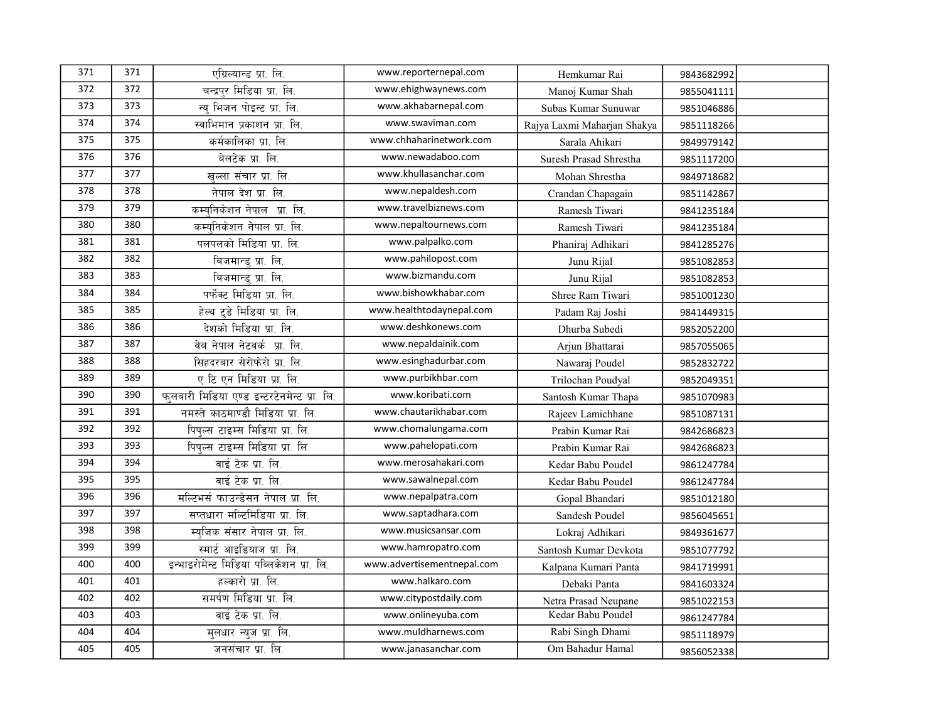| 371 | 371 | एग्रिल्यान्ड प्रा. लि.                     | www.reporternepal.com      | Hemkumar Rai                | 9843682992 |  |
|-----|-----|--------------------------------------------|----------------------------|-----------------------------|------------|--|
| 372 | 372 | चन्द्रपुर मिडिया प्रा. लि.                 | www.ehighwaynews.com       | Manoj Kumar Shah            | 9855041111 |  |
| 373 | 373 | न्य भिजन पोइन्ट प्रा. लि.                  | www.akhabarnepal.com       | Subas Kumar Sunuwar         | 9851046886 |  |
| 374 | 374 | स्वाभिमान प्रकाशन प्रा. लि.                | www.swaviman.com           | Rajya Laxmi Maharjan Shakya | 9851118266 |  |
| 375 | 375 | कर्मकालिका प्रा. लि.                       | www.chhaharinetwork.com    | Sarala Ahikari              | 9849979142 |  |
| 376 | 376 | बेलटेक प्रा. लि.                           | www.newadaboo.com          | Suresh Prasad Shrestha      | 9851117200 |  |
| 377 | 377 | खुल्ला संचार प्रा. लि.                     | www.khullasanchar.com      | Mohan Shrestha              | 9849718682 |  |
| 378 | 378 | नेपाल देश प्रा. लि.                        | www.nepaldesh.com          | Crandan Chapagain           | 9851142867 |  |
| 379 | 379 | कम्यनिकेशन नेपाल प्रा. लि.                 | www.travelbiznews.com      | Ramesh Tiwari               | 9841235184 |  |
| 380 | 380 | कम्यनिकेशन नेपाल प्रा. लि.                 | www.nepaltournews.com      | Ramesh Tiwari               | 9841235184 |  |
| 381 | 381 | पलपलको मिडिया प्रा. लि.                    | www.palpalko.com           | Phaniraj Adhikari           | 9841285276 |  |
| 382 | 382 | बिजमान्ड् प्रा. लि.                        | www.pahilopost.com         | Junu Rijal                  | 9851082853 |  |
| 383 | 383 | बिजमान्डु प्रा. लि.                        | www.bizmandu.com           | Junu Rijal                  | 9851082853 |  |
| 384 | 384 | पर्फेक्ट मिडिया प्रा. लि.                  | www.bishowkhabar.com       | Shree Ram Tiwari            | 9851001230 |  |
| 385 | 385 | हेल्थ टुडे मिडिया प्रा. लि.                | www.healthtodaynepal.com   | Padam Raj Joshi             | 9841449315 |  |
| 386 | 386 | देशको मिडिया प्रा. लि.                     | www.deshkonews.com         | Dhurba Subedi               | 9852052200 |  |
| 387 | 387 | वेब नेपाल नेटवर्क प्रा. लि.                | www.nepaldainik.com        | Arjun Bhattarai             | 9857055065 |  |
| 388 | 388 | सिंहदरबार सेरोफेरो प्रा. लि.               | www.esinghadurbar.com      | Nawaraj Poudel              | 9852832722 |  |
| 389 | 389 | ए टि एन मिडिया प्रा. लि.                   | www.purbikhbar.com         | Trilochan Poudval           | 9852049351 |  |
| 390 | 390 | फलबारी मिडिया एण्ड इन्टरटेनमेन्ट प्रा. लि. | www.koribati.com           | Santosh Kumar Thapa         | 9851070983 |  |
| 391 | 391 | नमस्ते काठमाण्डौ मिडिया प्रा. लि.          | www.chautarikhabar.com     | Rajeev Lamichhane           | 9851087131 |  |
| 392 | 392 | पिपुल्स टाइम्स मिडिया प्रा. लि.            | www.chomalungama.com       | Prabin Kumar Rai            | 9842686823 |  |
| 393 | 393 | पिपल्स टाइम्स मिडिया प्रा. लि.             | www.pahelopati.com         | Prabin Kumar Rai            | 9842686823 |  |
| 394 | 394 | वाई टेक प्रा. लि.                          | www.merosahakari.com       | Kedar Babu Poudel           | 9861247784 |  |
| 395 | 395 | वाई टेक प्रा. लि.                          | www.sawalnepal.com         | Kedar Babu Poudel           | 9861247784 |  |
| 396 | 396 | मल्टिभर्स फाउन्डेसन नेपाल प्रा. लि.        | www.nepalpatra.com         | Gopal Bhandari              | 9851012180 |  |
| 397 | 397 | सप्तधारा मल्टिमिडिया प्रा. लि.             | www.saptadhara.com         | Sandesh Poudel              | 9856045651 |  |
| 398 | 398 | म्यजिक संसार नेपाल प्रा. लि.               | www.musicsansar.com        | Lokraj Adhikari             | 9849361677 |  |
| 399 | 399 | स्मार्ट आइडियाज प्रा. लि.                  | www.hamropatro.com         | Santosh Kumar Devkota       | 9851077792 |  |
| 400 | 400 | इन्भाइरोमेन्ट मिडिया पब्लिकेशन प्रा. लि.   | www.advertisementnepal.com | Kalpana Kumari Panta        | 9841719991 |  |
| 401 | 401 | हल्कारो प्रा. लि.                          | www.halkaro.com            | Debaki Panta                | 9841603324 |  |
| 402 | 402 | समर्पण मिडिया प्रा. लि.                    | www.citypostdaily.com      | Netra Prasad Neupane        | 9851022153 |  |
| 403 | 403 | वाई टेक प्रा. लि.                          | www.onlineyuba.com         | Kedar Babu Poudel           | 9861247784 |  |
| 404 | 404 | मलधार न्यूज प्रा. लि.                      | www.muldharnews.com        | Rabi Singh Dhami            | 9851118979 |  |
| 405 | 405 | जनसंचार प्रा. लि.                          | www.janasanchar.com        | Om Bahadur Hamal            | 9856052338 |  |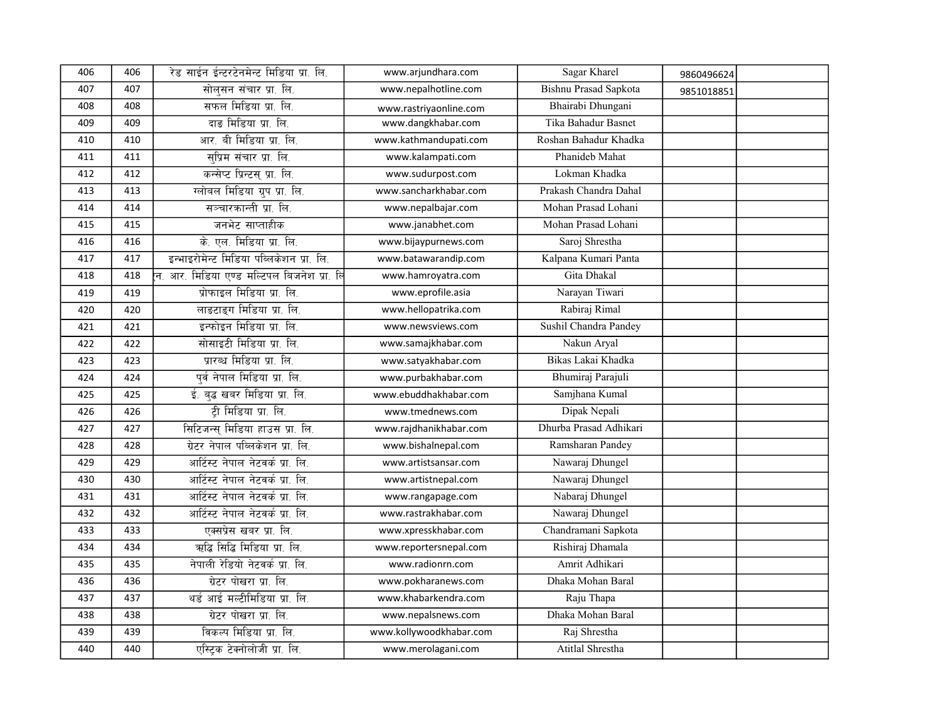| 406 | 406 | रेड साईन ईन्टरटेनमेन्ट मिडिया प्रा. लि.         | www.arjundhara.com      | Sagar Kharel                 | 9860496624 |  |
|-----|-----|-------------------------------------------------|-------------------------|------------------------------|------------|--|
| 407 | 407 | सोलसन संचार प्रा. लि.                           | www.nepalhotline.com    | <b>Bishnu Prasad Sapkota</b> | 9851018851 |  |
| 408 | 408 | सफल मिडिया प्रा. लि.                            | www.rastriyaonline.com  | Bhairabi Dhungani            |            |  |
| 409 | 409 | दाङ मिडिया प्रा. लि.                            | www.dangkhabar.com      | Tika Bahadur Basnet          |            |  |
| 410 | 410 | आर. बी मिडिया प्रा. लि.                         | www.kathmandupati.com   | Roshan Bahadur Khadka        |            |  |
| 411 | 411 | सप्रिम संचार प्रा. लि.                          | www.kalampati.com       | Phanideb Mahat               |            |  |
| 412 | 412 | कन्सेप्ट प्रिन्टस् प्रा. लि.                    | www.sudurpost.com       | Lokman Khadka                |            |  |
| 413 | 413 | ग्लोबल मिडिया ग्रुप प्रा. लि.                   | www.sancharkhabar.com   | Prakash Chandra Dahal        |            |  |
| 414 | 414 | सञ्चारकान्ती प्रा. लि.                          | www.nepalbajar.com      | Mohan Prasad Lohani          |            |  |
| 415 | 415 | जनभेट साप्ताहीक                                 | www.janabhet.com        | Mohan Prasad Lohani          |            |  |
| 416 | 416 | के. एल. मिडिया प्रा. लि.                        | www.bijaypurnews.com    | Saroj Shrestha               |            |  |
| 417 | 417 | इन्भाइरोमेन्ट मिडिया पब्लिकेशन प्रा. लि.        | www.batawarandip.com    | Kalpana Kumari Panta         |            |  |
| 418 | 418 | .<br>न. आर. मिडिया एण्ड मल्टिपल बिजनेश प्रा. लि | www.hamroyatra.com      | Gita Dhakal                  |            |  |
| 419 | 419 | प्रोफाइल मिडिया प्रा. लि.                       | www.eprofile.asia       | Narayan Tiwari               |            |  |
| 420 | 420 | लाङटाङ्ग मिडिया प्रा. लि.                       | www.hellopatrika.com    | Rabiraj Rimal                |            |  |
| 421 | 421 | इन्फोइन मिडिया प्रा. लि.                        | www.newsviews.com       | Sushil Chandra Pandey        |            |  |
| 422 | 422 | सोसाइटी मिडिया प्रा. लि.                        | www.samajkhabar.com     | Nakun Aryal                  |            |  |
| 423 | 423 | प्रारब्ध मिडिया प्रा. लि.                       | www.satyakhabar.com     | Bikas Lakai Khadka           |            |  |
| 424 | 424 | पूर्व नेपाल मिडिया प्रा. लि.                    | www.purbakhabar.com     | Bhumiraj Parajuli            |            |  |
| 425 | 425 | ई. बद्ध खबर मिडिया प्रा. लि.                    | www.ebuddhakhabar.com   | Samjhana Kumal               |            |  |
| 426 | 426 | टी मिडिया प्रा. लि.                             | www.tmednews.com        | Dipak Nepali                 |            |  |
| 427 | 427 | सिटिजन्स मिडिया हाउस प्रा. लि.                  | www.rajdhanikhabar.com  | Dhurba Prasad Adhikari       |            |  |
| 428 | 428 | ग्रेटर नेपाल पब्लिकेशन प्रा. लि.                | www.bishalnepal.com     | Ramsharan Pandey             |            |  |
| 429 | 429 | आर्टिस्ट नेपाल नेटवर्क प्रा. लि.                | www.artistsansar.com    | Nawaraj Dhungel              |            |  |
| 430 | 430 | आर्टिस्ट नेपाल नेटवर्क प्रा. लि.                | www.artistnepal.com     | Nawaraj Dhungel              |            |  |
| 431 | 431 | आर्टिस्ट नेपाल नेटवर्क प्रा. लि.                | www.rangapage.com       | Nabaraj Dhungel              |            |  |
| 432 | 432 | आर्टिस्ट नेपाल नेटवर्क प्रा. लि.                | www.rastrakhabar.com    | Nawaraj Dhungel              |            |  |
| 433 | 433 | एक्सप्रेस खबर प्रा. लि.                         | www.xpresskhabar.com    | Chandramani Sapkota          |            |  |
| 434 | 434 | ऋद्धि सिद्धि मिडिया प्रा. लि.                   | www.reportersnepal.com  | Rishiraj Dhamala             |            |  |
| 435 | 435 | नेपाली रेडियो नेटवर्क प्रा. लि.                 | www.radionrn.com        | Amrit Adhikari               |            |  |
| 436 | 436 | ग्रेटर पोखरा प्रा. लि.                          | www.pokharanews.com     | Dhaka Mohan Baral            |            |  |
| 437 | 437 | थर्ड आई मल्टीमिडिया प्रा. लि.                   | www.khabarkendra.com    | Raju Thapa                   |            |  |
| 438 | 438 | ग्रेटर पोखरा प्रा. लि.                          | www.nepalsnews.com      | Dhaka Mohan Baral            |            |  |
| 439 | 439 | विकल्प मिडिया प्रा. लि.                         | www.kollywoodkhabar.com | Raj Shrestha                 |            |  |
| 440 | 440 | एस्ट्रिक टेक्नोलोजी प्रा. लि.                   | www.merolagani.com      | Atitlal Shrestha             |            |  |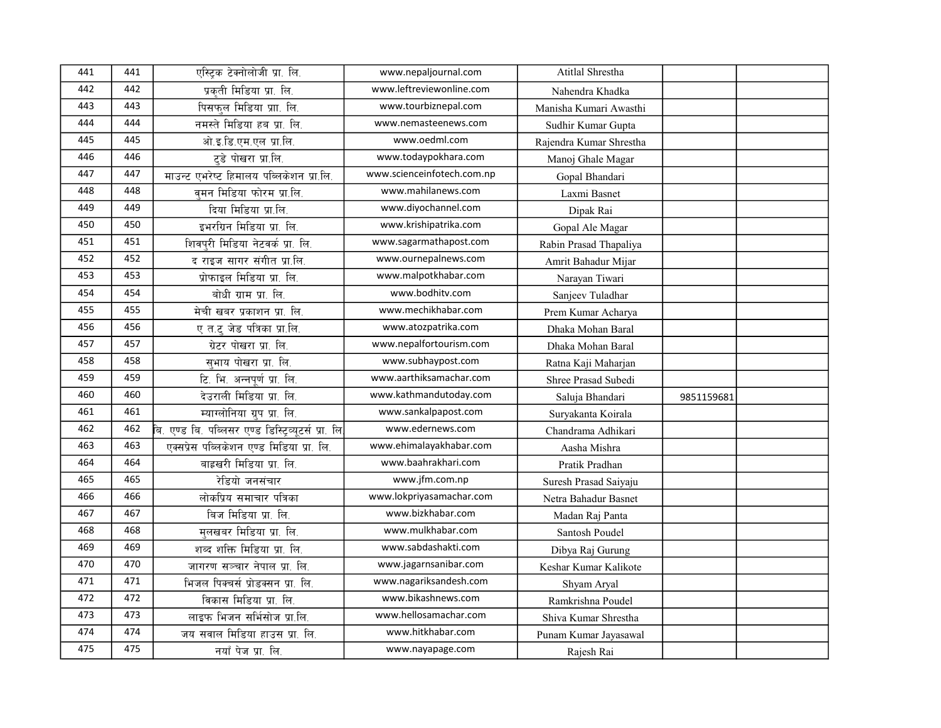| 441 | 441 | एस्ट्रिक टेक्नोलोजी प्रा. लि.                            | www.nepaljournal.com       | Atitlal Shrestha        |            |  |
|-----|-----|----------------------------------------------------------|----------------------------|-------------------------|------------|--|
| 442 | 442 | प्रकती मिडिया प्रा. लि.                                  | www.leftreviewonline.com   | Nahendra Khadka         |            |  |
| 443 | 443 | पिसफल मिडिया प्राा. लि.                                  | www.tourbiznepal.com       | Manisha Kumari Awasthi  |            |  |
| 444 | 444 | नमस्ते मिडिया हब प्रा. लि.                               | www.nemasteenews.com       | Sudhir Kumar Gupta      |            |  |
| 445 | 445 | ओ.इ.डि.एम.एल प्रा.लि.                                    | www.oedml.com              | Rajendra Kumar Shrestha |            |  |
| 446 | 446 | टडे पोखरा प्रा.लि.                                       | www.todaypokhara.com       | Manoj Ghale Magar       |            |  |
| 447 | 447 | माउन्ट एभरेष्ट हिमालय पब्लिकेशन प्रा.लि.                 | www.scienceinfotech.com.np | Gopal Bhandari          |            |  |
| 448 | 448 | वमन मिडिया फोरम प्रा.लि.                                 | www.mahilanews.com         | Laxmi Basnet            |            |  |
| 449 | 449 | दिया मिडिया प्रा.लि.                                     | www.diyochannel.com        | Dipak Rai               |            |  |
| 450 | 450 | इभरग्रिन मिडिया प्रा. लि.                                | www.krishipatrika.com      | Gopal Ale Magar         |            |  |
| 451 | 451 | शिवपुरी मिडिया नेटवर्क प्रा. लि.                         | www.sagarmathapost.com     | Rabin Prasad Thapaliya  |            |  |
| 452 | 452 | द राइज सागर संगीत प्रा.लि.                               | www.ournepalnews.com       | Amrit Bahadur Mijar     |            |  |
| 453 | 453 | प्रोफाइल मिडिया प्रा. लि.                                | www.malpotkhabar.com       | Narayan Tiwari          |            |  |
| 454 | 454 | बोधी ग्राम प्रा. लि.                                     | www.bodhitv.com            | Sanjeev Tuladhar        |            |  |
| 455 | 455 | मेची खबर प्रकाशन प्रा. लि.                               | www.mechikhabar.com        | Prem Kumar Acharya      |            |  |
| 456 | 456 | ए त.ट् जेड पत्रिका प्रा.लि.                              | www.atozpatrika.com        | Dhaka Mohan Baral       |            |  |
| 457 | 457 | ग्रेटर पोखरा प्रा. लि.                                   | www.nepalfortourism.com    | Dhaka Mohan Baral       |            |  |
| 458 | 458 | सभाय पोखरा प्रा. लि.                                     | www.subhaypost.com         | Ratna Kaji Maharjan     |            |  |
| 459 | 459 | टि. भि. अन्नपूर्ण प्रा. लि.                              | www.aarthiksamachar.com    | Shree Prasad Subedi     |            |  |
| 460 | 460 | देउराली मिडिया प्रा. लि.                                 | www.kathmandutoday.com     | Saluja Bhandari         | 9851159681 |  |
| 461 | 461 | म्याग्लोनिया ग्रुप प्रा. लि.                             | www.sankalpapost.com       | Suryakanta Koirala      |            |  |
| 462 | 462 | .<br>बि. एण्ड बि. पब्लिसर एण्ड डिस्ट्रिव्यूटर्स प्रा. लि | www.edernews.com           | Chandrama Adhikari      |            |  |
| 463 | 463 | एक्सप्रेस पब्लिकेशन एण्ड मिडिया प्रा. लि.                | www.ehimalayakhabar.com    | Aasha Mishra            |            |  |
| 464 | 464 | बाह्रखरी मिडिया प्रा. लि.                                | www.baahrakhari.com        | Pratik Pradhan          |            |  |
| 465 | 465 | रेडियो जनसंचार                                           | www.jfm.com.np             | Suresh Prasad Saiyaju   |            |  |
| 466 | 466 | लोकप्रिय समाचार पत्रिका                                  | www.lokpriyasamachar.com   | Netra Bahadur Basnet    |            |  |
| 467 | 467 | बिज मिडिया प्रा. लि.                                     | www.bizkhabar.com          | Madan Raj Panta         |            |  |
| 468 | 468 | मलखबर मिडिया प्रा. लि.                                   | www.mulkhabar.com          | Santosh Poudel          |            |  |
| 469 | 469 | शब्द शक्ति मिडिया प्रा. लि.                              | www.sabdashakti.com        | Dibya Raj Gurung        |            |  |
| 470 | 470 | जागरण सञ्चार नेपाल प्रा. लि.                             | www.jagarnsanibar.com      | Keshar Kumar Kalikote   |            |  |
| 471 | 471 | भिजल पिक्चर्स प्रोडक्सन प्रा. लि.                        | www.nagariksandesh.com     | Shyam Aryal             |            |  |
| 472 | 472 | विकास मिडिया प्रा. लि.                                   | www.bikashnews.com         | Ramkrishna Poudel       |            |  |
| 473 | 473 | लाइफ भिजन सर्भिसोज प्रा.लि.                              | www.hellosamachar.com      | Shiva Kumar Shrestha    |            |  |
| 474 | 474 | जय सवाल मिडिया हाउस प्रा. लि.                            | www.hitkhabar.com          | Punam Kumar Jayasawal   |            |  |
| 475 | 475 | नयाँ पेज प्रा. लि.                                       | www.nayapage.com           | Rajesh Rai              |            |  |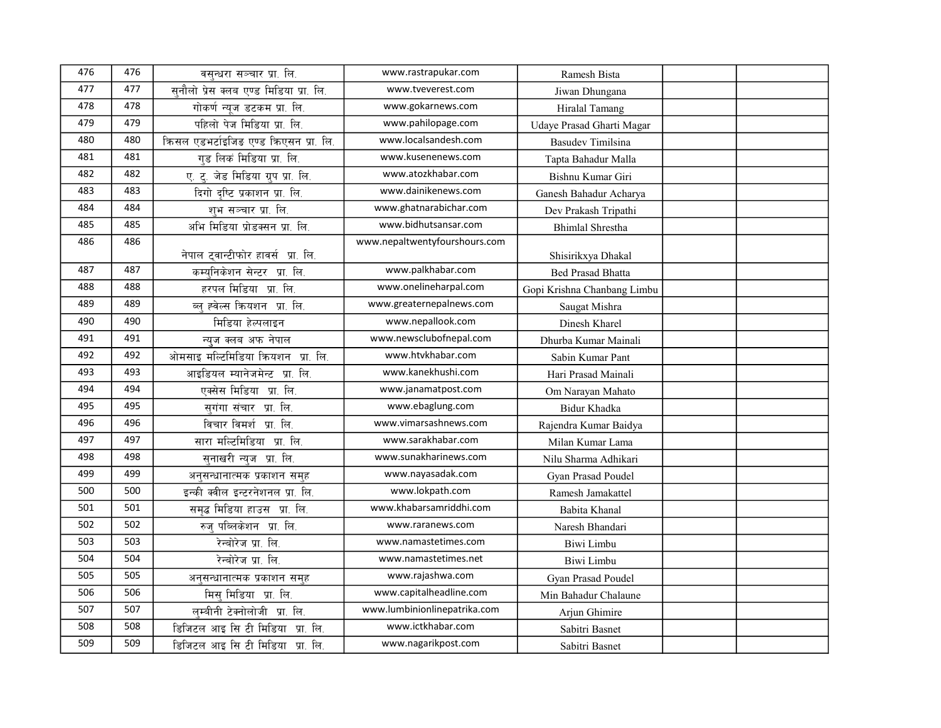| 476 | 476 | वसन्धरा सञ्चार प्रा. लि.               | www.rastrapukar.com           | Ramesh Bista                                   |  |
|-----|-----|----------------------------------------|-------------------------------|------------------------------------------------|--|
| 477 | 477 | सनौलो प्रेस क्लब एण्ड मिडिया प्रा. लि. | www.tveverest.com             | Jiwan Dhungana                                 |  |
| 478 | 478 | गोकर्ण न्युज डटकम प्रा. लि.            | www.gokarnews.com             | Hiralal Tamang                                 |  |
| 479 | 479 | पहिलो पेज मिडिया प्रा. लि.             | www.pahilopage.com            | Udaye Prasad Gharti Magar                      |  |
| 480 | 480 | किसल एडभर्टाइजिड एण्ड किएसन प्रा. लि.  | www.localsandesh.com          | <b>Basudev Timilsina</b>                       |  |
| 481 | 481 | गड लिक मिडिया प्रा. लि.                | www.kusenenews.com            | Tapta Bahadur Malla                            |  |
| 482 | 482 | ए. दु. जेड मिडिया ग्रुप प्रा. लि.      | www.atozkhabar.com            | Bishnu Kumar Giri                              |  |
| 483 | 483 | दिगो दृष्टि प्रकाशन प्रा. लि.          | www.dainikenews.com           | Ganesh Bahadur Acharya                         |  |
| 484 | 484 | शभ सञ्चार प्रा. लि.                    | www.ghatnarabichar.com        | Dev Prakash Tripathi                           |  |
| 485 | 485 | अभि मिडिया प्रोडक्सन प्रा. लि.         | www.bidhutsansar.com          | <b>Bhimlal Shrestha</b>                        |  |
| 486 | 486 | नेपाल ट्वान्टीफोर हावर्स प्रा. लि.     | www.nepaltwentyfourshours.com |                                                |  |
| 487 | 487 | कम्यनिकेशन सेन्टर प्रा. लि.            | www.palkhabar.com             | Shisirikxya Dhakal<br><b>Bed Prasad Bhatta</b> |  |
| 488 | 488 | हरपल मिडिया प्रा. लि.                  | www.onelineharpal.com         |                                                |  |
| 489 | 489 | ब्ल् ह्वेल्स क्रियशन प्रा. लि.         | www.greaternepalnews.com      | Gopi Krishna Chanbang Limbu                    |  |
| 490 | 490 |                                        | www.nepallook.com             | Saugat Mishra                                  |  |
| 491 | 491 | मिडिया हेल्पलाइन                       | www.newsclubofnepal.com       | Dinesh Kharel                                  |  |
| 492 | 492 | न्युज क्लब अफ नेपाल                    | www.htvkhabar.com             | Dhurba Kumar Mainali                           |  |
| 493 | 493 | ओमसाइ मल्टिमिडिया क्रियशन प्रा. लि.    | www.kanekhushi.com            | Sabin Kumar Pant                               |  |
| 494 | 494 | आइडियल म्यानेजमेन्ट प्रा. लि.          |                               | Hari Prasad Mainali                            |  |
|     |     | एक्सेस मिडिया प्रा. लि.                | www.janamatpost.com           | Om Narayan Mahato                              |  |
| 495 | 495 | सगंगा संचार प्रा. लि.                  | www.ebaglung.com              | <b>Bidur Khadka</b>                            |  |
| 496 | 496 | विचार विमर्श प्रा. लि.                 | www.vimarsashnews.com         | Rajendra Kumar Baidya                          |  |
| 497 | 497 | सारा मल्टिमिडिया प्रा. लि.             | www.sarakhabar.com            | Milan Kumar Lama                               |  |
| 498 | 498 | सनाखरी न्यज प्रा. लि.                  | www.sunakharinews.com         | Nilu Sharma Adhikari                           |  |
| 499 | 499 | अनुसन्धानात्मक प्रकाशन समुह            | www.nayasadak.com             | Gyan Prasad Poudel                             |  |
| 500 | 500 | इन्की क्वील इन्टरनेशनल प्रा. लि.       | www.lokpath.com               | Ramesh Jamakattel                              |  |
| 501 | 501 | समृद्ध मिडिया हाउस प्रा. लि.           | www.khabarsamriddhi.com       | Babita Khanal                                  |  |
| 502 | 502 | रुज् पब्लिकेशन प्रा. लि.               | www.raranews.com              | Naresh Bhandari                                |  |
| 503 | 503 | रेन्बोरेज प्रा. लि.                    | www.namastetimes.com          | Biwi Limbu                                     |  |
| 504 | 504 | रेन्बोरेज प्रा. लि.                    | www.namastetimes.net          | Biwi Limbu                                     |  |
| 505 | 505 | अनुसन्धानात्मक प्रकाशन समुह            | www.rajashwa.com              | Gyan Prasad Poudel                             |  |
| 506 | 506 | मिस मिडिया प्रा. लि.                   | www.capitalheadline.com       | Min Bahadur Chalaune                           |  |
| 507 | 507 | लम्बीनी टेक्नोलोजी प्रा. लि.           | www.lumbinionlinepatrika.com  | Arjun Ghimire                                  |  |
| 508 | 508 | डिजिटल आइ सि टी मिडिया प्रा. लि.       | www.ictkhabar.com             | Sabitri Basnet                                 |  |
| 509 | 509 | डिजिटल आइ सि टी मिडिया प्रा. लि.       | www.nagarikpost.com           | Sabitri Basnet                                 |  |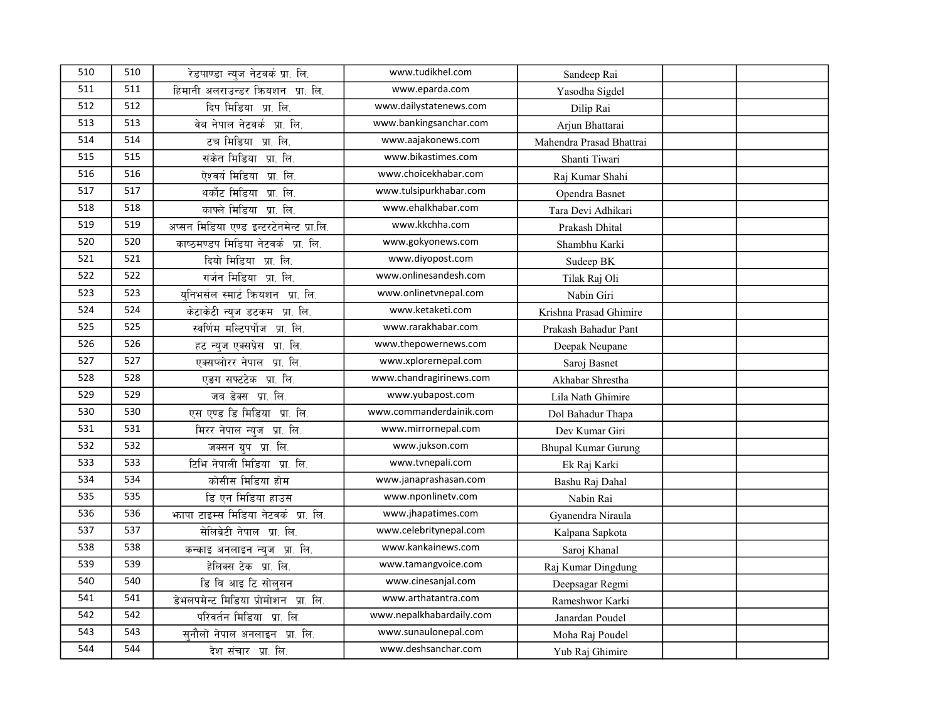| 510 | 510 | रेडपाण्डा न्यज नेटवर्क प्रा. लि.         | www.tudikhel.com         | Sandeep Rai                |  |
|-----|-----|------------------------------------------|--------------------------|----------------------------|--|
| 511 | 511 | हिमानी अलराउन्डर क्रियशन प्रा. लि.       | www.eparda.com           | Yasodha Sigdel             |  |
| 512 | 512 | दिप मिडिया प्रा. लि.                     | www.dailystatenews.com   | Dilip Rai                  |  |
| 513 | 513 | वेब नेपाल नेटवर्क प्रा. लि.              | www.bankingsanchar.com   | Arjun Bhattarai            |  |
| 514 | 514 | टच मिडिया प्रा. लि.                      | www.aajakonews.com       | Mahendra Prasad Bhattrai   |  |
| 515 | 515 | संकेत मिडिया प्रा. लि.                   | www.bikastimes.com       | Shanti Tiwari              |  |
| 516 | 516 | ऐश्वर्य मिडिया प्रा. लि.                 | www.choicekhabar.com     | Raj Kumar Shahi            |  |
| 517 | 517 | थर्कोट मिडिया प्रा. लि.                  | www.tulsipurkhabar.com   | Opendra Basnet             |  |
| 518 | 518 | काफ्ले मिडिया प्रा. लि.                  | www.ehalkhabar.com       | Tara Devi Adhikari         |  |
| 519 | 519 | अप्सन मिडिया एण्ड इन्टरटेनमेन्ट प्रा.लि. | www.kkchha.com           | Prakash Dhital             |  |
| 520 | 520 | काष्ठमण्डप मिडिया नेटवर्क प्रा. लि.      | www.gokyonews.com        | Shambhu Karki              |  |
| 521 | 521 | दियो मिडिया प्रा. लि.                    | www.diyopost.com         | Sudeep BK                  |  |
| 522 | 522 | गर्जन मिडिया प्रा. लि.                   | www.onlinesandesh.com    | Tilak Raj Oli              |  |
| 523 | 523 | यनिभर्सल स्मार्ट क्रियशन प्रा. लि.       | www.onlinetvnepal.com    | Nabin Giri                 |  |
| 524 | 524 | केटाकेटी न्युज डटकम प्रा. लि.            | www.ketaketi.com         | Krishna Prasad Ghimire     |  |
| 525 | 525 | स्वर्णिम मल्टिपर्पोज प्रा. लि.           | www.rarakhabar.com       | Prakash Bahadur Pant       |  |
| 526 | 526 | हट न्युज एक्सप्रेस प्रा. लि.             | www.thepowernews.com     | Deepak Neupane             |  |
| 527 | 527 | एक्सप्लोरर नेपाल प्रा. लि.               | www.xplorernepal.com     | Saroj Basnet               |  |
| 528 | 528 | एडग सफ्टटेक प्रा. लि.                    | www.chandragirinews.com  | Akhabar Shrestha           |  |
| 529 | 529 | जब डेक्स प्रा. लि.                       | www.yubapost.com         | Lila Nath Ghimire          |  |
| 530 | 530 | एस एण्ड डि मिडिया प्रा. लि.              | www.commanderdainik.com  | Dol Bahadur Thapa          |  |
| 531 | 531 | मिरर नेपाल न्युज प्रा. लि.               | www.mirrornepal.com      | Dev Kumar Giri             |  |
| 532 | 532 | जक्सन ग्रुप प्रा. लि.                    | www.jukson.com           | <b>Bhupal Kumar Gurung</b> |  |
| 533 | 533 | टिभि नेपाली मिडिया प्रा. लि.             | www.tvnepali.com         | Ek Raj Karki               |  |
| 534 | 534 | कोसीस मिडिया होम                         | www.janaprashasan.com    | Bashu Raj Dahal            |  |
| 535 | 535 | डि एन मिडिया हाउस                        | www.nponlinetv.com       | Nabin Rai                  |  |
| 536 | 536 | भगपा टाइम्स मिडिया नेटवर्क प्रा. लि.     | www.jhapatimes.com       | Gyanendra Niraula          |  |
| 537 | 537 | सेलिब्रेटी नेपाल प्रा. लि.               | www.celebritynepal.com   | Kalpana Sapkota            |  |
| 538 | 538 | कन्काइ अनलाइन न्युज प्रा. लि.            | www.kankainews.com       | Saroj Khanal               |  |
| 539 | 539 | हेलिक्स टेक प्रा. लि.                    | www.tamangvoice.com      | Raj Kumar Dingdung         |  |
| 540 | 540 | डि बि आइ टि सोल्सन                       | www.cinesanjal.com       | Deepsagar Regmi            |  |
| 541 | 541 | डेभलपमेन्ट मिडिया प्रोमोशन प्रा. लि.     | www.arthatantra.com      | Rameshwor Karki            |  |
| 542 | 542 | परिवर्तन मिडिया प्रा. लि.                | www.nepalkhabardaily.com | Janardan Poudel            |  |
| 543 | 543 | सुनौलो नेपाल अनलाइन प्रा. लि.            | www.sunaulonepal.com     | Moha Raj Poudel            |  |
| 544 | 544 | देश संचार प्रा. लि.                      | www.deshsanchar.com      | Yub Raj Ghimire            |  |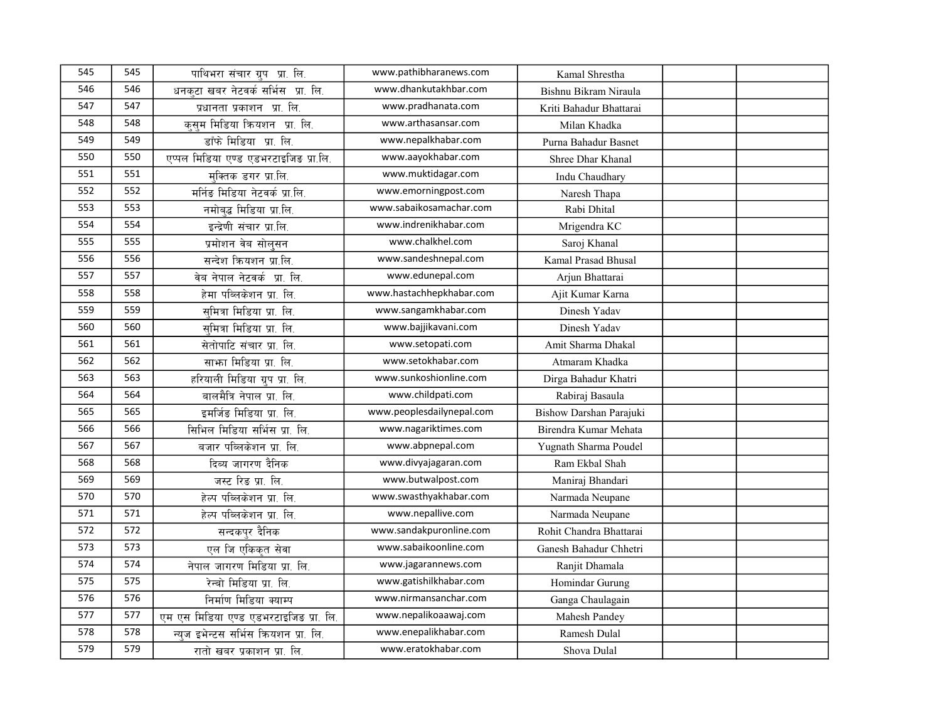| 545 | 545 | पाथिभरा संचार ग्रुप प्रा. लि.          | www.pathibharanews.com    | Kamal Shrestha          |  |
|-----|-----|----------------------------------------|---------------------------|-------------------------|--|
| 546 | 546 | धनकटा खबर नेटवर्क सर्भिस प्रा. लि.     | www.dhankutakhbar.com     | Bishnu Bikram Niraula   |  |
| 547 | 547 | प्रधानता प्रकाशन प्रा. लि.             | www.pradhanata.com        | Kriti Bahadur Bhattarai |  |
| 548 | 548 | कसम मिडिया क्रियशन प्रा. लि.           | www.arthasansar.com       | Milan Khadka            |  |
| 549 | 549 | डाँफे मिडिया प्रा. लि.                 | www.nepalkhabar.com       | Purna Bahadur Basnet    |  |
| 550 | 550 | एप्पल मिडिया एण्ड एडभरटाइजिङ प्रा.लि.  | www.aayokhabar.com        | Shree Dhar Khanal       |  |
| 551 | 551 | मक्तिक डगर प्रा.लि.                    | www.muktidagar.com        | Indu Chaudhary          |  |
| 552 | 552 | मर्निङ मिडिया नेटवर्क प्रा.लि.         | www.emorningpost.com      | Naresh Thapa            |  |
| 553 | 553 | नमोबद्ध मिडिया प्रा.लि.                | www.sabaikosamachar.com   | Rabi Dhital             |  |
| 554 | 554 | इन्द्रेणी संचार प्रा.लि.               | www.indrenikhabar.com     | Mrigendra KC            |  |
| 555 | 555 | प्रमोशन वेब सोलुसन                     | www.chalkhel.com          | Saroj Khanal            |  |
| 556 | 556 | सन्देश क्रियशन प्रा.लि.                | www.sandeshnepal.com      | Kamal Prasad Bhusal     |  |
| 557 | 557 | वेब नेपाल नेटवर्क प्रा. लि.            | www.edunepal.com          | Arjun Bhattarai         |  |
| 558 | 558 | हेमा पब्लिकेशन प्रा. लि.               | www.hastachhepkhabar.com  | Ajit Kumar Karna        |  |
| 559 | 559 | समित्रा मिडिया प्रा. लि.               | www.sangamkhabar.com      | Dinesh Yadav            |  |
| 560 | 560 | समित्रा मिडिया प्रा. लि.               | www.bajjikavani.com       | Dinesh Yadav            |  |
| 561 | 561 | सेतोपाटि संचार प्रा. लि.               | www.setopati.com          | Amit Sharma Dhakal      |  |
| 562 | 562 | साफ़ा मिडिया प्रा. लि.                 | www.setokhabar.com        | Atmaram Khadka          |  |
| 563 | 563 | हरियाली मिडिया ग्रुप प्रा. लि.         | www.sunkoshionline.com    | Dirga Bahadur Khatri    |  |
| 564 | 564 | बालमैत्रि नेपाल प्रा. लि.              | www.childpati.com         | Rabiraj Basaula         |  |
| 565 | 565 | इमर्जिङ मिडिया प्रा. लि.               | www.peoplesdailynepal.com | Bishow Darshan Parajuki |  |
| 566 | 566 | सिभिल मिडिया सर्भिस प्रा. लि.          | www.nagariktimes.com      | Birendra Kumar Mehata   |  |
| 567 | 567 | बजार पब्लिकेशन प्रा. लि.               | www.abpnepal.com          | Yugnath Sharma Poudel   |  |
| 568 | 568 | दिब्य जागरण दैनिक                      | www.divyajagaran.com      | Ram Ekbal Shah          |  |
| 569 | 569 | जस्ट रिङ प्रा. लि.                     | www.butwalpost.com        | Maniraj Bhandari        |  |
| 570 | 570 | हेल्प पब्लिकेशन प्रा. लि.              | www.swasthyakhabar.com    | Narmada Neupane         |  |
| 571 | 571 | हेल्प पब्लिकेशन प्रा. लि.              | www.nepallive.com         | Narmada Neupane         |  |
| 572 | 572 | सन्दकपुर दैनिक                         | www.sandakpuronline.com   | Rohit Chandra Bhattarai |  |
| 573 | 573 | एल जि एकिकृत सेवा                      | www.sabaikoonline.com     | Ganesh Bahadur Chhetri  |  |
| 574 | 574 | नेपाल जागरण मिडिया प्रा. लि.           | www.jagarannews.com       | Ranjit Dhamala          |  |
| 575 | 575 | रेन्बो मिडिया प्रा. लि.                | www.gatishilkhabar.com    | Homindar Gurung         |  |
| 576 | 576 | निर्माण मिडिया क्याम्प                 | www.nirmansanchar.com     | Ganga Chaulagain        |  |
| 577 | 577 | एम एस मिडिया एण्ड एडभरटाइजिड प्रा. लि. | www.nepalikoaawaj.com     | Mahesh Pandey           |  |
| 578 | 578 | न्यज इभेन्टस सर्भिस क्रियशन प्रा. लि.  | www.enepalikhabar.com     | Ramesh Dulal            |  |
| 579 | 579 | रातो खबर प्रकाशन प्रा. लि.             | www.eratokhabar.com       | Shova Dulal             |  |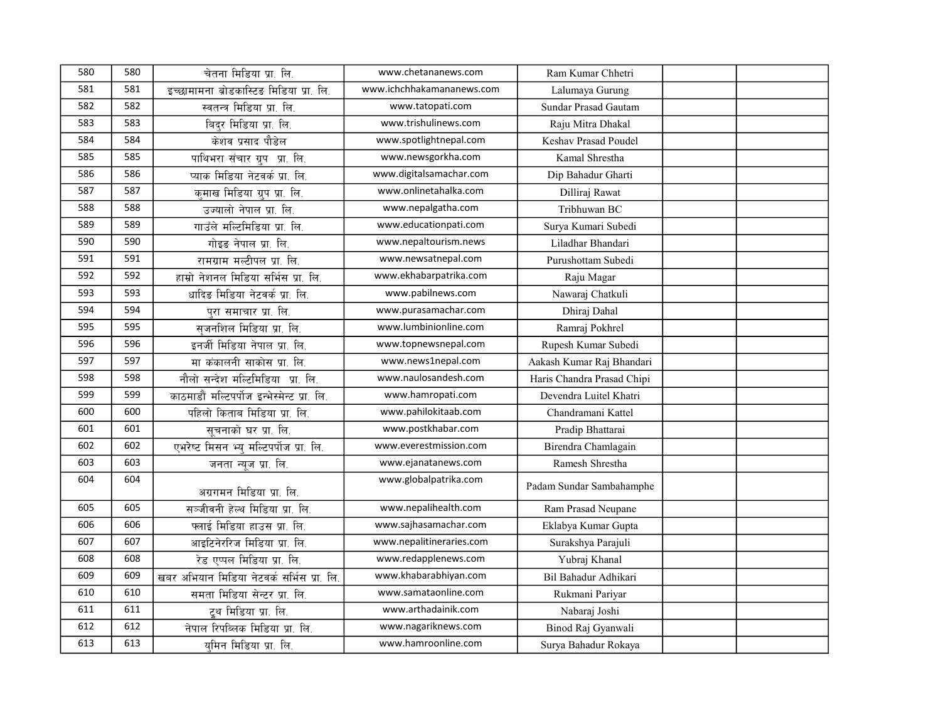| 580 | 580 | चेतना मिडिया प्रा. लि.                      | www.chetananews.com       | Ram Kumar Chhetri          |  |
|-----|-----|---------------------------------------------|---------------------------|----------------------------|--|
| 581 | 581 |                                             | www.ichchhakamananews.com |                            |  |
|     | 582 | इच्छामामना ब्रोडकास्टिङ मिडिया प्रा. लि.    |                           | Lalumaya Gurung            |  |
| 582 |     | स्वतन्त्र मिडिया प्रा. लि.                  | www.tatopati.com          | Sundar Prasad Gautam       |  |
| 583 | 583 | बिदर मिडिया प्रा. लि.                       | www.trishulinews.com      | Raju Mitra Dhakal          |  |
| 584 | 584 | केशव प्रसाद पौडेल                           | www.spotlightnepal.com    | Keshav Prasad Poudel       |  |
| 585 | 585 | पाथिभरा संचार ग्रुप प्रा. लि.               | www.newsgorkha.com        | Kamal Shrestha             |  |
| 586 | 586 | प्याक मिडिया नेटवर्क प्रा. लि.              | www.digitalsamachar.com   | Dip Bahadur Gharti         |  |
| 587 | 587 | कमाख मिडिया ग्रुप प्रा. लि.                 | www.onlinetahalka.com     | Dilliraj Rawat             |  |
| 588 | 588 | उज्यालो नेपाल प्रा. लि.                     | www.nepalgatha.com        | Tribhuwan BC               |  |
| 589 | 589 | गाउँले मल्टिमिडिया प्रा. लि.                | www.educationpati.com     | Surya Kumari Subedi        |  |
| 590 | 590 | गोइड नेपाल प्रा. लि.                        | www.nepaltourism.news     | Liladhar Bhandari          |  |
| 591 | 591 | रामग्राम मल्टीपल प्रा. लि.                  | www.newsatnepal.com       | Purushottam Subedi         |  |
| 592 | 592 | हाम्रो नेशनल मिडिया सर्भिस प्रा. लि.        | www.ekhabarpatrika.com    | Raju Magar                 |  |
| 593 | 593 | धादिङ मिडिया नेटवर्क प्रा. लि.              | www.pabilnews.com         | Nawaraj Chatkuli           |  |
| 594 | 594 | परा समाचार प्रा. लि.                        | www.purasamachar.com      | Dhiraj Dahal               |  |
| 595 | 595 | सजनशिल मिडिया प्रा. लि.                     | www.lumbinionline.com     | Ramraj Pokhrel             |  |
| 596 | 596 | इनर्जी मिडिया नेपाल प्रा. लि.               | www.topnewsnepal.com      | Rupesh Kumar Subedi        |  |
| 597 | 597 | मा कंकालनी साकोस प्रा. लि.                  | www.news1nepal.com        | Aakash Kumar Raj Bhandari  |  |
| 598 | 598 | नौलो सन्देश मल्टिमिडिया प्रा. लि.           | www.naulosandesh.com      | Haris Chandra Prasad Chipi |  |
| 599 | 599 | काठमाडौं मल्टिपर्पोज इन्भेस्मेन्ट प्रा. लि. | www.hamropati.com         | Devendra Luitel Khatri     |  |
| 600 | 600 | पहिलो किताब मिडिया प्रा. लि.                | www.pahilokitaab.com      | Chandramani Kattel         |  |
| 601 | 601 | सूचनाको घर प्रा. लि.                        | www.postkhabar.com        | Pradip Bhattarai           |  |
| 602 | 602 | एभरेष्ट मिसन भ्य मल्टिपर्पोज प्रा. लि.      | www.everestmission.com    | Birendra Chamlagain        |  |
| 603 | 603 | जनता न्यूज प्रा. लि.                        | www.ejanatanews.com       | Ramesh Shrestha            |  |
| 604 | 604 | अग्रगमन मिडिया प्रा. लि.                    | www.globalpatrika.com     | Padam Sundar Sambahamphe   |  |
|     | 605 |                                             | www.nepalihealth.com      |                            |  |
| 605 |     | सञ्जीवनी हेल्थ मिडिया प्रा. लि.             |                           | Ram Prasad Neupane         |  |
| 606 | 606 | फ्लाई मिडिया हाउस प्रा. लि.                 | www.sajhasamachar.com     | Eklabya Kumar Gupta        |  |
| 607 | 607 | आइटिनेररिज मिडिया प्रा. लि.                 | www.nepalitineraries.com  | Surakshya Parajuli         |  |
| 608 | 608 | रेड एप्पल मिडिया प्रा. लि.                  | www.redapplenews.com      | Yubraj Khanal              |  |
| 609 | 609 | खबर अभियान मिडिया नेटवर्क सर्भिस प्रा. लि.  | www.khabarabhiyan.com     | Bil Bahadur Adhikari       |  |
| 610 | 610 | समता मिडिया सेन्टर प्रा. लि.                | www.samataonline.com      | Rukmani Pariyar            |  |
| 611 | 611 | टूथ मिडिया प्रा. लि.                        | www.arthadainik.com       | Nabaraj Joshi              |  |
| 612 | 612 | नेपाल रिपब्लिक मिडिया प्रा. लि.             | www.nagariknews.com       | Binod Raj Gyanwali         |  |
| 613 | 613 | यमिन मिडिया प्रा. लि.                       | www.hamroonline.com       | Surya Bahadur Rokaya       |  |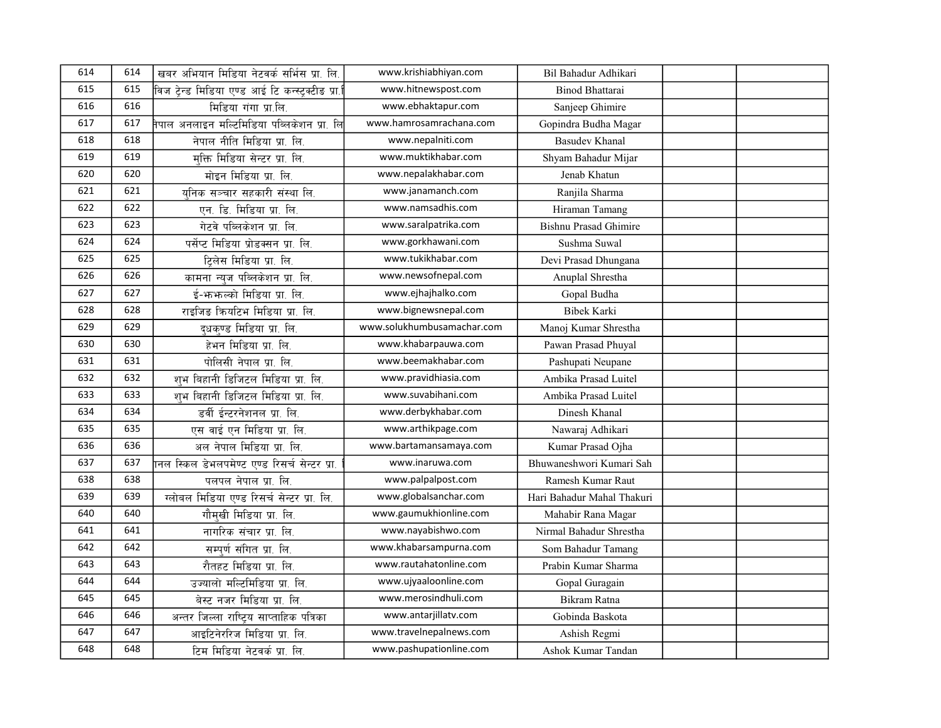| 614 | 614 | खबर अभियान मिडिया नेटवर्क सर्भिस प्रा. लि.              | www.krishiabhiyan.com      | Bil Bahadur Adhikari         |  |
|-----|-----|---------------------------------------------------------|----------------------------|------------------------------|--|
| 615 | 615 | विज टेन्ड मिडिया एण्ड आई टि कन्स्ट्रक्टीड प्रा.         | www.hitnewspost.com        | <b>Binod Bhattarai</b>       |  |
| 616 | 616 | मिडिया गंगा प्रा.लि.                                    | www.ebhaktapur.com         | Sanjeep Ghimire              |  |
| 617 | 617 | <u>।</u><br>नेपाल अनलाइन मल्टिमिडिया पब्लिकेशन प्रा. लि | www.hamrosamrachana.com    | Gopindra Budha Magar         |  |
| 618 | 618 | नेपाल नीति मिडिया प्रा. लि.                             | www.nepalniti.com          | <b>Basudev Khanal</b>        |  |
| 619 | 619 | मक्ति मिडिया सेन्टर प्रा. लि.                           | www.muktikhabar.com        | Shyam Bahadur Mijar          |  |
| 620 | 620 | मोइन मिडिया प्रा. लि.                                   | www.nepalakhabar.com       | Jenab Khatun                 |  |
| 621 | 621 | यनिक सञ्चार सहकारी संस्था लि.                           | www.janamanch.com          | Ranjila Sharma               |  |
| 622 | 622 | एन. डि. मिडिया प्रा. लि.                                | www.namsadhis.com          | Hiraman Tamang               |  |
| 623 | 623 | गेटवे पब्लिकेशन प्रा. लि.                               | www.saralpatrika.com       | <b>Bishnu Prasad Ghimire</b> |  |
| 624 | 624 | पर्सेप्ट मिडिया प्रोडक्सन प्रा. लि.                     | www.gorkhawani.com         | Sushma Suwal                 |  |
| 625 | 625 | टिलेस मिडिया प्रा. लि.                                  | www.tukikhabar.com         | Devi Prasad Dhungana         |  |
| 626 | 626 | कामना न्युज पब्लिकेशन प्रा. लि.                         | www.newsofnepal.com        | Anuplal Shrestha             |  |
| 627 | 627 | ई-भन्भनल्को मिडिया प्रा. लि.                            | www.ejhajhalko.com         | Gopal Budha                  |  |
| 628 | 628 | राइजिड कियटिभ मिडिया प्रा. लि.                          | www.bignewsnepal.com       | <b>Bibek Karki</b>           |  |
| 629 | 629 | दधकण्ड मिडिया प्रा. लि.                                 | www.solukhumbusamachar.com | Manoj Kumar Shrestha         |  |
| 630 | 630 | हेभन मिडिया प्रा. लि.                                   | www.khabarpauwa.com        | Pawan Prasad Phuyal          |  |
| 631 | 631 | पोलिसी नेपाल प्रा. लि.                                  | www.beemakhabar.com        | Pashupati Neupane            |  |
| 632 | 632 | शुभ बिहानी डिजिटल मिडिया प्रा. लि.                      | www.pravidhiasia.com       | Ambika Prasad Luitel         |  |
| 633 | 633 | शुभ बिहानी डिजिटल मिडिया प्रा. लि.                      | www.suvabihani.com         | Ambika Prasad Luitel         |  |
| 634 | 634 | डर्वी ईन्टरनेशनल प्रा. लि.                              | www.derbykhabar.com        | Dinesh Khanal                |  |
| 635 | 635 | एस वाई एन मिडिया प्रा. लि.                              | www.arthikpage.com         | Nawaraj Adhikari             |  |
| 636 | 636 | अल नेपाल मिडिया प्रा. लि.                               | www.bartamansamaya.com     | Kumar Prasad Ojha            |  |
| 637 | 637 | ानल स्किल डेभलपमेण्ट एण्ड रिसर्च सेन्टर प्रा.           | www.inaruwa.com            | Bhuwaneshwori Kumari Sah     |  |
| 638 | 638 | पलपल नेपाल प्रा. लि.                                    | www.palpalpost.com         | Ramesh Kumar Raut            |  |
| 639 | 639 | ग्लोबल मिडिया एण्ड रिसर्च सेन्टर प्रा. लि.              | www.globalsanchar.com      | Hari Bahadur Mahal Thakuri   |  |
| 640 | 640 | गौमखी मिडिया प्रा. लि.                                  | www.gaumukhionline.com     | Mahabir Rana Magar           |  |
| 641 | 641 | नागरिक संचार प्रा. लि.                                  | www.nayabishwo.com         | Nirmal Bahadur Shrestha      |  |
| 642 | 642 | सम्पूर्ण संगित प्रा. लि.                                | www.khabarsampurna.com     | Som Bahadur Tamang           |  |
| 643 | 643 | रौतहट मिडिया प्रा. लि.                                  | www.rautahatonline.com     | Prabin Kumar Sharma          |  |
| 644 | 644 | उज्यालो मल्टिमिडिया प्रा. लि.                           | www.ujyaaloonline.com      | Gopal Guragain               |  |
| 645 | 645 | बेस्ट नजर मिडिया प्रा. लि.                              | www.merosindhuli.com       | Bikram Ratna                 |  |
| 646 | 646 | अन्तर जिल्ला राष्ट्रिय साप्ताहिक पत्रिका                | www.antarjillatv.com       | Gobinda Baskota              |  |
| 647 | 647 | आइटिनेररिज मिडिया प्रा. लि.                             | www.travelnepalnews.com    | Ashish Regmi                 |  |
| 648 | 648 | टिम मिडिया नेटवर्क प्रा. लि.                            | www.pashupationline.com    | Ashok Kumar Tandan           |  |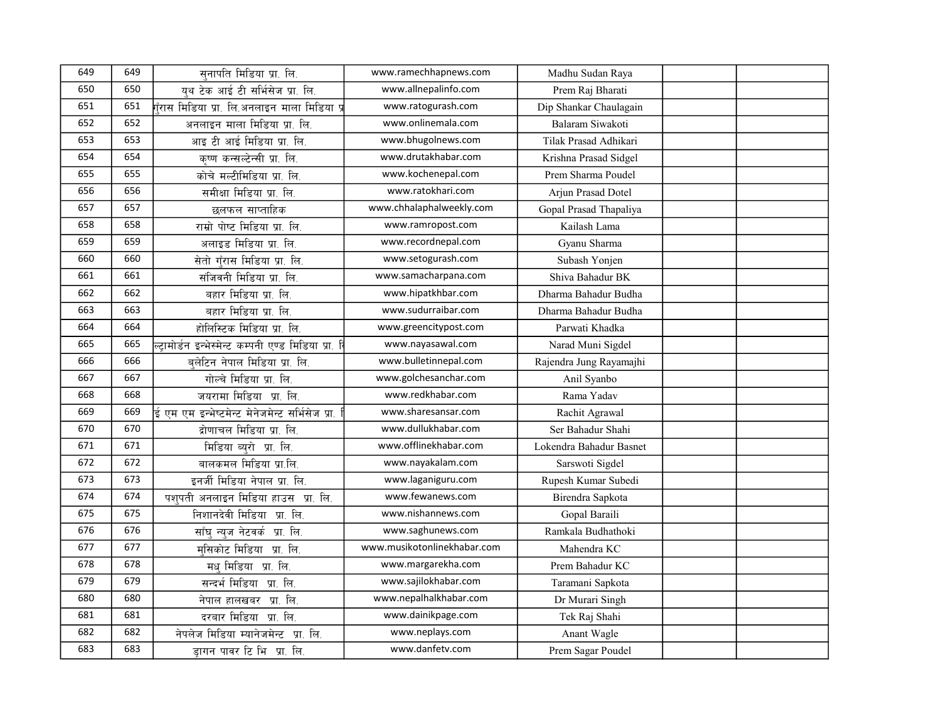| 649 | 649 | सनापति मिडिया प्रा. लि.                             | www.ramechhapnews.com       | Madhu Sudan Raya        |  |
|-----|-----|-----------------------------------------------------|-----------------------------|-------------------------|--|
| 650 | 650 | यथ टेक आई टी सर्भिसेज प्रा. लि.                     | www.allnepalinfo.com        | Prem Raj Bharati        |  |
| 651 | 651 | .<br>गुँरास मिडिया प्रा. लि.अनलाइन माला मिडिया प्र  | www.ratogurash.com          | Dip Shankar Chaulagain  |  |
| 652 | 652 | अनलाइन माला मिडिया प्रा. लि.                        | www.onlinemala.com          | Balaram Siwakoti        |  |
| 653 | 653 | आइ टी आई मिडिया प्रा. लि.                           | www.bhugolnews.com          | Tilak Prasad Adhikari   |  |
| 654 | 654 | कृष्ण कन्सल्टेन्सी प्रा. लि.                        | www.drutakhabar.com         | Krishna Prasad Sidgel   |  |
| 655 | 655 | कोचे मल्टीमिडिया प्रा. लि.                          | www.kochenepal.com          | Prem Sharma Poudel      |  |
| 656 | 656 | समीक्षा मिडिया प्रा. लि.                            | www.ratokhari.com           | Arjun Prasad Dotel      |  |
| 657 | 657 | छलफल साप्ताहिक                                      | www.chhalaphalweekly.com    | Gopal Prasad Thapaliya  |  |
| 658 | 658 | राम्रो पोष्ट मिडिया प्रा. लि.                       | www.ramropost.com           | Kailash Lama            |  |
| 659 | 659 | अलाइड मिडिया प्रा. लि.                              | www.recordnepal.com         | Gyanu Sharma            |  |
| 660 | 660 | सेतो गँरास मिडिया प्रा. लि.                         | www.setogurash.com          | Subash Yonjen           |  |
| 661 | 661 | संजिवनी मिडिया प्रा. लि.                            | www.samacharpana.com        | Shiva Bahadur BK        |  |
| 662 | 662 | बहार मिडिया प्रा. लि.                               | www.hipatkhbar.com          | Dharma Bahadur Budha    |  |
| 663 | 663 | बहार मिडिया प्रा. लि.                               | www.sudurraibar.com         | Dharma Bahadur Budha    |  |
| 664 | 664 | होलिस्टिक मिडिया प्रा. लि.                          | www.greencitypost.com       | Parwati Khadka          |  |
| 665 | 665 | ल्टामोर्डन इन्भेस्मेन्ट कम्पनी एण्ड मिडिया प्रा. बि | www.nayasawal.com           | Narad Muni Sigdel       |  |
| 666 | 666 | बलेटिन नेपाल मिडिया प्रा. लि.                       | www.bulletinnepal.com       | Rajendra Jung Rayamajhi |  |
| 667 | 667 | गोल्चे मिडिया प्रा. लि.                             | www.golchesanchar.com       | Anil Syanbo             |  |
| 668 | 668 | जयरामा मिडिया प्रा. लि.                             | www.redkhabar.com           | Rama Yadav              |  |
| 669 | 669 | ई एम एम इन्भेष्टमेन्ट मेनेजमेन्ट सर्भिसेज प्रा.     | www.sharesansar.com         | Rachit Agrawal          |  |
| 670 | 670 | द्रोणाचल मिडिया प्रा. लि.                           | www.dullukhabar.com         | Ser Bahadur Shahi       |  |
| 671 | 671 | मिडिया ब्युरो प्रा. लि.                             | www.offlinekhabar.com       | Lokendra Bahadur Basnet |  |
| 672 | 672 | बालकमल मिडिया प्रा.लि.                              | www.nayakalam.com           | Sarswoti Sigdel         |  |
| 673 | 673 | इनर्जी मिडिया नेपाल प्रा. लि.                       | www.laganiguru.com          | Rupesh Kumar Subedi     |  |
| 674 | 674 | पशुपती अनलाइन मिडिया हाउस प्रा. लि.                 | www.fewanews.com            | Birendra Sapkota        |  |
| 675 | 675 | निशानदेवी मिडिया प्रा. लि.                          | www.nishannews.com          | Gopal Baraili           |  |
| 676 | 676 | साँघ न्यज नेटवर्क प्रा. लि.                         | www.saghunews.com           | Ramkala Budhathoki      |  |
| 677 | 677 | मसिकोट मिडिया प्रा. लि.                             | www.musikotonlinekhabar.com | Mahendra KC             |  |
| 678 | 678 | मधु मिडिया प्रा. लि.                                | www.margarekha.com          | Prem Bahadur KC         |  |
| 679 | 679 | सन्दर्भ मिडिया प्रा. लि.                            | www.sajilokhabar.com        | Taramani Sapkota        |  |
| 680 | 680 | नेपाल हालखबर प्रा. लि.                              | www.nepalhalkhabar.com      | Dr Murari Singh         |  |
| 681 | 681 | दरबार मिडिया प्रा. लि.                              | www.dainikpage.com          | Tek Raj Shahi           |  |
| 682 | 682 | नेपलेज मिडिया म्यानेजमेन्ट प्रा. लि.                | www.neplays.com             | Anant Wagle             |  |
| 683 | 683 | डागन पावर टि भि प्रा. लि.                           | www.danfetv.com             | Prem Sagar Poudel       |  |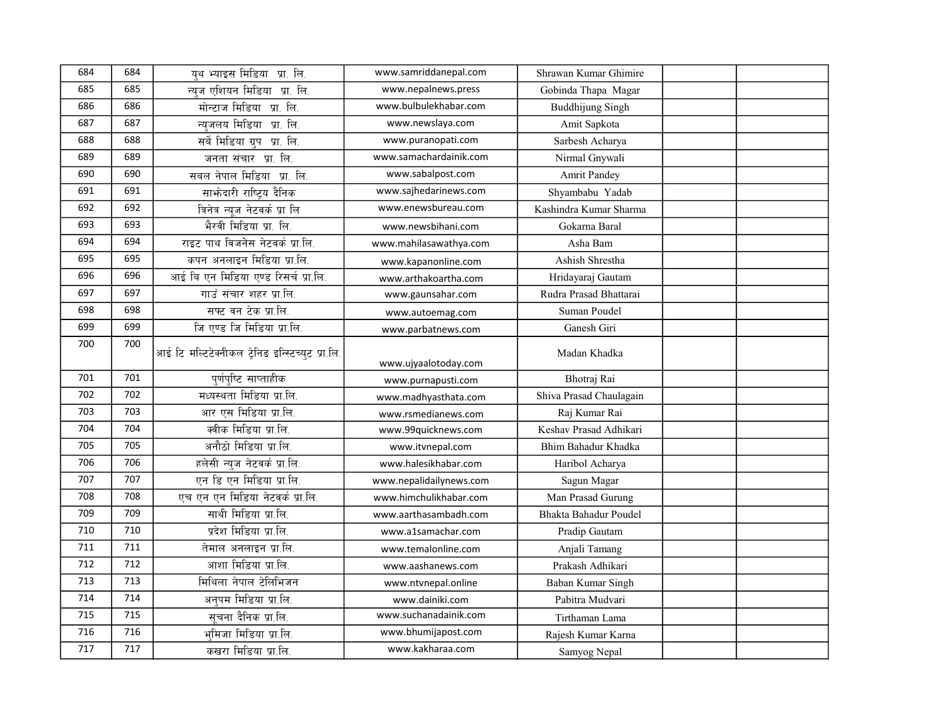| 684 | 684 | यथ भ्याइस मिडिया प्रा. लि.                        | www.samriddanepal.com   | Shrawan Kumar Ghimire   |  |
|-----|-----|---------------------------------------------------|-------------------------|-------------------------|--|
| 685 | 685 | न्यज एशियन मिडिया प्रा. लि.                       | www.nepalnews.press     | Gobinda Thapa Magar     |  |
| 686 | 686 | मोन्टाज मिडिया प्रा. लि.                          | www.bulbulekhabar.com   | <b>Buddhijung Singh</b> |  |
| 687 | 687 | न्यजलय मिडिया प्रा. लि.                           | www.newslaya.com        | Amit Sapkota            |  |
| 688 | 688 | सर्वे मिडिया ग्रुप प्रा. लि.                      | www.puranopati.com      | Sarbesh Acharya         |  |
| 689 | 689 | जनता संचार प्रा. लि.                              | www.samachardainik.com  | Nirmal Gnywali          |  |
| 690 | 690 | सबल नेपाल मिडिया प्रा. लि.                        | www.sabalpost.com       | <b>Amrit Pandey</b>     |  |
| 691 | 691 | साभ्रेदारी राष्ट्रिय दैनिक                        | www.sajhedarinews.com   | Shyambabu Yadab         |  |
| 692 | 692 | त्रिनेत्र न्युज नेटवर्क प्रा लि                   | www.enewsbureau.com     | Kashindra Kumar Sharma  |  |
| 693 | 693 | भैरवी मिडिया प्रा. लि.                            | www.newsbihani.com      | Gokarna Baral           |  |
| 694 | 694 | राइट पाथ विजनेस नेटवर्क प्रा.लि.                  | www.mahilasawathya.com  | Asha Bam                |  |
| 695 | 695 | कपन अनलाइन मिडिया प्रा.लि.                        | www.kapanonline.com     | Ashish Shrestha         |  |
| 696 | 696 | आई बि एन मिडिया एण्ड रिसर्च प्रा.लि.              | www.arthakoartha.com    | Hridayaraj Gautam       |  |
| 697 | 697 | गाउँ संचार शहर प्रा.लि.                           | www.gaunsahar.com       | Rudra Prasad Bhattarai  |  |
| 698 | 698 | सफ्ट बन टेक प्रा.लि.                              | www.autoemag.com        | Suman Poudel            |  |
| 699 | 699 | जि एण्ड जि मिडिया प्रा.लि.                        | www.parbatnews.com      | Ganesh Giri             |  |
| 700 | 700 | आई टि मल्टिटेक्नीकल ट्रेनिङ इन्स्टिच्युट प्रा.लि. | www.ujyaalotoday.com    | Madan Khadka            |  |
| 701 | 701 | पर्णपष्टि साप्ताहीक                               | www.purnapusti.com      | Bhotraj Rai             |  |
| 702 | 702 | मध्यस्थता मिडिया प्रा.लि.                         | www.madhyasthata.com    | Shiva Prasad Chaulagain |  |
| 703 | 703 | आर एस मिडिया प्रा.लि.                             | www.rsmedianews.com     | Raj Kumar Rai           |  |
| 704 | 704 | क्वीक मिडिया प्रा.लि.                             | www.99quicknews.com     | Keshav Prasad Adhikari  |  |
| 705 | 705 | अनौठो मिडिया प्रा.लि.                             | www.itvnepal.com        | Bhim Bahadur Khadka     |  |
| 706 | 706 | हलेसी न्यूज नेटवर्क प्रा.लि.                      | www.halesikhabar.com    | Haribol Acharya         |  |
| 707 | 707 | एन डि एन मिडिया प्रा.लि.                          | www.nepalidailynews.com | Sagun Magar             |  |
| 708 | 708 | एच एन एन मिडिया नेटवर्क प्रा.लि.                  | www.himchulikhabar.com  | Man Prasad Gurung       |  |
| 709 | 709 | साथी मिडिया प्रा.लि.                              | www.aarthasambadh.com   | Bhakta Bahadur Poudel   |  |
| 710 | 710 | प्रदेश मिडिया प्रा.लि.                            | www.a1samachar.com      | Pradip Gautam           |  |
| 711 | 711 | तेमाल अनलाइन प्रा.लि.                             | www.temalonline.com     | Anjali Tamang           |  |
| 712 | 712 | आशा मिडिया प्रा.लि.                               | www.aashanews.com       | Prakash Adhikari        |  |
| 713 | 713 | मिथिला नेपाल टेलिभिजन                             | www.ntvnepal.online     | Baban Kumar Singh       |  |
| 714 | 714 | अनुपम मिडिया प्रा.लि.                             | www.dainiki.com         | Pabitra Mudvari         |  |
| 715 | 715 | सूचना दैनिक प्रा.लि.                              | www.suchanadainik.com   | Tirthaman Lama          |  |
| 716 | 716 | भमिजा मिडिया प्रा.लि.                             | www.bhumijapost.com     | Rajesh Kumar Karna      |  |
| 717 | 717 | कखरा मिडिया प्रा.लि.                              | www.kakharaa.com        | Samyog Nepal            |  |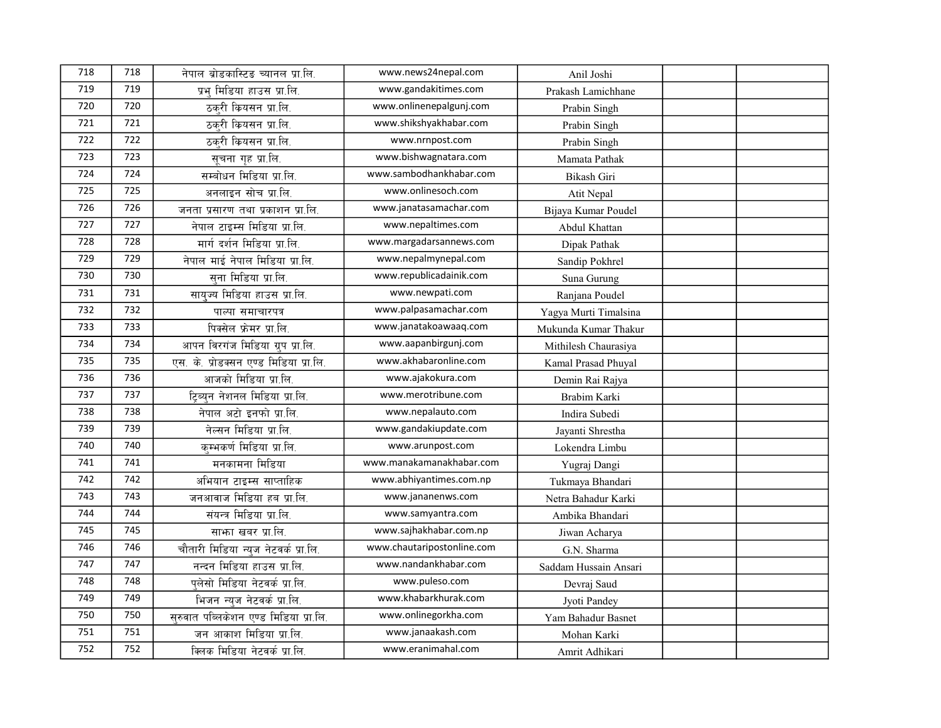| 718 | 718 | नेपाल ब्रोडकास्टिड च्यानल प्रा.लि.     | www.news24nepal.com        | Anil Joshi            |  |
|-----|-----|----------------------------------------|----------------------------|-----------------------|--|
| 719 | 719 | प्रभ मिडिया हाउस प्रा.लि.              | www.gandakitimes.com       | Prakash Lamichhane    |  |
| 720 | 720 | ठकरी कियसन प्रा.लि.                    | www.onlinenepalgunj.com    | Prabin Singh          |  |
| 721 | 721 | ठकरी कियसन प्रा.लि.                    | www.shikshyakhabar.com     | Prabin Singh          |  |
| 722 | 722 | ठकरी कियसन प्रा.लि.                    | www.nrnpost.com            | Prabin Singh          |  |
| 723 | 723 | सूचना गृह प्रा.लि.                     | www.bishwagnatara.com      | Mamata Pathak         |  |
| 724 | 724 | सम्बोधन मिडिया प्रा.लि.                | www.sambodhankhabar.com    | Bikash Giri           |  |
| 725 | 725 | अनलाइन सोच प्रा.लि.                    | www.onlinesoch.com         | Atit Nepal            |  |
| 726 | 726 | जनता प्रसारण तथा प्रकाशन प्रा.लि.      | www.janatasamachar.com     | Bijaya Kumar Poudel   |  |
| 727 | 727 | नेपाल टाइम्स मिडिया प्रा.लि.           | www.nepaltimes.com         | Abdul Khattan         |  |
| 728 | 728 | मार्ग दर्शन मिडिया प्रा.लि.            | www.margadarsannews.com    | Dipak Pathak          |  |
| 729 | 729 | नेपाल माई नेपाल मिडिया प्रा.लि.        | www.nepalmynepal.com       | Sandip Pokhrel        |  |
| 730 | 730 | सना मिडिया प्रा.लि.                    | www.republicadainik.com    | Suna Gurung           |  |
| 731 | 731 | सायुज्य मिडिया हाउस प्रा.लि.           | www.newpati.com            | Ranjana Poudel        |  |
| 732 | 732 | पाल्पा समाचारपत्र                      | www.palpasamachar.com      | Yagya Murti Timalsina |  |
| 733 | 733 | पिक्सेल फ्रेमर प्रा.लि.                | www.janatakoawaaq.com      | Mukunda Kumar Thakur  |  |
| 734 | 734 | आपन विरगंज मिडिया ग्रुप प्रा.लि.       | www.aapanbirgunj.com       | Mithilesh Chaurasiya  |  |
| 735 | 735 | एस. के. प्रोडक्सन एण्ड मिडिया प्रा.लि. | www.akhabaronline.com      | Kamal Prasad Phuyal   |  |
| 736 | 736 | आजको मिडिया प्रा.लि.                   | www.ajakokura.com          | Demin Rai Rajya       |  |
| 737 | 737 | टिब्युन नेशनल मिडिया प्रा.लि.          | www.merotribune.com        | Brabim Karki          |  |
| 738 | 738 | नेपाल अटो इनफो प्रा.लि.                | www.nepalauto.com          | Indira Subedi         |  |
| 739 | 739 | नेल्सन मिडिया प्रा.लि.                 | www.gandakiupdate.com      | Jayanti Shrestha      |  |
| 740 | 740 | कम्भकर्ण मिडिया प्रा.लि.               | www.arunpost.com           | Lokendra Limbu        |  |
| 741 | 741 | मनकामना मिडिया                         | www.manakamanakhabar.com   | Yugraj Dangi          |  |
| 742 | 742 | अभियान टाइम्स साप्ताहिक                | www.abhiyantimes.com.np    | Tukmaya Bhandari      |  |
| 743 | 743 | जनआवाज मिडिया हब प्रा.लि.              | www.jananenws.com          | Netra Bahadur Karki   |  |
| 744 | 744 | संयन्त्र मिडिया प्रा.लि.               | www.samyantra.com          | Ambika Bhandari       |  |
| 745 | 745 | साफा खबर प्रा.लि.                      | www.sajhakhabar.com.np     | Jiwan Acharya         |  |
| 746 | 746 | चौतारी मिडिया न्युज नेटवर्क प्रा.लि.   | www.chautaripostonline.com | G.N. Sharma           |  |
| 747 | 747 | नन्दन मिडिया हाउस प्रा.लि.             | www.nandankhabar.com       | Saddam Hussain Ansari |  |
| 748 | 748 | पुलेसो मिडिया नेटवर्क प्रा.लि.         | www.puleso.com             | Devraj Saud           |  |
| 749 | 749 | भिजन न्यज नेटवर्क प्रा.लि.             | www.khabarkhurak.com       | Jyoti Pandey          |  |
| 750 | 750 | सुरुवात पब्लिकेशन एण्ड मिडिया प्रा.लि. | www.onlinegorkha.com       | Yam Bahadur Basnet    |  |
| 751 | 751 | जन आकाश मिडिया प्रा.लि.                | www.janaakash.com          | Mohan Karki           |  |
| 752 | 752 | क्लिक मिडिया नेटवर्क प्रा.लि.          | www.eranimahal.com         | Amrit Adhikari        |  |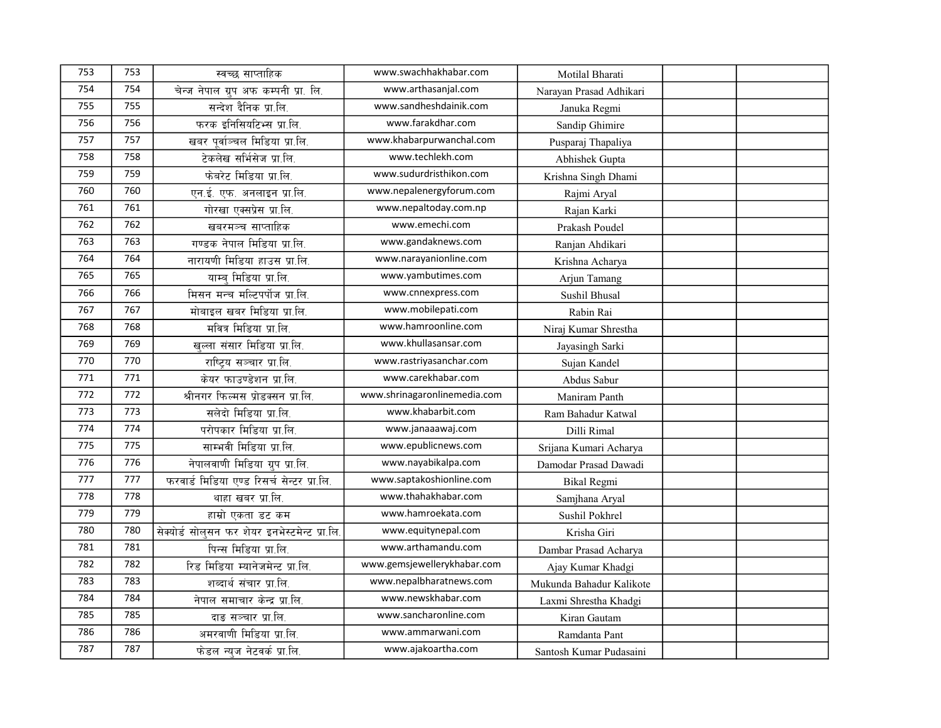| 753 | 753 | स्वच्छ साप्ताहिक                             | www.swachhakhabar.com        | Motilal Bharati          |  |
|-----|-----|----------------------------------------------|------------------------------|--------------------------|--|
| 754 | 754 | चेन्ज नेपाल ग्रुप अफ कम्पनी प्रा. लि.        | www.arthasanjal.com          | Narayan Prasad Adhikari  |  |
| 755 | 755 | सन्देश दैनिक प्रा.लि.                        | www.sandheshdainik.com       | Januka Regmi             |  |
| 756 | 756 | फरक इनिसियटिभ्स प्रा.लि.                     | www.farakdhar.com            | Sandip Ghimire           |  |
| 757 | 757 | खबर पर्वाञ्चल मिडिया प्रा.लि.                | www.khabarpurwanchal.com     | Pusparaj Thapaliya       |  |
| 758 | 758 | टेकलेख सर्भिसेज प्रा.लि.                     | www.techlekh.com             | Abhishek Gupta           |  |
| 759 | 759 | फेबरेट मिडिया प्रा.लि.                       | www.sudurdristhikon.com      | Krishna Singh Dhami      |  |
| 760 | 760 | एन.ई. एफ. अनलाइन प्रा.लि.                    | www.nepalenergyforum.com     | Rajmi Aryal              |  |
| 761 | 761 | गोरखा एक्सप्रेस प्रा.लि.                     | www.nepaltoday.com.np        | Rajan Karki              |  |
| 762 | 762 | खबरमञ्च साप्ताहिक                            | www.emechi.com               | Prakash Poudel           |  |
| 763 | 763 | गण्डक नेपाल मिडिया प्रा.लि.                  | www.gandaknews.com           | Ranjan Ahdikari          |  |
| 764 | 764 | नारायणी मिडिया हाउस प्रा.लि.                 | www.narayanionline.com       | Krishna Acharya          |  |
| 765 | 765 | याम्ब मिडिया प्रा.लि.                        | www.yambutimes.com           | Arjun Tamang             |  |
| 766 | 766 | मिसन मन्च मल्टिपर्पोज प्रा.लि.               | www.cnnexpress.com           | Sushil Bhusal            |  |
| 767 | 767 | मोबाइल खबर मिडिया प्रा.लि.                   | www.mobilepati.com           | Rabin Rai                |  |
| 768 | 768 | मवित्र मिडिया प्रा.लि.                       | www.hamroonline.com          | Niraj Kumar Shrestha     |  |
| 769 | 769 | खल्ला संसार मिडिया प्रा.लि.                  | www.khullasansar.com         | Jayasingh Sarki          |  |
| 770 | 770 | राष्ट्रिय सञ्चार प्रा.लि.                    | www.rastriyasanchar.com      | Sujan Kandel             |  |
| 771 | 771 | केयर फाउण्डेशन प्रा.लि.                      | www.carekhabar.com           | Abdus Sabur              |  |
| 772 | 772 | श्रीनगर फिल्मस प्रोडक्सन प्रा.लि.            | www.shrinagaronlinemedia.com | Maniram Panth            |  |
| 773 | 773 | सलेदो मिडिया प्रा.लि.                        | www.khabarbit.com            | Ram Bahadur Katwal       |  |
| 774 | 774 | परोपकार मिडिया प्रा.लि.                      | www.janaaawaj.com            | Dilli Rimal              |  |
| 775 | 775 | साम्भवी मिडिया प्रा.लि.                      | www.epublicnews.com          | Srijana Kumari Acharya   |  |
| 776 | 776 | नेपालवाणी मिडिया ग्रुप प्रा.लि.              | www.nayabikalpa.com          | Damodar Prasad Dawadi    |  |
| 777 | 777 | फरवार्ड मिडिया एण्ड रिसर्च सेन्टर प्रा.लि.   | www.saptakoshionline.com     | Bikal Regmi              |  |
| 778 | 778 | थाहा खबर प्रा.लि.                            | www.thahakhabar.com          | Samjhana Aryal           |  |
| 779 | 779 | हाम्रो एकता डट कम                            | www.hamroekata.com           | Sushil Pokhrel           |  |
| 780 | 780 | सेक्योर्ड सोलसन फर शेयर इनभेस्टमेन्ट प्रा.लि | www.equitynepal.com          | Krisha Giri              |  |
| 781 | 781 | पिन्स मिडिया प्रा.लि.                        | www.arthamandu.com           | Dambar Prasad Acharya    |  |
| 782 | 782 | रिड मिडिया म्यानेजमेन्ट प्रा.लि.             | www.gemsjewellerykhabar.com  | Ajay Kumar Khadgi        |  |
| 783 | 783 | शब्दार्थ संचार प्रा.लि.                      | www.nepalbharatnews.com      | Mukunda Bahadur Kalikote |  |
| 784 | 784 | नेपाल समाचार केन्द्र प्रा.लि.                | www.newskhabar.com           | Laxmi Shrestha Khadgi    |  |
| 785 | 785 | दाङ सञ्चार प्रा.लि.                          | www.sancharonline.com        | Kiran Gautam             |  |
| 786 | 786 | अमरवाणी मिडिया प्रा.लि.                      | www.ammarwani.com            | Ramdanta Pant            |  |
| 787 | 787 | फेडल न्युज नेटवर्क प्रा.लि.                  | www.ajakoartha.com           | Santosh Kumar Pudasaini  |  |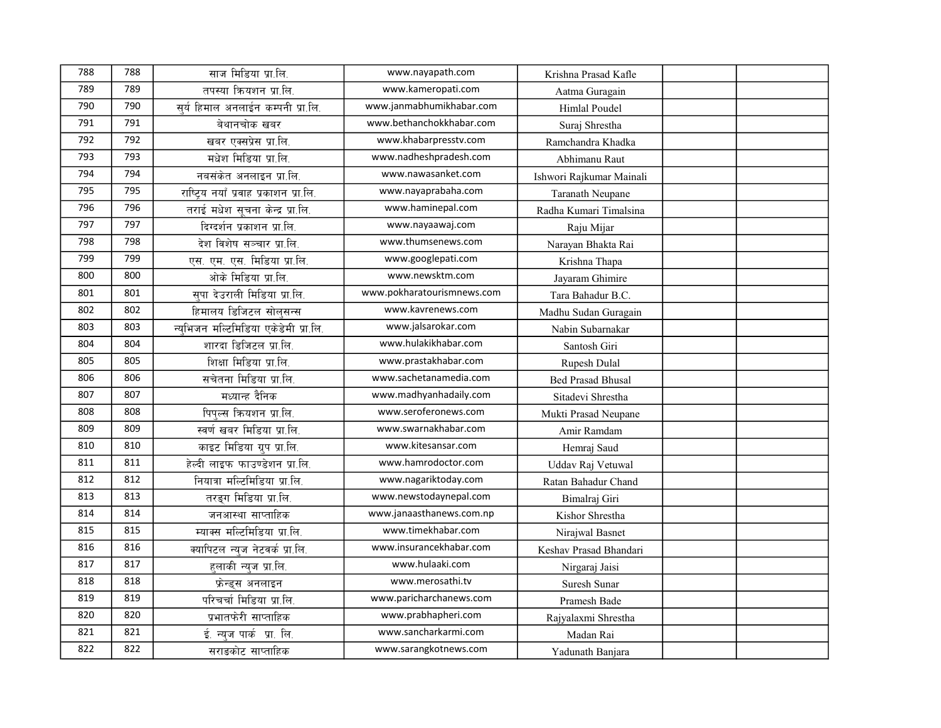| 788 | 788 | साज मिडिया प्रा.लि.                   | www.nayapath.com           | Krishna Prasad Kafle     |  |
|-----|-----|---------------------------------------|----------------------------|--------------------------|--|
| 789 | 789 | तपस्या क्रियशन प्रा.लि.               | www.kameropati.com         | Aatma Guragain           |  |
| 790 | 790 | सर्य हिमाल अनलाईन कम्पनी प्रा.लि.     | www.janmabhumikhabar.com   | Himlal Poudel            |  |
| 791 | 791 | बेथानचोक खबर                          | www.bethanchokkhabar.com   | Suraj Shrestha           |  |
| 792 | 792 | खबर एक्सप्रेस प्रा.लि.                | www.khabarpresstv.com      | Ramchandra Khadka        |  |
| 793 | 793 | मधेश मिडिया प्रा.लि.                  | www.nadheshpradesh.com     | Abhimanu Raut            |  |
| 794 | 794 | नबसंकेत अनलाइन प्रा.लि.               | www.nawasanket.com         | Ishwori Rajkumar Mainali |  |
| 795 | 795 | राष्टिय नयाँ प्रवाह प्रकाशन प्रा.लि.  | www.nayaprabaha.com        | Taranath Neupane         |  |
| 796 | 796 | तराई मधेश सूचना केन्द्र प्रा.लि.      | www.haminepal.com          | Radha Kumari Timalsina   |  |
| 797 | 797 | दिग्दर्शन प्रकाशन प्रा.लि.            | www.nayaawaj.com           | Raju Mijar               |  |
| 798 | 798 | देश विशेष सञ्चार प्रा.लि.             | www.thumsenews.com         | Narayan Bhakta Rai       |  |
| 799 | 799 | एस. एम. एस. मिडिया प्रा.लि.           | www.googlepati.com         | Krishna Thapa            |  |
| 800 | 800 | ओके मिडिया प्रा.लि.                   | www.newsktm.com            | Jayaram Ghimire          |  |
| 801 | 801 | सपा देउराली मिडिया प्रा.लि.           | www.pokharatourismnews.com | Tara Bahadur B.C.        |  |
| 802 | 802 | हिमालय डिजिटल सोलसन्स                 | www.kavrenews.com          | Madhu Sudan Guragain     |  |
| 803 | 803 | न्युभिजन मल्टिमिडिया एकेडेमी प्रा.लि. | www.jalsarokar.com         | Nabin Subarnakar         |  |
| 804 | 804 | शारदा डिजिटल प्रा.लि.                 | www.hulakikhabar.com       | Santosh Giri             |  |
| 805 | 805 | शिक्षा मिडिया प्रा.लि.                | www.prastakhabar.com       | Rupesh Dulal             |  |
| 806 | 806 | सचेतना मिडिया प्रा.लि.                | www.sachetanamedia.com     | <b>Bed Prasad Bhusal</b> |  |
| 807 | 807 | मध्यान्ह दैनिक                        | www.madhyanhadaily.com     | Sitadevi Shrestha        |  |
| 808 | 808 | पिपल्स कियशन प्रा.लि.                 | www.seroferonews.com       | Mukti Prasad Neupane     |  |
| 809 | 809 | स्वर्ण खबर मिडिया प्रा.लि.            | www.swarnakhabar.com       | Amir Ramdam              |  |
| 810 | 810 | काइट मिडिया ग्रुप प्रा.लि.            | www.kitesansar.com         | Hemraj Saud              |  |
| 811 | 811 | हेल्दी लाइफ फाउण्डेशन प्रा.लि.        | www.hamrodoctor.com        | Uddav Raj Vetuwal        |  |
| 812 | 812 | नियात्रा मल्टिमिडिया प्रा.लि.         | www.nagariktoday.com       | Ratan Bahadur Chand      |  |
| 813 | 813 | तरङ्ग मिडिया प्रा.लि.                 | www.newstodaynepal.com     | Bimalraj Giri            |  |
| 814 | 814 | जनआस्था साप्ताहिक                     | www.janaasthanews.com.np   | Kishor Shrestha          |  |
| 815 | 815 | म्याक्स मल्टिमिडिया प्रा.लि.          | www.timekhabar.com         | Nirajwal Basnet          |  |
| 816 | 816 | क्यापिटल न्युज नेटवर्क प्रा.लि.       | www.insurancekhabar.com    | Keshav Prasad Bhandari   |  |
| 817 | 817 | हलाकी न्यूज प्रा.लि.                  | www.hulaaki.com            | Nirgaraj Jaisi           |  |
| 818 | 818 | फ्रेन्ड्स अनलाइन                      | www.merosathi.tv           | Suresh Sunar             |  |
| 819 | 819 | परिचर्चा मिडिया प्रा.लि.              | www.paricharchanews.com    | Pramesh Bade             |  |
| 820 | 820 | प्रभातफेरी साप्ताहिक                  | www.prabhapheri.com        | Rajyalaxmi Shrestha      |  |
| 821 | 821 | ई. न्यूज पार्क प्रा. लि.              | www.sancharkarmi.com       | Madan Rai                |  |
| 822 | 822 | सराङकोट साप्ताहिक                     | www.sarangkotnews.com      | Yadunath Banjara         |  |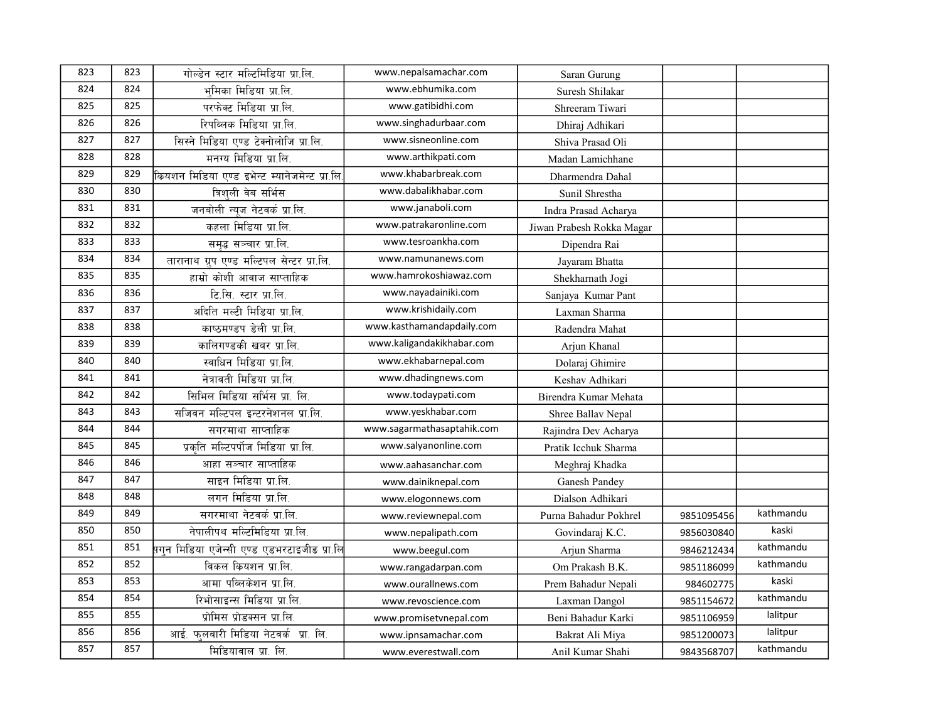| 823 | 823 | गोल्डेन स्टार मल्टिमिडिया प्रा.लि.              | www.nepalsamachar.com      | Saran Gurung              |            |           |
|-----|-----|-------------------------------------------------|----------------------------|---------------------------|------------|-----------|
| 824 | 824 | भमिका मिडिया प्रा.लि.                           | www.ebhumika.com           | Suresh Shilakar           |            |           |
| 825 | 825 | परफेक्ट मिडिया प्रा.लि.                         | www.gatibidhi.com          | Shreeram Tiwari           |            |           |
| 826 | 826 | रिपब्लिक मिडिया प्रा.लि.                        | www.singhadurbaar.com      | Dhiraj Adhikari           |            |           |
| 827 | 827 | सिस्ने मिडिया एण्ड टेक्नोलोजि प्रा.लि.          | www.sisneonline.com        | Shiva Prasad Oli          |            |           |
| 828 | 828 | मनग्य मिडिया प्रा.लि.                           | www.arthikpati.com         | Madan Lamichhane          |            |           |
| 829 | 829 | कियशन मिडिया एण्ड इभेन्ट म्यानेजमेन्ट प्रा.लि   | www.khabarbreak.com        | Dharmendra Dahal          |            |           |
| 830 | 830 | त्रिशली वेब सर्भिस                              | www.dabalikhabar.com       | Sunil Shrestha            |            |           |
| 831 | 831 | जनबोली न्यूज नेटवर्क प्रा.लि.                   | www.janaboli.com           | Indra Prasad Acharya      |            |           |
| 832 | 832 | कहला मिडिया प्रा.लि.                            | www.patrakaronline.com     | Jiwan Prabesh Rokka Magar |            |           |
| 833 | 833 | समृद्ध सञ्चार प्रा.लि.                          | www.tesroankha.com         | Dipendra Rai              |            |           |
| 834 | 834 | तारानाथ ग्रुप एण्ड मल्टिपल सेन्टर प्रा.लि.      | www.namunanews.com         | Jayaram Bhatta            |            |           |
| 835 | 835 | हाम्रो कोशी आवाज साप्ताहिक                      | www.hamrokoshiawaz.com     | Shekharnath Jogi          |            |           |
| 836 | 836 | टि.सि. स्टार प्रा.लि.                           | www.nayadainiki.com        | Sanjaya Kumar Pant        |            |           |
| 837 | 837 | अदिति मल्टी मिडिया प्रा.लि.                     | www.krishidaily.com        | Laxman Sharma             |            |           |
| 838 | 838 | काष्ठमण्डप डेली प्रा.लि.                        | www.kasthamandapdaily.com  | Radendra Mahat            |            |           |
| 839 | 839 | कालिगण्डकी खबर प्रा.लि.                         | www.kaligandakikhabar.com  | Arjun Khanal              |            |           |
| 840 | 840 | स्वाधिन मिडिया प्रा.लि.                         | www.ekhabarnepal.com       | Dolaraj Ghimire           |            |           |
| 841 | 841 | नेत्रावती मिडिया प्रा.लि.                       | www.dhadingnews.com        | Keshav Adhikari           |            |           |
| 842 | 842 | सिभिल मिडिया सर्भिस प्रा. लि.                   | www.todaypati.com          | Birendra Kumar Mehata     |            |           |
| 843 | 843 | सजिवन मल्टिपल इन्टरनेशनल प्रा.लि.               | www.yeskhabar.com          | Shree Ballav Nepal        |            |           |
| 844 | 844 | सगरमाथा साप्ताहिक                               | www.sagarmathasaptahik.com | Rajindra Dev Acharya      |            |           |
| 845 | 845 | प्रकृति मल्टिपर्पोज मिडिया प्रा.लि.             | www.salyanonline.com       | Pratik Icchuk Sharma      |            |           |
| 846 | 846 | आहा सञ्चार साप्ताहिक                            | www.aahasanchar.com        | Meghraj Khadka            |            |           |
| 847 | 847 | साइन मिडिया प्रा.लि.                            | www.dainiknepal.com        | Ganesh Pandey             |            |           |
| 848 | 848 | लगन मिडिया प्रा.लि.                             | www.elogonnews.com         | Dialson Adhikari          |            |           |
| 849 | 849 | सगरमाथा नेटवर्क प्रा.लि.                        | www.reviewnepal.com        | Purna Bahadur Pokhrel     | 9851095456 | kathmandu |
| 850 | 850 | नेपालीपथ मल्टिमिडिया प्रा.लि.                   | www.nepalipath.com         | Govindaraj K.C.           | 9856030840 | kaski     |
| 851 | 851 | .<br>सगन मिडिया एजेन्सी एण्ड एडभरटाइजीड प्रा.लि | www.beegul.com             | Arjun Sharma              | 9846212434 | kathmandu |
| 852 | 852 | विकल कियशन प्रा.लि.                             | www.rangadarpan.com        | Om Prakash B.K.           | 9851186099 | kathmandu |
| 853 | 853 | आमा पब्लिकेशन प्रा.लि.                          | www.ourallnews.com         | Prem Bahadur Nepali       | 984602775  | kaski     |
| 854 | 854 | रिभोसाइन्स मिडिया प्रा.लि.                      | www.revoscience.com        | Laxman Dangol             | 9851154672 | kathmandu |
| 855 | 855 | प्रोमिस प्रोडक्सन प्रा.लि.                      | www.promisetvnepal.com     | Beni Bahadur Karki        | 9851106959 | lalitpur  |
| 856 | 856 | आई. फलबारी मिडिया नेटवर्क प्रा. लि.             | www.ipnsamachar.com        | Bakrat Ali Miya           | 9851200073 | lalitpur  |
| 857 | 857 | मिडियावाल प्रा. लि.                             | www.everestwall.com        | Anil Kumar Shahi          | 9843568707 | kathmandu |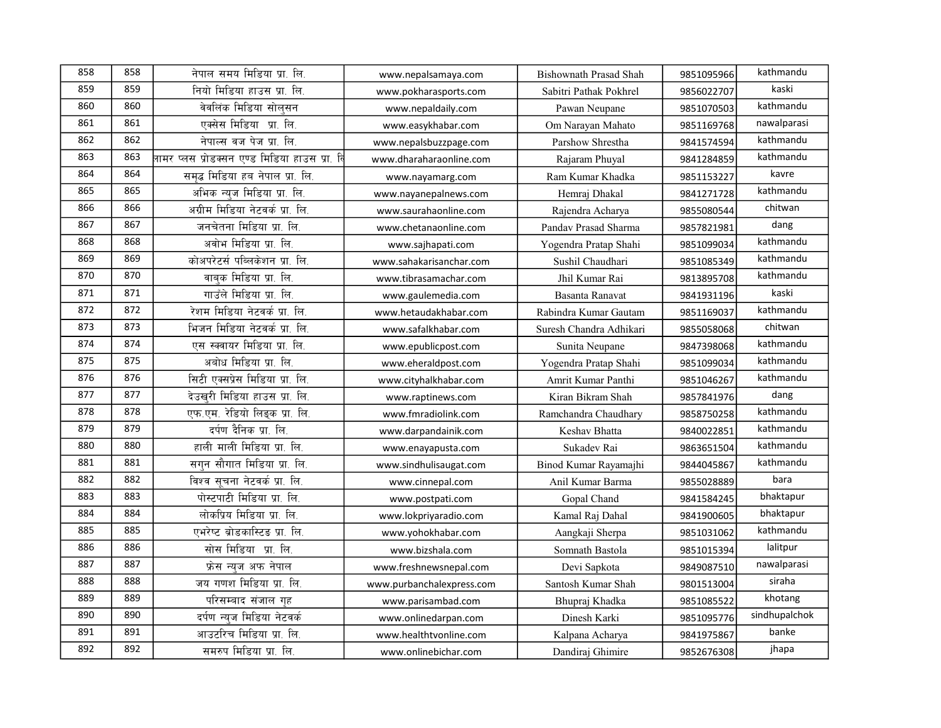| 858 | 858 | नेपाल समय मिडिया प्रा. लि.                         | www.nepalsamaya.com       | <b>Bishownath Prasad Shah</b> | 9851095966 | kathmandu     |
|-----|-----|----------------------------------------------------|---------------------------|-------------------------------|------------|---------------|
| 859 | 859 | नियो मिडिया हाउस प्रा. लि.                         | www.pokharasports.com     | Sabitri Pathak Pokhrel        | 9856022707 | kaski         |
| 860 | 860 | वेवलिंक मिडिया सोलसन                               | www.nepaldaily.com        | Pawan Neupane                 | 9851070503 | kathmandu     |
| 861 | 861 | एक्सेस मिडिया प्रा. लि.                            | www.easykhabar.com        | Om Narayan Mahato             | 9851169768 | nawalparasi   |
| 862 | 862 | नेपाल्स वज पेज प्रा. लि.                           | www.nepalsbuzzpage.com    | Parshow Shrestha              | 9841574594 | kathmandu     |
| 863 | 863 | .<br>नामर प्लस प्रोडक्सन एण्ड मिडिया हाउस प्रा. बि | www.dharaharaonline.com   | Rajaram Phuyal                | 9841284859 | kathmandu     |
| 864 | 864 | समद्ध मिडिया हब नेपाल प्रा. लि.                    | www.nayamarg.com          | Ram Kumar Khadka              | 9851153227 | kavre         |
| 865 | 865 | अभिक न्यूज मिडिया प्रा. लि.                        | www.nayanepalnews.com     | Hemraj Dhakal                 | 9841271728 | kathmandu     |
| 866 | 866 | अग्रीम मिडिया नेटवर्क प्रा. लि.                    | www.saurahaonline.com     | Rajendra Acharya              | 9855080544 | chitwan       |
| 867 | 867 | जनचेतना मिडिया प्रा. लि.                           | www.chetanaonline.com     | Pandav Prasad Sharma          | 9857821981 | dang          |
| 868 | 868 | अवोभ मिडिया प्रा. लि.                              | www.sajhapati.com         | Yogendra Pratap Shahi         | 9851099034 | kathmandu     |
| 869 | 869 | कोअपरेटर्स पब्लिकेशन प्रा. लि.                     | www.sahakarisanchar.com   | Sushil Chaudhari              | 9851085349 | kathmandu     |
| 870 | 870 | वाबक मिडिया प्रा. लि.                              | www.tibrasamachar.com     | Jhil Kumar Rai                | 9813895708 | kathmandu     |
| 871 | 871 | गाउँले मिडिया प्रा. लि.                            | www.gaulemedia.com        | Basanta Ranavat               | 9841931196 | kaski         |
| 872 | 872 | रेशम मिडिया नेटवर्क प्रा. लि.                      | www.hetaudakhabar.com     | Rabindra Kumar Gautam         | 9851169037 | kathmandu     |
| 873 | 873 | भिजन मिडिया नेटवर्क प्रा. लि.                      | www.safalkhabar.com       | Suresh Chandra Adhikari       | 9855058068 | chitwan       |
| 874 | 874 | एस स्क्वायर मिडिया प्रा. लि.                       | www.epublicpost.com       | Sunita Neupane                | 9847398068 | kathmandu     |
| 875 | 875 | अबोध मिडिया प्रा. लि.                              | www.eheraldpost.com       | Yogendra Pratap Shahi         | 9851099034 | kathmandu     |
| 876 | 876 | सिटी एक्सप्रेस मिडिया प्रा. लि.                    | www.cityhalkhabar.com     | Amrit Kumar Panthi            | 9851046267 | kathmandu     |
| 877 | 877 | देउखरी मिडिया हाउस प्रा. लि.                       | www.raptinews.com         | Kiran Bikram Shah             | 9857841976 | dang          |
| 878 | 878 | एफ.एम. रेडियो लिइक प्रा. लि.                       | www.fmradiolink.com       | Ramchandra Chaudhary          | 9858750258 | kathmandu     |
| 879 | 879 | दर्पण दैनिक प्रा. लि.                              | www.darpandainik.com      | Keshav Bhatta                 | 9840022851 | kathmandu     |
| 880 | 880 | हाली माली मिडिया प्रा. लि.                         | www.enayapusta.com        | Sukadev Rai                   | 9863651504 | kathmandu     |
| 881 | 881 | सगन सौगात मिडिया प्रा. लि.                         | www.sindhulisaugat.com    | Binod Kumar Rayamajhi         | 9844045867 | kathmandu     |
| 882 | 882 | विश्व सूचना नेटवर्क प्रा. लि.                      | www.cinnepal.com          | Anil Kumar Barma              | 9855028889 | bara          |
| 883 | 883 | पोस्टपाटी मिडिया प्रा. लि.                         | www.postpati.com          | Gopal Chand                   | 9841584245 | bhaktapur     |
| 884 | 884 | लोकप्रिय मिडिया प्रा. लि.                          | www.lokpriyaradio.com     | Kamal Raj Dahal               | 9841900605 | bhaktapur     |
| 885 | 885 | एभरेष्ट ब्रोडकास्टिड प्रा. लि.                     | www.yohokhabar.com        | Aangkaji Sherpa               | 9851031062 | kathmandu     |
| 886 | 886 | सोस मिडिया प्रा. लि.                               | www.bizshala.com          | Somnath Bastola               | 9851015394 | lalitpur      |
| 887 | 887 | फ्रेस न्यज अफ नेपाल                                | www.freshnewsnepal.com    | Devi Sapkota                  | 9849087510 | nawalparasi   |
| 888 | 888 | जय गणश मिडिया प्रा. लि.                            | www.purbanchalexpress.com | Santosh Kumar Shah            | 9801513004 | siraha        |
| 889 | 889 | परिसम्बाद संजाल गह                                 | www.parisambad.com        | Bhupraj Khadka                | 9851085522 | khotang       |
| 890 | 890 | दर्पण न्यज मिडिया नेटवर्क                          | www.onlinedarpan.com      | Dinesh Karki                  | 9851095776 | sindhupalchok |
| 891 | 891 | आउटरिच मिडिया प्रा. लि.                            | www.healthtvonline.com    | Kalpana Acharya               | 9841975867 | banke         |
| 892 | 892 | समरुप मिडिया प्रा. लि.                             | www.onlinebichar.com      | Dandiraj Ghimire              | 9852676308 | jhapa         |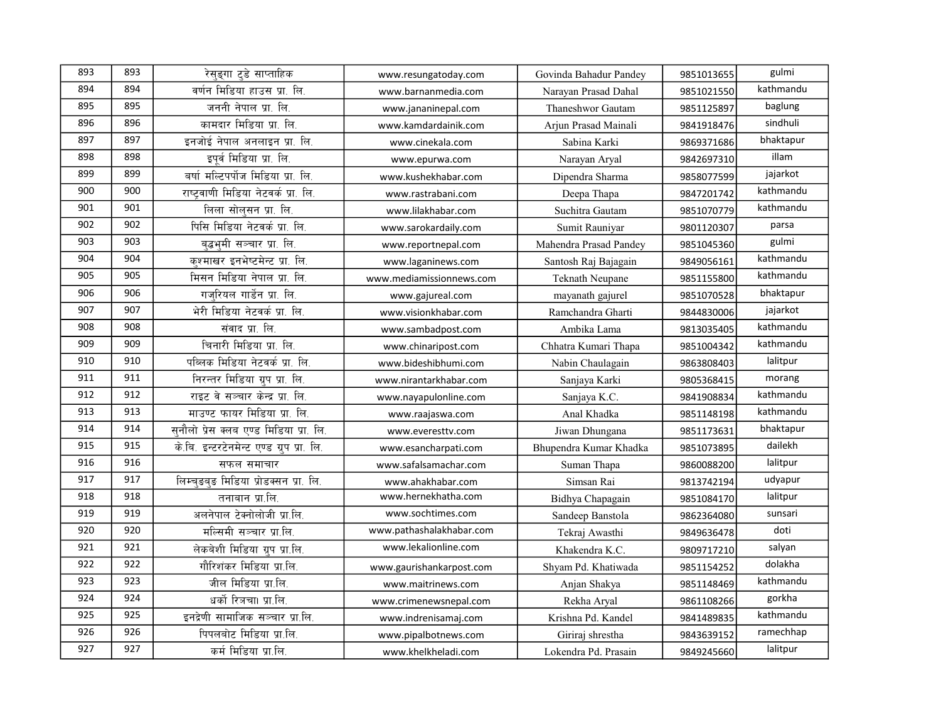| 893 | 893 | रेसङ्गा टुडे साप्ताहिक                    | www.resungatoday.com     | Govinda Bahadur Pandey | 9851013655 | gulmi     |
|-----|-----|-------------------------------------------|--------------------------|------------------------|------------|-----------|
| 894 | 894 | वर्णन मिडिया हाउस प्रा. लि.               | www.barnanmedia.com      | Narayan Prasad Dahal   | 9851021550 | kathmandu |
| 895 | 895 | जननी नेपाल प्रा. लि.                      | www.jananinepal.com      | Thaneshwor Gautam      | 9851125897 | baglung   |
| 896 | 896 | कामदार मिडिया प्रा. लि.                   | www.kamdardainik.com     | Arjun Prasad Mainali   | 9841918476 | sindhuli  |
| 897 | 897 | इनजोई नेपाल अनलाइन प्रा. लि.              | www.cinekala.com         | Sabina Karki           | 9869371686 | bhaktapur |
| 898 | 898 | इपूर्व मिडिया प्रा. लि.                   | www.epurwa.com           | Narayan Aryal          | 9842697310 | illam     |
| 899 | 899 | बर्षा मल्टिपर्पोज मिडिया प्रा. लि.        | www.kushekhabar.com      | Dipendra Sharma        | 9858077599 | jajarkot  |
| 900 | 900 | राष्ट्रवाणी मिडिया नेटवर्क प्रा. लि.      | www.rastrabani.com       | Deepa Thapa            | 9847201742 | kathmandu |
| 901 | 901 | लिला सोलसन प्रा. लि.                      | www.lilakhabar.com       | Suchitra Gautam        | 9851070779 | kathmandu |
| 902 | 902 | पिसि मिडिया नेटवर्क प्रा. लि.             | www.sarokardaily.com     | Sumit Rauniyar         | 9801120307 | parsa     |
| 903 | 903 | बद्धभमी सञ्चार प्रा. लि.                  | www.reportnepal.com      | Mahendra Prasad Pandey | 9851045360 | gulmi     |
| 904 | 904 | कश्माखर इनभेष्टमेन्ट प्रा. लि.            | www.laganinews.com       | Santosh Raj Bajagain   | 9849056161 | kathmandu |
| 905 | 905 | मिसन मिडिया नेपाल प्रा. लि.               | www.mediamissionnews.com | Teknath Neupane        | 9851155800 | kathmandu |
| 906 | 906 | गजरियल गार्डेन प्रा. लि.                  | www.gajureal.com         | mayanath gajurel       | 9851070528 | bhaktapur |
| 907 | 907 | भेरी मिडिया नेटवर्क प्रा. लि.             | www.visionkhabar.com     | Ramchandra Gharti      | 9844830006 | jajarkot  |
| 908 | 908 | सवाद प्रा. लि.                            | www.sambadpost.com       | Ambika Lama            | 9813035405 | kathmandu |
| 909 | 909 | चिनारी मिडिया प्रा. लि.                   | www.chinaripost.com      | Chhatra Kumari Thapa   | 9851004342 | kathmandu |
| 910 | 910 | पब्लिक मिडिया नेटवर्क प्रा. लि.           | www.bideshibhumi.com     | Nabin Chaulagain       | 9863808403 | lalitpur  |
| 911 | 911 | निरन्तर मिडिया ग्रुप प्रा. लि.            | www.nirantarkhabar.com   | Sanjaya Karki          | 9805368415 | morang    |
| 912 | 912 | राइट वे सञ्चार केन्द्र प्रा. लि.          | www.nayapulonline.com    | Sanjaya K.C.           | 9841908834 | kathmandu |
| 913 | 913 | माउण्ट फायर मिडिया प्रा. लि.              | www.raajaswa.com         | Anal Khadka            | 9851148198 | kathmandu |
| 914 | 914 | सुनौलो प्रेस क्लब एण्ड मिडिया प्रा. लि.   | www.everesttv.com        | Jiwan Dhungana         | 9851173631 | bhaktapur |
| 915 | 915 | के.बि. इन्टरटेनमेन्ट एण्ड ग्रुप प्रा. लि. | www.esancharpati.com     | Bhupendra Kumar Khadka | 9851073895 | dailekh   |
| 916 | 916 | सफल समाचार                                | www.safalsamachar.com    | Suman Thapa            | 9860088200 | lalitpur  |
| 917 | 917 | लिम्चडबड मिडिया प्रोडक्सन प्रा. लि.       | www.ahakhabar.com        | Simsan Rai             | 9813742194 | udyapur   |
| 918 | 918 | तनाबान प्रा.लि.                           | www.hernekhatha.com      | Bidhya Chapagain       | 9851084170 | lalitpur  |
| 919 | 919 | अलनेपाल टेक्नोलोजी प्रा.लि.               | www.sochtimes.com        | Sandeep Banstola       | 9862364080 | sunsari   |
| 920 | 920 | मल्सिमी सञ्चार प्रा.लि.                   | www.pathashalakhabar.com | Tekraj Awasthi         | 9849636478 | doti      |
| 921 | 921 | लेकबेशी मिडिया ग्रुप प्रा.लि.             | www.lekalionline.com     | Khakendra K.C.         | 9809717210 | salyan    |
| 922 | 922 | गौरिशंकर मिडिया प्रा.लि.                  | www.gaurishankarpost.com | Shyam Pd. Khatiwada    | 9851154252 | dolakha   |
| 923 | 923 | जील मिडिया प्रा.लि.                       | www.maitrinews.com       | Anjan Shakya           | 9851148469 | kathmandu |
| 924 | 924 | धर्को रिञचा। प्रा.लि.                     | www.crimenewsnepal.com   | Rekha Aryal            | 9861108266 | gorkha    |
| 925 | 925 | इनद्रेणी सामाजिक सञ्चार प्रा.लि.          | www.indrenisamaj.com     | Krishna Pd. Kandel     | 9841489835 | kathmandu |
| 926 | 926 | पिपलबोट मिडिया प्रा.लि.                   | www.pipalbotnews.com     | Giriraj shrestha       | 9843639152 | ramechhap |
| 927 | 927 | कर्म मिडिया प्रा.लि.                      | www.khelkheladi.com      | Lokendra Pd. Prasain   | 9849245660 | lalitpur  |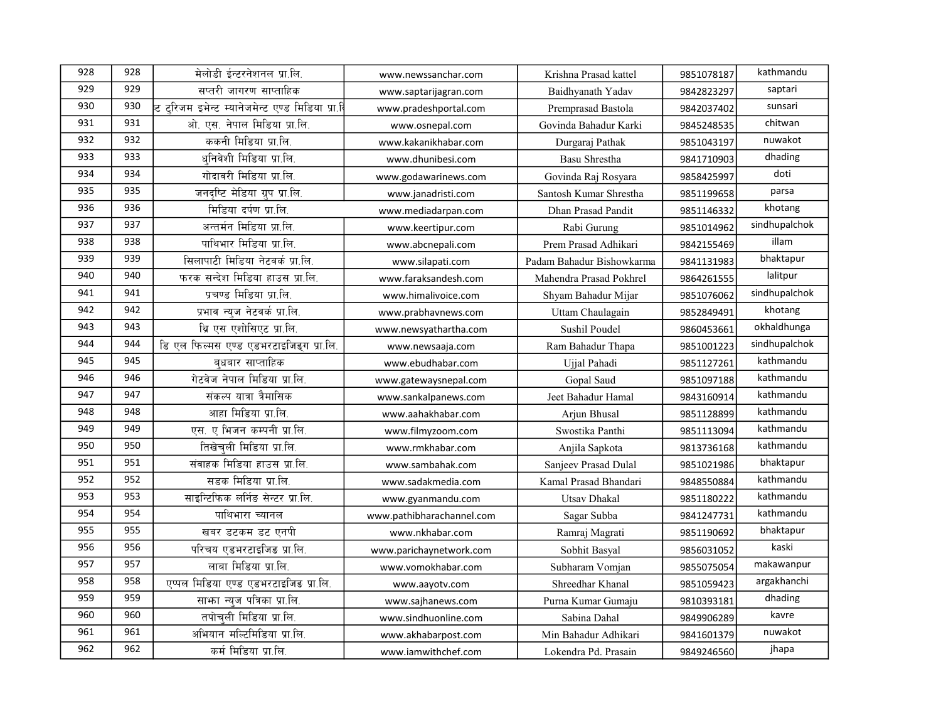| 928 | 928 | मेलोडी ईन्टरनेशनल प्रा.लि.                     | www.newssanchar.com       | Krishna Prasad kattel     | 9851078187 | kathmandu     |
|-----|-----|------------------------------------------------|---------------------------|---------------------------|------------|---------------|
| 929 | 929 | सप्तरी जागरण साप्ताहिक                         | www.saptarijagran.com     | Baidhyanath Yadav         | 9842823297 | saptari       |
| 930 | 930 | ट टरिजम इभेन्ट म्यानेजमेन्ट एण्ड मिडिया प्रा.ि | www.pradeshportal.com     | Premprasad Bastola        | 9842037402 | sunsari       |
| 931 | 931 | ओ. एस. नेपाल मिडिया प्रा.लि.                   | www.osnepal.com           | Govinda Bahadur Karki     | 9845248535 | chitwan       |
| 932 | 932 | ककनी मिडिया प्रा.लि.                           | www.kakanikhabar.com      | Durgaraj Pathak           | 9851043197 | nuwakot       |
| 933 | 933 | धनिवेशी मिडिया प्रा.लि.                        | www.dhunibesi.com         | Basu Shrestha             | 9841710903 | dhading       |
| 934 | 934 | गोदावरी मिडिया प्रा.लि.                        | www.godawarinews.com      | Govinda Raj Rosyara       | 9858425997 | doti          |
| 935 | 935 | जनदृष्टि मेडिया ग्रुप प्रा.लि.                 | www.janadristi.com        | Santosh Kumar Shrestha    | 9851199658 | parsa         |
| 936 | 936 | मिडिया दर्पण प्रा.लि.                          | www.mediadarpan.com       | Dhan Prasad Pandit        | 9851146332 | khotang       |
| 937 | 937 | अन्तर्मन मिडिया प्रा.लि.                       | www.keertipur.com         | Rabi Gurung               | 9851014962 | sindhupalchok |
| 938 | 938 | पाथिभार मिडिया प्रा.लि.                        | www.abcnepali.com         | Prem Prasad Adhikari      | 9842155469 | illam         |
| 939 | 939 | सिलापाटी मिडिया नेटवर्क प्रा.लि.               | www.silapati.com          | Padam Bahadur Bishowkarma | 9841131983 | bhaktapur     |
| 940 | 940 | फरक सन्देश मिडिया हाउस प्रा.लि.                | www.faraksandesh.com      | Mahendra Prasad Pokhrel   | 9864261555 | lalitpur      |
| 941 | 941 | प्रचण्ड मिडिया प्रा.लि.                        | www.himalivoice.com       | Shyam Bahadur Mijar       | 9851076062 | sindhupalchok |
| 942 | 942 | प्रभाव न्युज नेटवर्क प्रा.लि.                  | www.prabhavnews.com       | Uttam Chaulagain          | 9852849491 | khotang       |
| 943 | 943 | थि एस एशोसिएट प्रा.लि.                         | www.newsyathartha.com     | Sushil Poudel             | 9860453661 | okhaldhunga   |
| 944 | 944 | डि एल फिल्मस एण्ड एडभरटाइजिड्ग प्रा.लि.        | www.newsaaja.com          | Ram Bahadur Thapa         | 9851001223 | sindhupalchok |
| 945 | 945 | बधबार साप्ताहिक                                | www.ebudhabar.com         | Ujjal Pahadi              | 9851127261 | kathmandu     |
| 946 | 946 | गेटवेज नेपाल मिडिया प्रा.लि.                   | www.gatewaysnepal.com     | Gopal Saud                | 9851097188 | kathmandu     |
| 947 | 947 | संकल्प यात्रा त्रैमासिक                        | www.sankalpanews.com      | Jeet Bahadur Hamal        | 9843160914 | kathmandu     |
| 948 | 948 | आहा मिडिया प्रा.लि.                            | www.aahakhabar.com        | Arjun Bhusal              | 9851128899 | kathmandu     |
| 949 | 949 | एस. ए भिजन कम्पनी प्रा.लि.                     | www.filmyzoom.com         | Swostika Panthi           | 9851113094 | kathmandu     |
| 950 | 950 | तिखेचली मिडिया प्रा.लि.                        | www.rmkhabar.com          | Anjila Sapkota            | 9813736168 | kathmandu     |
| 951 | 951 | संवाहक मिडिया हाउस प्रा.लि.                    | www.sambahak.com          | Sanjeev Prasad Dulal      | 9851021986 | bhaktapur     |
| 952 | 952 | सडक मिडिया प्रा.लि.                            | www.sadakmedia.com        | Kamal Prasad Bhandari     | 9848550884 | kathmandu     |
| 953 | 953 | साइन्टिफिक लर्निङ सेन्टर प्रा.लि.              | www.gyanmandu.com         | <b>Utsav Dhakal</b>       | 9851180222 | kathmandu     |
| 954 | 954 | पाथिभारा च्यानल                                | www.pathibharachannel.com | Sagar Subba               | 9841247731 | kathmandu     |
| 955 | 955 | खबर डटकम डट एनपी                               | www.nkhabar.com           | Ramraj Magrati            | 9851190692 | bhaktapur     |
| 956 | 956 | परिचय एडभरटाइजिड प्रा.लि.                      | www.parichaynetwork.com   | Sobhit Basyal             | 9856031052 | kaski         |
| 957 | 957 | लाबा मिडिया प्रा.लि.                           | www.vomokhabar.com        | Subharam Vomjan           | 9855075054 | makawanpur    |
| 958 | 958 | एप्पल मिडिया एण्ड एडभरटाइजिङ प्रा.लि.          | www.aayotv.com            | Shreedhar Khanal          | 9851059423 | argakhanchi   |
| 959 | 959 | साफ़ा न्यूज पत्रिका प्रा.लि.                   | www.sajhanews.com         | Purna Kumar Gumaju        | 9810393181 | dhading       |
| 960 | 960 | तपोचली मिडिया प्रा.लि.                         | www.sindhuonline.com      | Sabina Dahal              | 9849906289 | kavre         |
| 961 | 961 | अभियान मल्टिमिडिया प्रा.लि.                    | www.akhabarpost.com       | Min Bahadur Adhikari      | 9841601379 | nuwakot       |
| 962 | 962 | कर्म मिडिया प्रा.लि.                           | www.iamwithchef.com       | Lokendra Pd. Prasain      | 9849246560 | jhapa         |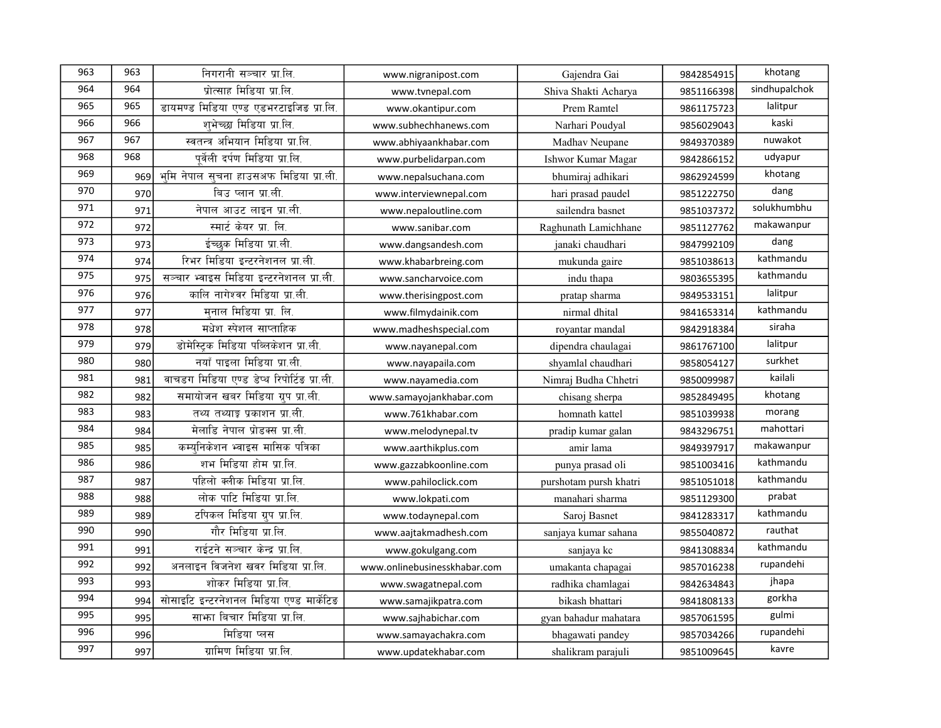| 963 | 963 | निगरानी सञ्चार प्रा.लि.                    | www.nigranipost.com          | Gajendra Gai           | 9842854915 | khotang       |
|-----|-----|--------------------------------------------|------------------------------|------------------------|------------|---------------|
| 964 | 964 | प्रोत्साह मिडिया प्रा.लि.                  | www.tvnepal.com              | Shiva Shakti Acharya   | 9851166398 | sindhupalchok |
| 965 | 965 | डायमण्ड मिडिया एण्ड एडभरटाइजिड प्रा.लि.    | www.okantipur.com            | Prem Ramtel            | 9861175723 | lalitpur      |
| 966 | 966 | शभेच्छा मिडिया प्रा.लि.                    | www.subhechhanews.com        | Narhari Poudyal        | 9856029043 | kaski         |
| 967 | 967 | स्वतन्त्र अभियान मिडिया प्रा.लि.           | www.abhiyaankhabar.com       | Madhav Neupane         | 9849370389 | nuwakot       |
| 968 | 968 | पर्वेली दर्पण मिडिया प्रा.लि.              | www.purbelidarpan.com        | Ishwor Kumar Magar     | 9842866152 | udyapur       |
| 969 | 969 | भूमि नेपाल सूचना हाउसअफ मिडिया प्रा.ली.    | www.nepalsuchana.com         | bhumiraj adhikari      | 9862924599 | khotang       |
| 970 | 970 | बिउ प्लान प्रा.ली.                         | www.interviewnepal.com       | hari prasad paudel     | 9851222750 | dang          |
| 971 | 971 | नेपाल आउट लाइन प्रा.ली.                    | www.nepaloutline.com         | sailendra basnet       | 9851037372 | solukhumbhu   |
| 972 | 972 | स्मार्ट केयर प्रा. लि.                     | www.sanibar.com              | Raghunath Lamichhane   | 9851127762 | makawanpur    |
| 973 | 973 | ईच्छुक मिडिया प्रा.ली.                     | www.dangsandesh.com          | janaki chaudhari       | 9847992109 | dang          |
| 974 | 974 | रिभर मिडिया इन्टरनेशनल प्रा.ली.            | www.khabarbreing.com         | mukunda gaire          | 9851038613 | kathmandu     |
| 975 | 975 | सञ्चार भ्वाइस मिडिया इन्टरनेशनल प्रा.ली.   | www.sancharvoice.com         | indu thapa             | 9803655395 | kathmandu     |
| 976 | 976 | कालि नागेश्वर मिडिया प्रा.ली.              | www.therisingpost.com        | pratap sharma          | 9849533151 | lalitpur      |
| 977 | 977 | मनाल मिडिया प्रा. लि.                      | www.filmydainik.com          | nirmal dhital          | 9841653314 | kathmandu     |
| 978 | 978 | मधेश स्पेशल साप्ताहिक                      | www.madheshspecial.com       | royantar mandal        | 9842918384 | siraha        |
| 979 | 979 | डोमेस्टिक मिडिया पब्लिकेशन प्रा.ली.        | www.nayanepal.com            | dipendra chaulagai     | 9861767100 | lalitpur      |
| 980 | 980 | नयाँ पाइला मिडिया प्रा.ली.                 | www.nayapaila.com            | shyamlal chaudhari     | 9858054127 | surkhet       |
| 981 | 981 | वाचडग मिडिया एण्ड डेप्थ रिपोर्टिङ प्रा.ली. | www.nayamedia.com            | Nimraj Budha Chhetri   | 9850099987 | kailali       |
| 982 | 982 | समायोजन खबर मिडिया ग्रुप प्रा.ली.          | www.samayojankhabar.com      | chisang sherpa         | 9852849495 | khotang       |
| 983 | 983 | तथ्य तथ्याङ्ग प्रकाशन प्रा.ली.             | www.761khabar.com            | homnath kattel         | 9851039938 | morang        |
| 984 | 984 | मेलाडि नेपाल प्रोडक्स प्रा.ली.             | www.melodynepal.tv           | pradip kumar galan     | 9843296751 | mahottari     |
| 985 | 985 | कम्युनिकेशन भ्वाइस मासिक पत्रिका           | www.aarthikplus.com          | amir lama              | 9849397917 | makawanpur    |
| 986 | 986 | शभ मिडिया होम प्रा.लि.                     | www.gazzabkoonline.com       | punya prasad oli       | 9851003416 | kathmandu     |
| 987 | 987 | पहिलो क्लीक मिडिया प्रा.लि.                | www.pahiloclick.com          | purshotam pursh khatri | 9851051018 | kathmandu     |
| 988 | 988 | लोक पाटि मिडिया प्रा.लि.                   | www.lokpati.com              | manahari sharma        | 9851129300 | prabat        |
| 989 | 989 | टपिकल मिडिया ग्रुप प्रा.लि.                | www.todaynepal.com           | Saroj Basnet           | 9841283317 | kathmandu     |
| 990 | 990 | गौर मिडिया प्रा.लि.                        | www.aajtakmadhesh.com        | sanjaya kumar sahana   | 9855040872 | rauthat       |
| 991 | 991 | राईटने सञ्चार केन्द्र प्रा.लि.             | www.gokulgang.com            | sanjaya kc             | 9841308834 | kathmandu     |
| 992 | 992 | अनलाइन विजनेश खवर मिडिया प्रा.लि.          | www.onlinebusinesskhabar.com | umakanta chapagai      | 9857016238 | rupandehi     |
| 993 | 993 | शोकर मिडिया प्रा.लि.                       | www.swagatnepal.com          | radhika chamlagai      | 9842634843 | jhapa         |
| 994 | 994 | सोसाइटि इन्टरनेशनल मिडिया एण्ड मार्केटिड   | www.samajikpatra.com         | bikash bhattari        | 9841808133 | gorkha        |
| 995 | 995 | साभा बिचार मिडिया प्रा.लि.                 | www.sajhabichar.com          | gyan bahadur mahatara  | 9857061595 | gulmi         |
| 996 | 996 | मिडिया प्लस                                | www.samayachakra.com         | bhagawati pandey       | 9857034266 | rupandehi     |
| 997 | 997 | ग्रामिण मिडिया प्रा.लि.                    | www.updatekhabar.com         | shalikram parajuli     | 9851009645 | kavre         |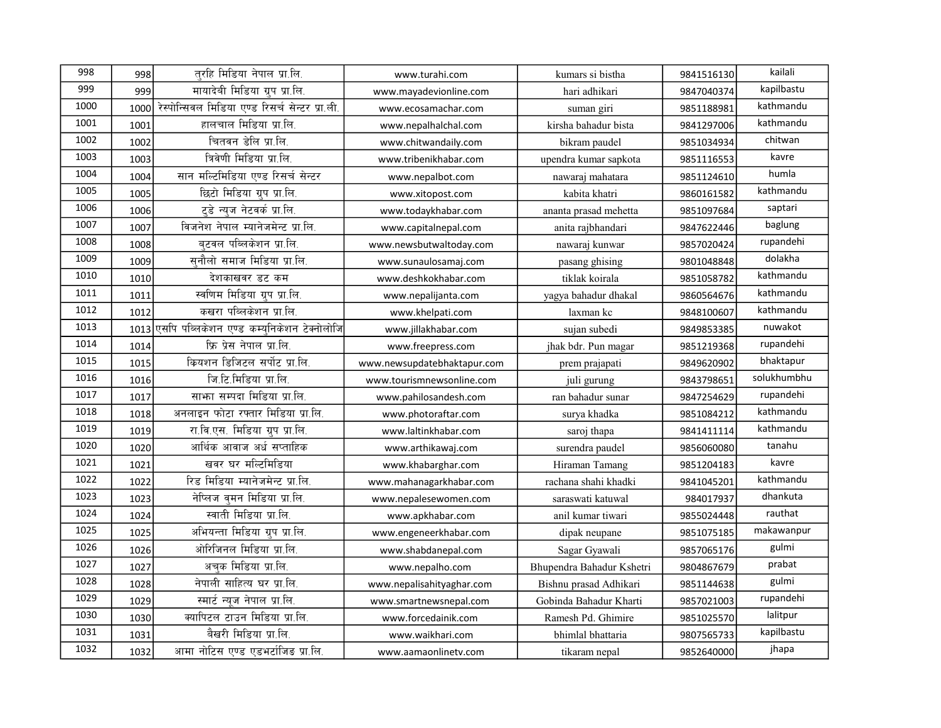| 998  | 998  | तरहि मिडिया नेपाल प्रा.लि.                      | www.turahi.com              | kumars si bistha          | 9841516130 | kailali     |
|------|------|-------------------------------------------------|-----------------------------|---------------------------|------------|-------------|
| 999  | 999  | मायादेबी मिडिया ग्रुप प्रा.लि.                  | www.mayadevionline.com      | hari adhikari             | 9847040374 | kapilbastu  |
| 1000 | 1000 | रेस्पोन्सिवल मिडिया एण्ड रिसर्च सेन्टर प्रा.ली. | www.ecosamachar.com         | suman giri                | 9851188981 | kathmandu   |
| 1001 | 1001 | हालचाल मिडिया प्रा.लि.                          | www.nepalhalchal.com        | kirsha bahadur bista      | 9841297006 | kathmandu   |
| 1002 | 1002 | चितवन डेलि प्रा.लि.                             | www.chitwandaily.com        | bikram paudel             | 9851034934 | chitwan     |
| 1003 | 1003 | त्रिवेणी मिडिया प्रा.लि.                        | www.tribenikhabar.com       | upendra kumar sapkota     | 9851116553 | kavre       |
| 1004 | 1004 | सान मल्टिमिडिया एण्ड रिसर्च सेन्टर              | www.nepalbot.com            | nawaraj mahatara          | 9851124610 | humla       |
| 1005 | 1005 | छिटो मिडिया ग्रुप प्रा.लि.                      | www.xitopost.com            | kabita khatri             | 9860161582 | kathmandu   |
| 1006 | 1006 | टडे न्यज नेटवर्क प्रा.लि.                       | www.todaykhabar.com         | ananta prasad mehetta     | 9851097684 | saptari     |
| 1007 | 1007 | विजनेश नेपाल म्यानेजमेन्ट प्रा.लि.              | www.capitalnepal.com        | anita rajbhandari         | 9847622446 | baglung     |
| 1008 | 1008 | बटवल पब्लिकेशन प्रा.लि.                         | www.newsbutwaltoday.com     | nawaraj kunwar            | 9857020424 | rupandehi   |
| 1009 | 1009 | सनौलो समाज मिडिया प्रा.लि.                      | www.sunaulosamaj.com        | pasang ghising            | 9801048848 | dolakha     |
| 1010 | 1010 | देशकाखवर डट कम                                  | www.deshkokhabar.com        | tiklak koirala            | 9851058782 | kathmandu   |
| 1011 | 1011 | स्वणिम मिडिया ग्रुप प्रा.लि.                    | www.nepalijanta.com         | yagya bahadur dhakal      | 9860564676 | kathmandu   |
| 1012 | 1012 | कखरा पब्लिकेशन प्रा.लि.                         | www.khelpati.com            | laxman kc                 | 9848100607 | kathmandu   |
| 1013 | 1013 | एसपि पब्लिकेशन एण्ड कम्यनिकेशन टेक्नोलोजि       | www.jillakhabar.com         | sujan subedi              | 9849853385 | nuwakot     |
| 1014 | 1014 | फ्रि प्रेस नेपाल प्रा.लि.                       | www.freepress.com           | jhak bdr. Pun magar       | 9851219368 | rupandehi   |
| 1015 | 1015 | क्रियशन डिजिटल सर्पोट प्रा.लि.                  | www.newsupdatebhaktapur.com | prem prajapati            | 9849620902 | bhaktapur   |
| 1016 | 1016 | जि.टि.मिडिया प्रा.लि.                           | www.tourismnewsonline.com   | juli gurung               | 9843798651 | solukhumbhu |
| 1017 | 1017 | साफा सम्पदा मिडिया प्रा.लि.                     | www.pahilosandesh.com       | ran bahadur sunar         | 9847254629 | rupandehi   |
| 1018 | 1018 | अनलाइन फोटा रफ्तार मिडिया प्रा.लि.              | www.photoraftar.com         | surya khadka              | 9851084212 | kathmandu   |
| 1019 | 1019 | रा.वि.एस. मिडिया ग्रुप प्रा.लि.                 | www.laltinkhabar.com        | saroj thapa               | 9841411114 | kathmandu   |
| 1020 | 1020 | आर्थिक आवाज अर्ध सप्ताहिक                       | www.arthikawaj.com          | surendra paudel           | 9856060080 | tanahu      |
| 1021 | 1021 | खवर घर मल्टिमिडिया                              | www.khabarghar.com          | Hiraman Tamang            | 9851204183 | kavre       |
| 1022 | 1022 | रिड मिडिया म्यानेजमेन्ट प्रा.लि.                | www.mahanagarkhabar.com     | rachana shahi khadki      | 9841045201 | kathmandu   |
| 1023 | 1023 | नेप्लिज वमन मिडिया प्रा.लि.                     | www.nepalesewomen.com       | saraswati katuwal         | 984017937  | dhankuta    |
| 1024 | 1024 | स्वाती मिडिया प्रा.लि.                          | www.apkhabar.com            | anil kumar tiwari         | 9855024448 | rauthat     |
| 1025 | 1025 | अभियन्ता मिडिया ग्रुप प्रा.लि.                  | www.engeneerkhabar.com      | dipak neupane             | 9851075185 | makawanpur  |
| 1026 | 1026 | ओरिजिनल मिडिया प्रा.लि.                         | www.shabdanepal.com         | Sagar Gyawali             | 9857065176 | gulmi       |
| 1027 | 1027 | अचक मिडिया प्रा.लि.                             | www.nepalho.com             | Bhupendra Bahadur Kshetri | 9804867679 | prabat      |
| 1028 | 1028 | नेपाली साहित्य घर प्रा.लि.                      | www.nepalisahityaghar.com   | Bishnu prasad Adhikari    | 9851144638 | gulmi       |
| 1029 | 1029 | स्मार्ट न्यूज नेपाल प्रा.लि.                    | www.smartnewsnepal.com      | Gobinda Bahadur Kharti    | 9857021003 | rupandehi   |
| 1030 | 1030 | क्यापिटल टाउन मिडिया प्रा.लि.                   | www.forcedainik.com         | Ramesh Pd. Ghimire        | 9851025570 | lalitpur    |
| 1031 | 1031 | बैखरी मिडिया प्रा.लि.                           | www.waikhari.com            | bhimlal bhattaria         | 9807565733 | kapilbastu  |
| 1032 | 1032 | आमा नोटिस एण्ड एडभर्टाजिड प्रा.लि.              | www.aamaonlinetv.com        | tikaram nepal             | 9852640000 | jhapa       |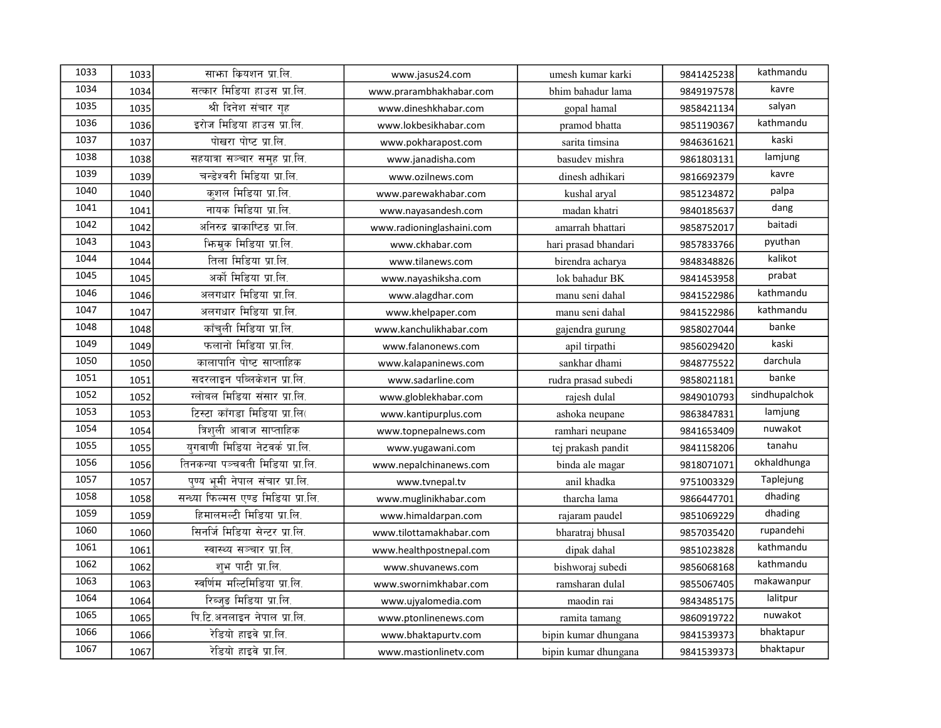| 1033 | 1033 | साभा कियशन प्रा.लि.                 | www.jasus24.com           | umesh kumar karki    | 9841425238 | kathmandu     |
|------|------|-------------------------------------|---------------------------|----------------------|------------|---------------|
| 1034 | 1034 | सत्कार मिडिया हाउस प्रा.लि.         | www.prarambhakhabar.com   | bhim bahadur lama    | 9849197578 | kavre         |
| 1035 | 1035 | श्री दिनेश संचार गह                 | www.dineshkhabar.com      | gopal hamal          | 9858421134 | salyan        |
| 1036 | 1036 | इरोज मिडिया हाउस प्रा.लि.           | www.lokbesikhabar.com     | pramod bhatta        | 9851190367 | kathmandu     |
| 1037 | 1037 | पोखरा पोष्ट प्रा.लि.                | www.pokharapost.com       | sarita timsina       | 9846361621 | kaski         |
| 1038 | 1038 | सहयात्रा सञ्चार समुह प्रा.लि.       | www.janadisha.com         | basudev mishra       | 9861803131 | lamjung       |
| 1039 | 1039 | चन्डेश्वरी मिडिया प्रा.लि.          | www.ozilnews.com          | dinesh adhikari      | 9816692379 | kavre         |
| 1040 | 1040 | कशल मिडिया प्रा.लि.                 | www.parewakhabar.com      | kushal aryal         | 9851234872 | palpa         |
| 1041 | 1041 | नायक मिडिया प्रा.लि.                | www.nayasandesh.com       | madan khatri         | 9840185637 | dang          |
| 1042 | 1042 | अनिरुद्र ब्राकाष्टिङ प्रा.लि.       | www.radioninglashaini.com | amarrah bhattari     | 9858752017 | baitadi       |
| 1043 | 1043 | भिन्मक मिडिया प्रा.लि.              | www.ckhabar.com           | hari prasad bhandari | 9857833766 | pyuthan       |
| 1044 | 1044 | तिला मिडिया प्रा.लि.                | www.tilanews.com          | birendra acharya     | 9848348826 | kalikot       |
| 1045 | 1045 | अर्को मिडिया प्रा.लि.               | www.nayashiksha.com       | lok bahadur BK       | 9841453958 | prabat        |
| 1046 | 1046 | अलगधार मिडिया प्रा.लि.              | www.alagdhar.com          | manu seni dahal      | 9841522986 | kathmandu     |
| 1047 | 1047 | अलगधार मिडिया प्रा.लि.              | www.khelpaper.com         | manu seni dahal      | 9841522986 | kathmandu     |
| 1048 | 1048 | काँचली मिडिया प्रा.लि.              | www.kanchulikhabar.com    | gajendra gurung      | 9858027044 | banke         |
| 1049 | 1049 | फलानो मिडिया प्रा.लि.               | www.falanonews.com        | apil tirpathi        | 9856029420 | kaski         |
| 1050 | 1050 | कालापानि पोष्ट साप्ताहिक            | www.kalapaninews.com      | sankhar dhami        | 9848775522 | darchula      |
| 1051 | 1051 | सदरलाइन पब्लिकेशन प्रा.लि.          | www.sadarline.com         | rudra prasad subedi  | 9858021181 | banke         |
| 1052 | 1052 | ग्लोबल मिडिया संसार प्रा.लि.        | www.globlekhabar.com      | rajesh dulal         | 9849010793 | sindhupalchok |
| 1053 | 1053 | टिस्टा काँगडा मिडिया प्रा.लि(       | www.kantipurplus.com      | ashoka neupane       | 9863847831 | lamjung       |
| 1054 | 1054 | त्रिशुली आवाज साप्ताहिक             | www.topnepalnews.com      | ramhari neupane      | 9841653409 | nuwakot       |
| 1055 | 1055 | युगवाणी मिडिया नेटवर्क प्रा.लि.     | www.yugawani.com          | tej prakash pandit   | 9841158206 | tanahu        |
| 1056 | 1056 | तिनकन्या पञ्चवती मिडिया प्रा.लि.    | www.nepalchinanews.com    | binda ale magar      | 9818071071 | okhaldhunga   |
| 1057 | 1057 | पण्य भमी नेपाल संचार प्रा.लि.       | www.tvnepal.tv            | anil khadka          | 9751003329 | Taplejung     |
| 1058 | 1058 | सन्ध्या फिल्मस एण्ड मिडिया प्रा.लि. | www.muglinikhabar.com     | tharcha lama         | 9866447701 | dhading       |
| 1059 | 1059 | हिमालमल्टी मिडिया प्रा.लि.          | www.himaldarpan.com       | rajaram paudel       | 9851069229 | dhading       |
| 1060 | 1060 | सिनर्जि मिडिया सेन्टर प्रा.लि.      | www.tilottamakhabar.com   | bharatraj bhusal     | 9857035420 | rupandehi     |
| 1061 | 1061 | स्वास्थ्य सञ्चार प्रा.लि.           | www.healthpostnepal.com   | dipak dahal          | 9851023828 | kathmandu     |
| 1062 | 1062 | शभ पाटी प्रा.लि.                    | www.shuvanews.com         | bishworaj subedi     | 9856068168 | kathmandu     |
| 1063 | 1063 | स्वर्णिम मल्टिमिडिया प्रा.लि.       | www.swornimkhabar.com     | ramsharan dulal      | 9855067405 | makawanpur    |
| 1064 | 1064 | रिब्जुङ मिडिया प्रा.लि.             | www.ujyalomedia.com       | maodin rai           | 9843485175 | lalitpur      |
| 1065 | 1065 | पि.टि.अनलाइन नेपाल प्रा.लि.         | www.ptonlinenews.com      | ramita tamang        | 9860919722 | nuwakot       |
| 1066 | 1066 | रेडियो हाइवे प्रा.लि.               | www.bhaktapurtv.com       | bipin kumar dhungana | 9841539373 | bhaktapur     |
| 1067 | 1067 | रेडियो हाइवे प्रा.लि.               | www.mastionlinetv.com     | bipin kumar dhungana | 9841539373 | bhaktapur     |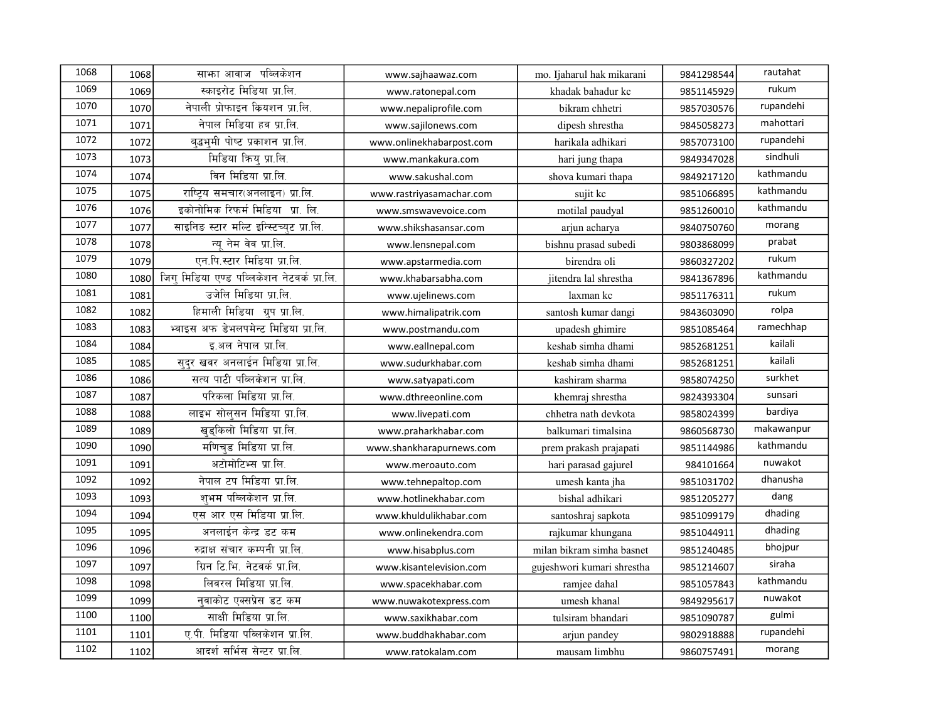| 1068 | 1068 | साभा आवाज पब्लिकेशन                         | www.sajhaawaz.com        | mo. Ijaharul hak mikarani  | 9841298544 | rautahat   |
|------|------|---------------------------------------------|--------------------------|----------------------------|------------|------------|
| 1069 | 1069 | स्काइरोट मिडिया प्रा.लि.                    | www.ratonepal.com        | khadak bahadur kc          | 9851145929 | rukum      |
| 1070 | 1070 | नेपाली प्रोफाइन कियशन प्रा.लि.              | www.nepaliprofile.com    | bikram chhetri             | 9857030576 | rupandehi  |
| 1071 | 1071 | नेपाल मिडिया हव प्रा.लि.                    | www.sajilonews.com       | dipesh shrestha            | 9845058273 | mahottari  |
| 1072 | 1072 | बद्धभूमी पोष्ट प्रकाशन प्रा.लि.             | www.onlinekhabarpost.com | harikala adhikari          | 9857073100 | rupandehi  |
| 1073 | 1073 | मिडिया कियु प्रा.लि.                        | www.mankakura.com        | hari jung thapa            | 9849347028 | sindhuli   |
| 1074 | 1074 | विन मिडिया प्रा.लि.                         | www.sakushal.com         | shova kumari thapa         | 9849217120 | kathmandu  |
| 1075 | 1075 | राष्ट्रिय समचार(अनलाइन) प्रा.लि.            | www.rastriyasamachar.com | sujit kc                   | 9851066895 | kathmandu  |
| 1076 | 1076 | इकोनोमिक रिफर्म मिडिया) प्रा. लि.           | www.smswavevoice.com     | motilal paudyal            | 9851260010 | kathmandu  |
| 1077 | 1077 | साइनिड स्टार मल्टि इन्स्टिच्युट प्रा.लि.    | www.shikshasansar.com    | arjun acharya              | 9840750760 | morang     |
| 1078 | 1078 | न्यू नेम वेव प्रा.लि.                       | www.lensnepal.com        | bishnu prasad subedi       | 9803868099 | prabat     |
| 1079 | 1079 | एन.पि.स्टार मिडिया प्रा.लि.                 | www.apstarmedia.com      | birendra oli               | 9860327202 | rukum      |
| 1080 | 1080 | जिग् मिडिया एण्ड पव्लिकेशन नेटवर्क प्रा.लि. | www.khabarsabha.com      | jitendra lal shrestha      | 9841367896 | kathmandu  |
| 1081 | 1081 | उजेलि मिडिया प्रा.लि.                       | www.ujelinews.com        | laxman kc                  | 9851176311 | rukum      |
| 1082 | 1082 | हिमाली मिडिया ग्रुप प्रा.लि.                | www.himalipatrik.com     | santosh kumar dangi        | 9843603090 | rolpa      |
| 1083 | 1083 | भ्वाइस अफ डेभलपमेन्ट मिडिया प्रा.लि.        | www.postmandu.com        | upadesh ghimire            | 9851085464 | ramechhap  |
| 1084 | 1084 | इ.अल नेपाल प्रा.लि.                         | www.eallnepal.com        | keshab simha dhami         | 9852681251 | kailali    |
| 1085 | 1085 | सदर खवर अनलाईन मिडिया प्रा.लि.              | www.sudurkhabar.com      | keshab simha dhami         | 9852681251 | kailali    |
| 1086 | 1086 | सत्य पाटी पब्लिकेशन प्रा.लि.                | www.satyapati.com        | kashiram sharma            | 9858074250 | surkhet    |
| 1087 | 1087 | परिकला मिडिया प्रा.लि.                      | www.dthreeonline.com     | khemraj shrestha           | 9824393304 | sunsari    |
| 1088 | 1088 | लाइभ सोलसन मिडिया प्रा.लि.                  | www.livepati.com         | chhetra nath devkota       | 9858024399 | bardiya    |
| 1089 | 1089 | खड़किलो मिडिया प्रा.लि.                     | www.praharkhabar.com     | balkumari timalsina        | 9860568730 | makawanpur |
| 1090 | 1090 | मणिचड मिडिया प्रा.लि.                       | www.shankharapurnews.com | prem prakash prajapati     | 9851144986 | kathmandu  |
| 1091 | 1091 | अटोमोटिभ्स प्रा.लि.                         | www.meroauto.com         | hari parasad gajurel       | 984101664  | nuwakot    |
| 1092 | 1092 | नेपाल टप मिडिया प्रा.लि.                    | www.tehnepaltop.com      | umesh kanta jha            | 9851031702 | dhanusha   |
| 1093 | 1093 | शभम पब्लिकेशन प्रा.लि.                      | www.hotlinekhabar.com    | bishal adhikari            | 9851205277 | dang       |
| 1094 | 1094 | एस आर एस मिडिया प्रा.लि.                    | www.khuldulikhabar.com   | santoshraj sapkota         | 9851099179 | dhading    |
| 1095 | 1095 | अनलाईन केन्द्र डट कम                        | www.onlinekendra.com     | rajkumar khungana          | 9851044911 | dhading    |
| 1096 | 1096 | रुद्राक्ष संचार कम्पनी प्रा.लि.             | www.hisabplus.com        | milan bikram simha basnet  | 9851240485 | bhojpur    |
| 1097 | 1097 | ग्रिन टि.भि. नेटवर्क प्रा.लि.               | www.kisantelevision.com  | gujeshwori kumari shrestha | 9851214607 | siraha     |
| 1098 | 1098 | लिवरल मिडिया प्रा.लि.                       | www.spacekhabar.com      | ramjee dahal               | 9851057843 | kathmandu  |
| 1099 | 1099 | नवाकोट एक्सप्रेस डट कम                      | www.nuwakotexpress.com   | umesh khanal               | 9849295617 | nuwakot    |
| 1100 | 1100 | साक्षी मिडिया प्रा.लि.                      | www.saxikhabar.com       | tulsiram bhandari          | 9851090787 | gulmi      |
| 1101 | 1101 | ए.पी. मिडिया पब्लिकेशन प्रा.लि.             | www.buddhakhabar.com     | arjun pandey               | 9802918888 | rupandehi  |
| 1102 | 1102 | आदर्श सर्भिस सेन्टर प्रा.लि.                | www.ratokalam.com        | mausam limbhu              | 9860757491 | morang     |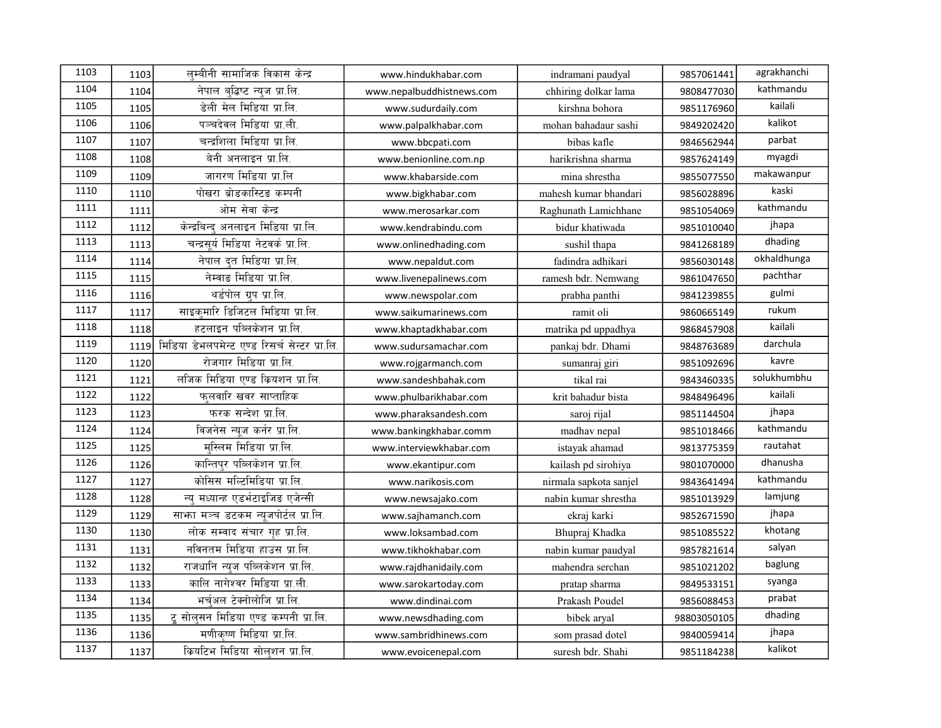| 1103 | 1103 | लम्बीनी सामाजिक विकास केन्द्र                 | www.hindukhabar.com       | indramani paudyal      | 9857061441  | agrakhanchi |
|------|------|-----------------------------------------------|---------------------------|------------------------|-------------|-------------|
| 1104 | 1104 | नेपाल बद्धिष्ट न्यज प्रा.लि.                  | www.nepalbuddhistnews.com | chhiring dolkar lama   | 9808477030  | kathmandu   |
| 1105 | 1105 | डेली मेल मिडिया प्रा.लि.                      | www.sudurdaily.com        | kirshna bohora         | 9851176960  | kailali     |
| 1106 | 1106 | पञ्चदेवल मिडिया प्रा.ली.                      | www.palpalkhabar.com      | mohan bahadaur sashi   | 9849202420  | kalikot     |
| 1107 | 1107 | चन्द्रशिला मिडिया प्रा.लि.                    | www.bbcpati.com           | bibas kafle            | 9846562944  | parbat      |
| 1108 | 1108 | बेनी अनलाइन प्रा.लि.                          | www.benionline.com.np     | harikrishna sharma     | 9857624149  | myagdi      |
| 1109 | 1109 | जागरण मिडिया प्रा.लि                          | www.khabarside.com        | mina shrestha          | 9855077550  | makawanpur  |
| 1110 | 1110 | पोखरा ब्रोडकास्टिङ कम्पनी                     | www.bigkhabar.com         | mahesh kumar bhandari  | 9856028896  | kaski       |
| 1111 | 1111 | ओम सेवा केन्द्र                               | www.merosarkar.com        | Raghunath Lamichhane   | 9851054069  | kathmandu   |
| 1112 | 1112 | केन्द्रबिन्द अनलाइन मिडिया प्रा.लि.           | www.kendrabindu.com       | bidur khatiwada        | 9851010040  | jhapa       |
| 1113 | 1113 | चन्द्रसूर्य मिडिया नेटवर्क प्रा.लि.           | www.onlinedhading.com     | sushil thapa           | 9841268189  | dhading     |
| 1114 | 1114 | नेपाल दत मिडिया प्रा.लि.                      | www.nepaldut.com          | fadindra adhikari      | 9856030148  | okhaldhunga |
| 1115 | 1115 | नेम्वाङ मिडिया प्रा.लि.                       | www.livenepalinews.com    | ramesh bdr. Nemwang    | 9861047650  | pachthar    |
| 1116 | 1116 | थर्डपोल ग्रुप प्रा.लि.                        | www.newspolar.com         | prabha panthi          | 9841239855  | gulmi       |
| 1117 | 1117 | साइक्मारि डिजिटल मिडिया प्रा.लि.              | www.saikumarinews.com     | ramit oli              | 9860665149  | rukum       |
| 1118 | 1118 | हटलाइन पब्लिकेशन प्रा.लि.                     | www.khaptadkhabar.com     | matrika pd uppadhya    | 9868457908  | kailali     |
| 1119 | 1119 | मिडिया डेभलपमेन्ट एण्ड रिसर्च सेन्टर प्रा.लि. | www.sudursamachar.com     | pankaj bdr. Dhami      | 9848763689  | darchula    |
| 1120 | 1120 | रोजगार मिडिया प्रा.लि.                        | www.rojgarmanch.com       | sumanraj giri          | 9851092696  | kavre       |
| 1121 | 1121 | लजिक मिडिया एण्ड कियशन प्रा.लि.               | www.sandeshbahak.com      | tikal rai              | 9843460335  | solukhumbhu |
| 1122 | 1122 | फुलवारि खवर साप्ताहिक                         | www.phulbarikhabar.com    | krit bahadur bista     | 9848496496  | kailali     |
| 1123 | 1123 | फरक सन्देश प्रा.लि.                           | www.pharaksandesh.com     | saroj rijal            | 9851144504  | jhapa       |
| 1124 | 1124 | विजनेस न्युज कर्नर प्रा.लि.                   | www.bankingkhabar.comm    | madhav nepal           | 9851018466  | kathmandu   |
| 1125 | 1125 | मस्लिम मिडिया प्रा.लि.                        | www.interviewkhabar.com   | istayak ahamad         | 9813775359  | rautahat    |
| 1126 | 1126 | कान्तिपुर पब्लिकेशन प्रा.लि.                  | www.ekantipur.com         | kailash pd sirohiya    | 9801070000  | dhanusha    |
| 1127 | 1127 | कोसिस मल्टिमिडिया प्रा.लि.                    | www.narikosis.com         | nirmala sapkota sanjel | 9843641494  | kathmandu   |
| 1128 | 1128 | न्य मध्यान्ह एडर्भटाइजिड एजेन्सी              | www.newsajako.com         | nabin kumar shrestha   | 9851013929  | lamjung     |
| 1129 | 1129 | साफ़ा मञ्च डटकम न्यूजपोर्टल प्रा.लि.          | www.sajhamanch.com        | ekraj karki            | 9852671590  | jhapa       |
| 1130 | 1130 | लोक सम्वाद संचार गृह प्रा.लि.                 | www.loksambad.com         | Bhupraj Khadka         | 9851085522  | khotang     |
| 1131 | 1131 | नविनतम मिडिया हाउस प्रा.लि.                   | www.tikhokhabar.com       | nabin kumar paudyal    | 9857821614  | salyan      |
| 1132 | 1132 | राजधानि न्युज पब्लिकेशन प्रा.लि.              | www.rajdhanidaily.com     | mahendra serchan       | 9851021202  | baglung     |
| 1133 | 1133 | कालि नागेश्वर मिडिया प्रा.ली.                 | www.sarokartoday.com      | pratap sharma          | 9849533151  | syanga      |
| 1134 | 1134 | भर्चअल टेक्नोलोजि प्रा.लि.                    | www.dindinai.com          | Prakash Poudel         | 9856088453  | prabat      |
| 1135 | 1135 | ट् सोलुसन मिडिया एण्ड कम्पनी प्रा.लि.         | www.newsdhading.com       | bibek aryal            | 98803050105 | dhading     |
| 1136 | 1136 | मणीकष्ण मिडिया प्रा.लि.                       | www.sambridhinews.com     | som prasad dotel       | 9840059414  | jhapa       |
| 1137 | 1137 | कियटिभ मिडिया सोल्शन प्रा.लि.                 | www.evoicenepal.com       | suresh bdr. Shahi      | 9851184238  | kalikot     |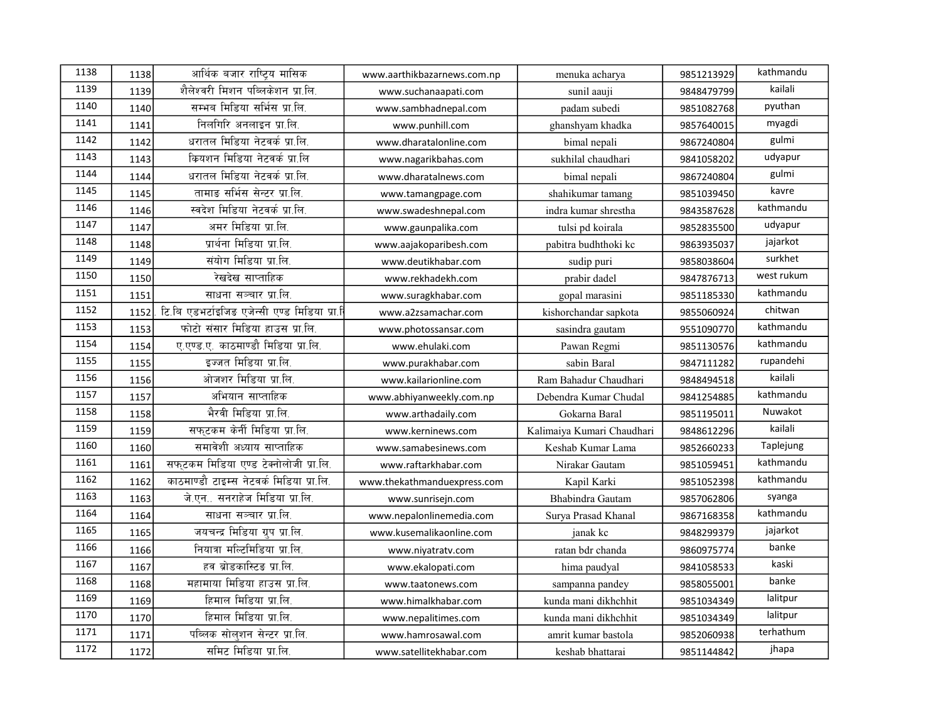| 1138 | 1138 | आर्थिक बजार राष्ट्रिय मासिक                 | www.aarthikbazarnews.com.np | menuka acharya             | 9851213929 | kathmandu  |
|------|------|---------------------------------------------|-----------------------------|----------------------------|------------|------------|
| 1139 | 1139 | शैलेश्वरी मिशन पब्लिकेशन प्रा.लि.           | www.suchanaapati.com        | sunil aauji                | 9848479799 | kailali    |
| 1140 | 1140 | सम्भव मिडिया सर्भिस प्रा.लि.                | www.sambhadnepal.com        | padam subedi               | 9851082768 | pyuthan    |
| 1141 | 1141 | निलगिरि अनलाइन प्रा.लि.                     | www.punhill.com             | ghanshyam khadka           | 9857640015 | myagdi     |
| 1142 | 1142 | धरातल मिडिया नेटवर्क प्रा.लि.               | www.dharatalonline.com      | bimal nepali               | 9867240804 | gulmi      |
| 1143 | 1143 | क्रियशन मिडिया नेटवर्क प्रा.लि              | www.nagarikbahas.com        | sukhilal chaudhari         | 9841058202 | udyapur    |
| 1144 | 1144 | धरातल मिडिया नेटवर्क प्रा.लि.               | www.dharatalnews.com        | bimal nepali               | 9867240804 | gulmi      |
| 1145 | 1145 | तामाङ सर्भिस सेन्टर प्रा.लि.                | www.tamangpage.com          | shahikumar tamang          | 9851039450 | kavre      |
| 1146 | 1146 | स्वदेश मिडिया नेटवर्क प्रा.लि.              | www.swadeshnepal.com        | indra kumar shrestha       | 9843587628 | kathmandu  |
| 1147 | 1147 | अमर मिडिया प्रा.लि.                         | www.gaunpalika.com          | tulsi pd koirala           | 9852835500 | udyapur    |
| 1148 | 1148 | प्रार्थना मिडिया प्रा.लि.                   | www.aajakoparibesh.com      | pabitra budhthoki kc       | 9863935037 | jajarkot   |
| 1149 | 1149 | संयोग मिडिया प्रा.लि.                       | www.deutikhabar.com         | sudip puri                 | 9858038604 | surkhet    |
| 1150 | 1150 | रेखदेख साप्ताहिक                            | www.rekhadekh.com           | prabir dadel               | 9847876713 | west rukum |
| 1151 | 1151 | साधना सञ्चार प्रा.लि.                       | www.suragkhabar.com         | gopal marasini             | 9851185330 | kathmandu  |
| 1152 | 1152 | टि.बि एडभर्टाइजिड एजेन्सी एण्ड मिडिया प्रा. | www.a2zsamachar.com         | kishorchandar sapkota      | 9855060924 | chitwan    |
| 1153 | 1153 | फोटो संसार मिडिया हाउस प्रा.लि.             | www.photossansar.com        | sasindra gautam            | 9551090770 | kathmandu  |
| 1154 | 1154 | ए.एण्ड.ए. काठमाण्डौ मिडिया प्रा.लि.         | www.ehulaki.com             | Pawan Regmi                | 9851130576 | kathmandu  |
| 1155 | 1155 | इज्जत मिडिया प्रा.लि.                       | www.purakhabar.com          | sabin Baral                | 9847111282 | rupandehi  |
| 1156 | 1156 | ओजशर मिडिया प्रा.लि.                        | www.kailarionline.com       | Ram Bahadur Chaudhari      | 9848494518 | kailali    |
| 1157 | 1157 | अभियान साप्ताहिक                            | www.abhiyanweekly.com.np    | Debendra Kumar Chudal      | 9841254885 | kathmandu  |
| 1158 | 1158 | भैरवी मिडिया प्रा.लि.                       | www.arthadaily.com          | Gokarna Baral              | 9851195011 | Nuwakot    |
| 1159 | 1159 | सफुटकम केर्नी मिडिया प्रा.लि.               | www.kerninews.com           | Kalimaiya Kumari Chaudhari | 9848612296 | kailali    |
| 1160 | 1160 | समावेशी अध्याय साप्ताहिक                    | www.samabesinews.com        | Keshab Kumar Lama          | 9852660233 | Taplejung  |
| 1161 | 1161 | सफटकम मिडिया एण्ड टेक्नोलोजी प्रा.लि.       | www.raftarkhabar.com        | Nirakar Gautam             | 9851059451 | kathmandu  |
| 1162 | 1162 | काठमाण्डौ टाइम्स नेटवर्क मिडिया प्रा.लि.    | www.thekathmanduexpress.com | Kapil Karki                | 9851052398 | kathmandu  |
| 1163 | 1163 | जे.एन सनराहेज मिडिया प्रा.लि.               | www.sunrisejn.com           | Bhabindra Gautam           | 9857062806 | syanga     |
| 1164 | 1164 | साधना सञ्चार प्रा.लि.                       | www.nepalonlinemedia.com    | Surya Prasad Khanal        | 9867168358 | kathmandu  |
| 1165 | 1165 | जयचन्द्र मिडिया ग्रुप प्रा.लि.              | www.kusemalikaonline.com    | janak kc                   | 9848299379 | jajarkot   |
| 1166 | 1166 | नियात्रा मल्टिमिडिया प्रा.लि.               | www.niyatratv.com           | ratan bdr chanda           | 9860975774 | banke      |
| 1167 | 1167 | हव ब्रोडकास्टिङ प्रा.लि.                    | www.ekalopati.com           | hima paudyal               | 9841058533 | kaski      |
| 1168 | 1168 | महामाया मिडिया हाउस प्रा.लि.                | www.taatonews.com           | sampanna pandey            | 9858055001 | banke      |
| 1169 | 1169 | हिमाल मिडिया प्रा.लि.                       | www.himalkhabar.com         | kunda mani dikhchhit       | 9851034349 | lalitpur   |
| 1170 | 1170 | हिमाल मिडिया प्रा.लि.                       | www.nepalitimes.com         | kunda mani dikhchhit       | 9851034349 | lalitpur   |
| 1171 | 1171 | पब्लिक सोलशन सेन्टर प्रा.लि.                | www.hamrosawal.com          | amrit kumar bastola        | 9852060938 | terhathum  |
| 1172 | 1172 | समिट मिडिया प्रा.लि.                        | www.satellitekhabar.com     | keshab bhattarai           | 9851144842 | jhapa      |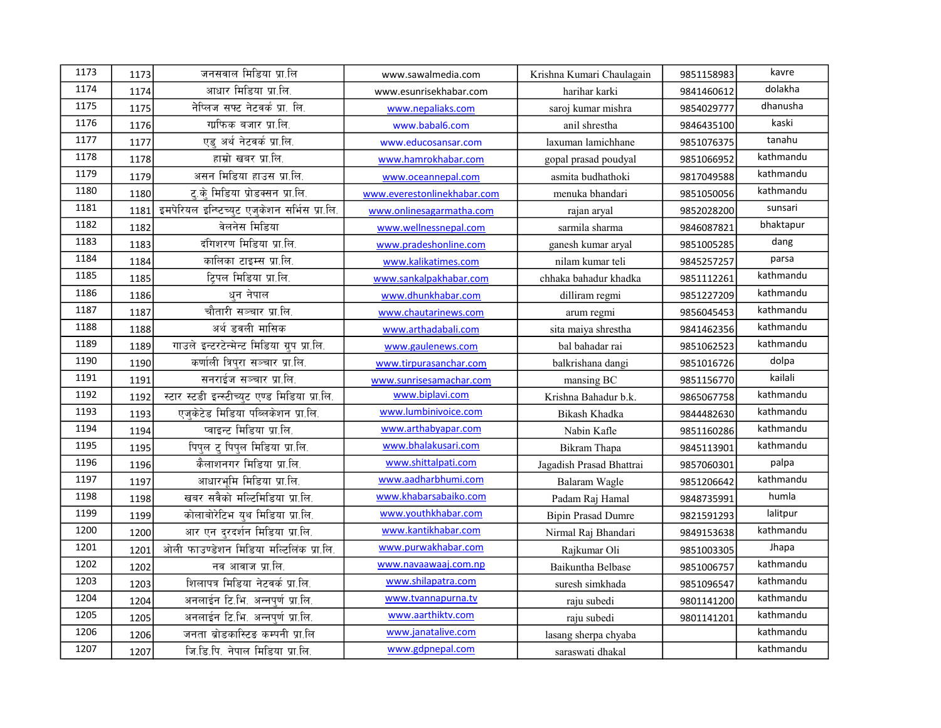| 1173 | 1173 | जनसवाल मिडिया प्रा.लि                         | www.sawalmedia.com          | Krishna Kumari Chaulagain | 9851158983 | kavre     |
|------|------|-----------------------------------------------|-----------------------------|---------------------------|------------|-----------|
| 1174 | 1174 | आधार मिडिया प्रा.लि.                          | www.esunrisekhabar.com      | harihar karki             | 9841460612 | dolakha   |
| 1175 | 1175 | नेप्लिज सफ्ट नेटवर्क प्रा. लि.                | www.nepaliaks.com           | saroj kumar mishra        | 9854029777 | dhanusha  |
| 1176 | 1176 | गाफिक बजार प्रा.लि.                           | www.babal6.com              | anil shrestha             | 9846435100 | kaski     |
| 1177 | 1177 | एड् अर्थ नेटवर्क प्रा.लि.                     | www.educosansar.com         | laxuman lamichhane        | 9851076375 | tanahu    |
| 1178 | 1178 | हाम्रो खबर प्रा.लि.                           | www.hamrokhabar.com         | gopal prasad poudyal      | 9851066952 | kathmandu |
| 1179 | 1179 | असन मिडिया हाउस प्रा.लि.                      | www.oceannepal.com          | asmita budhathoki         | 9817049588 | kathmandu |
| 1180 | 1180 | ट.के मिडिया प्रोडक्सन प्रा.लि.                | www.everestonlinekhabar.com | menuka bhandari           | 9851050056 | kathmandu |
| 1181 | 1181 | इमपेरियल इन्ष्टिच्युट एजुकेशन सर्भिस प्रा.लि. | www.onlinesagarmatha.com    | rajan aryal               | 9852028200 | sunsari   |
| 1182 | 1182 | वेलनेस मिडिया                                 | www.wellnessnepal.com       | sarmila sharma            | 9846087821 | bhaktapur |
| 1183 | 1183 | दंगिशरण मिडिया प्रा.लि.                       | www.pradeshonline.com       | ganesh kumar aryal        | 9851005285 | dang      |
| 1184 | 1184 | कालिका टाइम्स प्रा.लि.                        | www.kalikatimes.com         | nilam kumar teli          | 9845257257 | parsa     |
| 1185 | 1185 | टिपल मिडिया प्रा.लि.                          | www.sankalpakhabar.com      | chhaka bahadur khadka     | 9851112261 | kathmandu |
| 1186 | 1186 | धन नेपाल                                      | www.dhunkhabar.com          | dilliram regmi            | 9851227209 | kathmandu |
| 1187 | 1187 | चौतारी सञ्चार प्रा.लि.                        | www.chautarinews.com        | arum regmi                | 9856045453 | kathmandu |
| 1188 | 1188 | अर्थ डवली मासिक                               | www.arthadabali.com         | sita maiya shrestha       | 9841462356 | kathmandu |
| 1189 | 1189 | गाउले इन्टरटेन्मेन्ट मिडिया ग्रुप प्रा.लि.    | www.gaulenews.com           | bal bahadar rai           | 9851062523 | kathmandu |
| 1190 | 1190 | कर्णाली त्रिपुरा सञ्चार प्रा.लि.              | www.tirpurasanchar.com      | balkrishana dangi         | 9851016726 | dolpa     |
| 1191 | 1191 | सनराईज सञ्चार प्रा.लि.                        | www.sunrisesamachar.com     | mansing BC                | 9851156770 | kailali   |
| 1192 | 1192 | स्टार स्टडी इन्स्टीच्युट एण्ड मिडिया प्रा.लि. | www.biplavi.com             | Krishna Bahadur b.k.      | 9865067758 | kathmandu |
| 1193 | 1193 | एज़केटेड मिडिया पब्लिकेशन प्रा.लि.            | www.lumbinivoice.com        | Bikash Khadka             | 9844482630 | kathmandu |
| 1194 | 1194 | प्वाइन्ट मिडिया प्रा.लि.                      | www.arthabyapar.com         | Nabin Kafle               | 9851160286 | kathmandu |
| 1195 | 1195 | पिपुल ट् पिपुल मिडिया प्रा.लि.                | www.bhalakusari.com         | Bikram Thapa              | 9845113901 | kathmandu |
| 1196 | 1196 | कैलाशनगर मिडिया प्रा.लि.                      | www.shittalpati.com         | Jagadish Prasad Bhattrai  | 9857060301 | palpa     |
| 1197 | 1197 | आधारभमि मिडिया प्रा.लि.                       | www.aadharbhumi.com         | Balaram Wagle             | 9851206642 | kathmandu |
| 1198 | 1198 | खबर सवैको मल्टिमिडिया प्रा.लि.                | www.khabarsabaiko.com       | Padam Raj Hamal           | 9848735991 | humla     |
| 1199 | 1199 | कोलाबोरेटिभ यथ मिडिया प्रा.लि.                | www.youthkhabar.com         | <b>Bipin Prasad Dumre</b> | 9821591293 | lalitpur  |
| 1200 | 1200 | आर एन दरदर्शन मिडिया प्रा.लि.                 | www.kantikhabar.com         | Nirmal Raj Bhandari       | 9849153638 | kathmandu |
| 1201 | 1201 | ओली फाउण्डेशन मिडिया मल्टिलिंक प्रा.लि.       | www.purwakhabar.com         | Rajkumar Oli              | 9851003305 | Jhapa     |
| 1202 | 1202 | नव आवाज प्रा.लि.                              | www.navaawaaj.com.np        | Baikuntha Belbase         | 9851006757 | kathmandu |
| 1203 | 1203 | शिलापत्र मिडिया नेटवर्क प्रा.लि.              | www.shilapatra.com          | suresh simkhada           | 9851096547 | kathmandu |
| 1204 | 1204 | अनलाईन टि.भि. अन्नपर्ण प्रा.लि.               | www.tvannapurna.tv          | raju subedi               | 9801141200 | kathmandu |
| 1205 | 1205 | अनलाईन टि.भि. अन्नपूर्ण प्रा.लि.              | www.aarthiktv.com           | raju subedi               | 9801141201 | kathmandu |
| 1206 | 1206 | जनता ब्रोडकास्टिङ कम्पनी प्रा.लि              | www.janatalive.com          | lasang sherpa chyaba      |            | kathmandu |
| 1207 | 1207 | जि.डि.पि. नेपाल मिडिया प्रा.लि.               | www.gdpnepal.com            | saraswati dhakal          |            | kathmandu |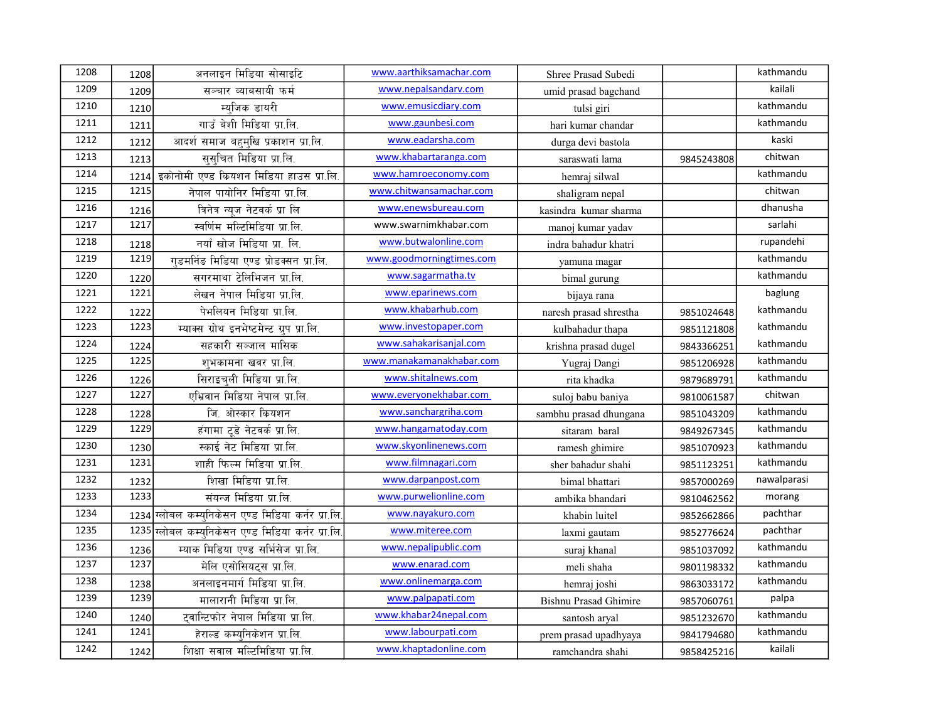| 1208 | 1208 | अनलाइन मिडिया सोसाइटि                             | www.aarthiksamachar.com  | Shree Prasad Subedi          |            | kathmandu   |
|------|------|---------------------------------------------------|--------------------------|------------------------------|------------|-------------|
| 1209 | 1209 | सञ्चार व्याबसायी फर्म                             | www.nepalsandarv.com     | umid prasad bagchand         |            | kailali     |
| 1210 | 1210 | म्यजिक डायरी                                      | www.emusicdiary.com      | tulsi giri                   |            | kathmandu   |
| 1211 | 1211 | गाउँ बेशी मिडिया प्रा.लि.                         | www.gaunbesi.com         | hari kumar chandar           |            | kathmandu   |
| 1212 | 1212 | आदर्श समाज बहम्खि प्रकाशन प्रा.लि.                | www.eadarsha.com         | durga devi bastola           |            | kaski       |
| 1213 | 1213 | सुसुचित मिडिया प्रा.लि.                           | www.khabartaranga.com    | saraswati lama               | 9845243808 | chitwan     |
| 1214 | 1214 | इकोनोमी एण्ड कियशन मिडिया हाउस प्रा.लि.           | www.hamroeconomy.com     | hemraj silwal                |            | kathmandu   |
| 1215 | 1215 | नेपाल पायोनिर मिडिया प्रा.लि.                     | www.chitwansamachar.com  | shaligram nepal              |            | chitwan     |
| 1216 | 1216 | त्रिनेत्र न्युज नेटवर्क प्रा लि                   | www.enewsbureau.com      | kasindra kumar sharma        |            | dhanusha    |
| 1217 | 1217 | स्वर्णिम मल्टिमिडिया प्रा.लि.                     | www.swarnimkhabar.com    | manoj kumar yadav            |            | sarlahi     |
| 1218 | 1218 | नयाँ खोज मिडिया प्रा. लि.                         | www.butwalonline.com     | indra bahadur khatri         |            | rupandehi   |
| 1219 | 1219 | गडमनिंड मिडिया एण्ड प्रोडक्सन प्रा.लि.            | www.goodmorningtimes.com | yamuna magar                 |            | kathmandu   |
| 1220 | 1220 | सगरमाथा टेलिभिजन प्रा.लि.                         | www.sagarmatha.tv        | bimal gurung                 |            | kathmandu   |
| 1221 | 1221 | लेखन नेपाल मिडिया प्रा.लि.                        | www.eparinews.com        | bijaya rana                  |            | baglung     |
| 1222 | 1222 | पेभलियन मिडिया प्रा.लि.                           | www.khabarhub.com        | naresh prasad shrestha       | 9851024648 | kathmandu   |
| 1223 | 1223 | म्याक्स ग्रोथ इनभेष्टमेन्ट ग्रुप प्रा.लि.         | www.investopaper.com     | kulbahadur thapa             | 9851121808 | kathmandu   |
| 1224 | 1224 | सहकारी सञ्जाल मासिक                               | www.sahakarisanjal.com   | krishna prasad dugel         | 9843366251 | kathmandu   |
| 1225 | 1225 | शुभकामना खवर प्रा.लि.                             | www.manakamanakhabar.com | Yugraj Dangi                 | 9851206928 | kathmandu   |
| 1226 | 1226 | सिराइचली मिडिया प्रा.लि.                          | www.shitalnews.com       | rita khadka                  | 9879689791 | kathmandu   |
| 1227 | 1227 | एभ्रिवान मिडिया नेपाल प्रा.लि.                    | www.everyonekhabar.com   | suloj babu baniya            | 9810061587 | chitwan     |
| 1228 | 1228 | जि. ओस्कार कियशन                                  | www.sanchargriha.com     | sambhu prasad dhungana       | 9851043209 | kathmandu   |
| 1229 | 1229 | हंगामा टूडे नेटवर्क प्रा.लि.                      | www.hangamatoday.com     | sitaram baral                | 9849267345 | kathmandu   |
| 1230 | 1230 | स्काई नेट मिडिया प्रा.लि.                         | www.skyonlinenews.com    | ramesh ghimire               | 9851070923 | kathmandu   |
| 1231 | 1231 | शाही फिल्म मिडिया प्रा.लि.                        | www.filmnagari.com       | sher bahadur shahi           | 9851123251 | kathmandu   |
| 1232 | 1232 | शिखा मिडिया प्रा.लि.                              | www.darpanpost.com       | bimal bhattari               | 9857000269 | nawalparasi |
| 1233 | 1233 | संयन्ज मिडिया प्रा.लि.                            | www.purwelionline.com    | ambika bhandari              | 9810462562 | morang      |
| 1234 |      | 1234 ग्लोबल कम्युनिकेसन एण्ड मिडिया कर्नर प्रा.लि | www.nayakuro.com         | khabin luitel                | 9852662866 | pachthar    |
| 1235 |      | 1235 ग्लोबल कम्युनिकेसन एण्ड मिडिया कर्नर प्रा.लि | www.miteree.com          | laxmi gautam                 | 9852776624 | pachthar    |
| 1236 | 1236 | म्याक मिडिया एण्ड सर्भिसेज प्रा.लि.               | www.nepalipublic.com     | suraj khanal                 | 9851037092 | kathmandu   |
| 1237 | 1237 | मेलि एसोसियट्स प्रा.लि.                           | www.enarad.com           | meli shaha                   | 9801198332 | kathmandu   |
| 1238 | 1238 | अनलाइनमार्ग मिडिया प्रा.लि.                       | www.onlinemarga.com      | hemraj joshi                 | 9863033172 | kathmandu   |
| 1239 | 1239 | मालारानी मिडिया प्रा.लि.                          | www.palpapati.com        | <b>Bishnu Prasad Ghimire</b> | 9857060761 | palpa       |
| 1240 | 1240 | टवान्टिफोर नेपाल मिडिया प्रा.लि.                  | www.khabar24nepal.com    | santosh aryal                | 9851232670 | kathmandu   |
| 1241 | 1241 | हेराल्ड कम्यनिकेशन प्रा.लि.                       | www.labourpati.com       | prem prasad upadhyaya        | 9841794680 | kathmandu   |
| 1242 | 1242 | शिक्षा सवाल मल्टिमिडिया प्रा.लि.                  | www.khaptadonline.com    | ramchandra shahi             | 9858425216 | kailali     |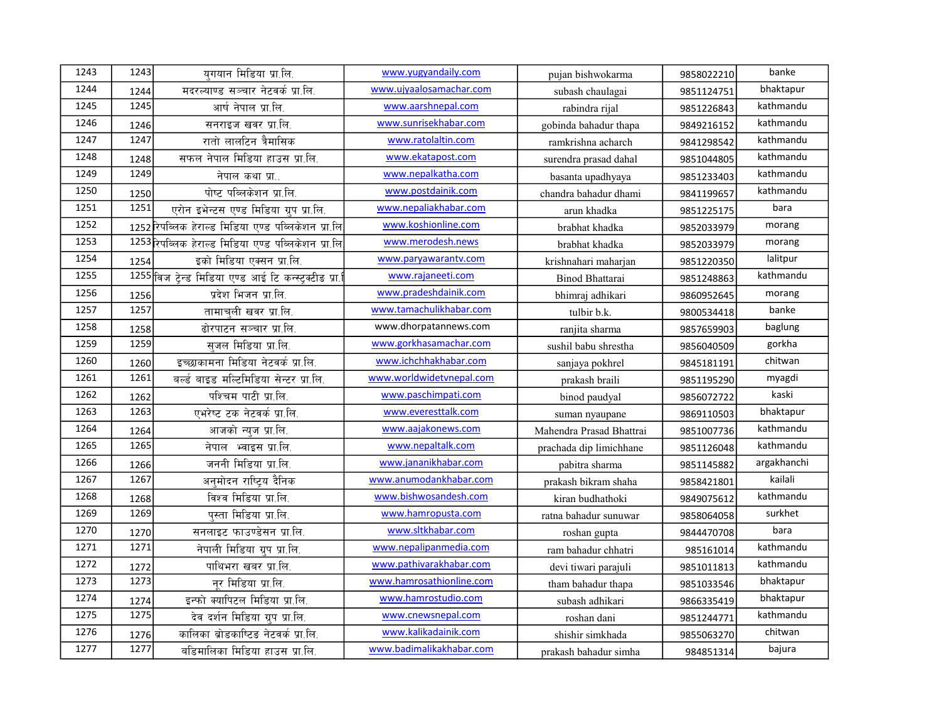| 1243 | 1243 | यगयान मिडिया प्रा.लि.                                | www.yugyandaily.com      | pujan bishwokarma        | 9858022210 | banke       |
|------|------|------------------------------------------------------|--------------------------|--------------------------|------------|-------------|
| 1244 | 1244 | मदरल्याण्ड सञ्चार नेटवर्क प्रा.लि.                   | www.ujyaalosamachar.com  | subash chaulagai         | 9851124751 | bhaktapur   |
| 1245 | 1245 | आर्ष नेपाल प्रा.लि.                                  | www.aarshnepal.com       | rabindra rijal           | 9851226843 | kathmandu   |
| 1246 | 1246 | सनराइज खवर प्रा.लि.                                  | www.sunrisekhabar.com    | gobinda bahadur thapa    | 9849216152 | kathmandu   |
| 1247 | 1247 | रातो लालटिन त्रैमासिक                                | www.ratolaltin.com       | ramkrishna acharch       | 9841298542 | kathmandu   |
| 1248 | 1248 | सफल नेपाल मिडिया हाउस प्रा.लि.                       | www.ekatapost.com        | surendra prasad dahal    | 9851044805 | kathmandu   |
| 1249 | 1249 | नेपाल कथा प्रा                                       | www.nepalkatha.com       | basanta upadhyaya        | 9851233403 | kathmandu   |
| 1250 | 1250 | पोष्ट पब्लिकेशन प्रा.लि.                             | www.postdainik.com       | chandra bahadur dhami    | 9841199657 | kathmandu   |
| 1251 | 1251 | एरोन इभेन्टस एण्ड मिडिया ग्रुप प्रा.लि.              | www.nepaliakhabar.com    | arun khadka              | 9851225175 | bara        |
| 1252 |      | 1252रिपब्लिक हेराल्ड मिडिया एण्ड पब्लिकेशन प्रा.लि.  | www.koshionline.com      | brabhat khadka           | 9852033979 | morang      |
| 1253 |      | 1253रिपब्लिक हेराल्ड मिडिया एण्ड पब्लिकेशन प्रा.लि   | www.merodesh.news        | brabhat khadka           | 9852033979 | morang      |
| 1254 | 1254 | इको मिडिया एक्सन प्रा.लि.                            | www.paryawarantv.com     | krishnahari maharjan     | 9851220350 | lalitpur    |
| 1255 |      | 1255 विज टेन्ड मिडिया एण्ड आई टि कन्स्ट्रक्टीड प्रा. | www.rajaneeti.com        | Binod Bhattarai          | 9851248863 | kathmandu   |
| 1256 | 1256 | प्रदेश भिजन प्रा.लि.                                 | www.pradeshdainik.com    | bhimraj adhikari         | 9860952645 | morang      |
| 1257 | 1257 | तामाचली खवर प्रा.लि.                                 | www.tamachulikhabar.com  | tulbir b.k.              | 9800534418 | banke       |
| 1258 | 1258 | ढोरपाटन सञ्चार प्रा.लि.                              | www.dhorpatannews.com    | ranjita sharma           | 9857659903 | baglung     |
| 1259 | 1259 | सजल मिडिया प्रा.लि.                                  | www.gorkhasamachar.com   | sushil babu shrestha     | 9856040509 | gorkha      |
| 1260 | 1260 | इच्छाकामना मिडिया नेटवर्क प्रा.लि.                   | www.ichchhakhabar.com    | sanjaya pokhrel          | 9845181191 | chitwan     |
| 1261 | 1261 | बर्ल्ड बाइड मल्टिमिडिया सेन्टर प्रा.लि.              | www.worldwidetvnepal.com | prakash braili           | 9851195290 | myagdi      |
| 1262 | 1262 | पश्चिम पाटी प्रा.लि.                                 | www.paschimpati.com      | binod paudyal            | 9856072722 | kaski       |
| 1263 | 1263 | एभरेष्ट टक नेटवर्क प्रा.लि.                          | www.everesttalk.com      | suman nyaupane           | 9869110503 | bhaktapur   |
| 1264 | 1264 | आजको न्युज प्रा.लि.                                  | www.aajakonews.com       | Mahendra Prasad Bhattrai | 9851007736 | kathmandu   |
| 1265 | 1265 | नेपाल भ्वाइस प्रा.लि.                                | www.nepaltalk.com        | prachada dip limichhane  | 9851126048 | kathmandu   |
| 1266 | 1266 | जननी मिडिया प्रा.लि.                                 | www.jananikhabar.com     | pabitra sharma           | 9851145882 | argakhanchi |
| 1267 | 1267 | अनमोदन राष्टिय दैनिक                                 | www.anumodankhabar.com   | prakash bikram shaha     | 9858421801 | kailali     |
| 1268 | 1268 | विश्व मिडिया प्रा.लि.                                | www.bishwosandesh.com    | kiran budhathoki         | 9849075612 | kathmandu   |
| 1269 | 1269 | पस्ता मिडिया प्रा.लि.                                | www.hamropusta.com       | ratna bahadur sunuwar    | 9858064058 | surkhet     |
| 1270 | 1270 | सनलाइट फाउण्डेसन प्रा.लि.                            | www.sltkhabar.com        | roshan gupta             | 9844470708 | bara        |
| 1271 | 1271 | नेपाली मिडिया ग्रुप प्रा.लि.                         | www.nepalipanmedia.com   | ram bahadur chhatri      | 985161014  | kathmandu   |
| 1272 | 1272 | पाथिभरा खबर प्रा.लि.                                 | www.pathivarakhabar.com  | devi tiwari parajuli     | 9851011813 | kathmandu   |
| 1273 | 1273 | नर मिडिया प्रा.लि.                                   | www.hamrosathionline.com | tham bahadur thapa       | 9851033546 | bhaktapur   |
| 1274 | 1274 | इन्फो क्यापिटल मिडिया प्रा.लि.                       | www.hamrostudio.com      | subash adhikari          | 9866335419 | bhaktapur   |
| 1275 | 1275 | देव दर्शन मिडिया ग्रुप प्रा.लि.                      | www.cnewsnepal.com       | roshan dani              | 9851244771 | kathmandu   |
| 1276 | 1276 | कालिका ब्रोडकाष्टिङ नेटवर्क प्रा.लि.                 | www.kalikadainik.com     | shishir simkhada         | 9855063270 | chitwan     |
| 1277 | 1277 | बडिमालिका मिडिया हाउस प्रा.लि.                       | www.badimalikakhabar.com | prakash bahadur simha    | 984851314  | bajura      |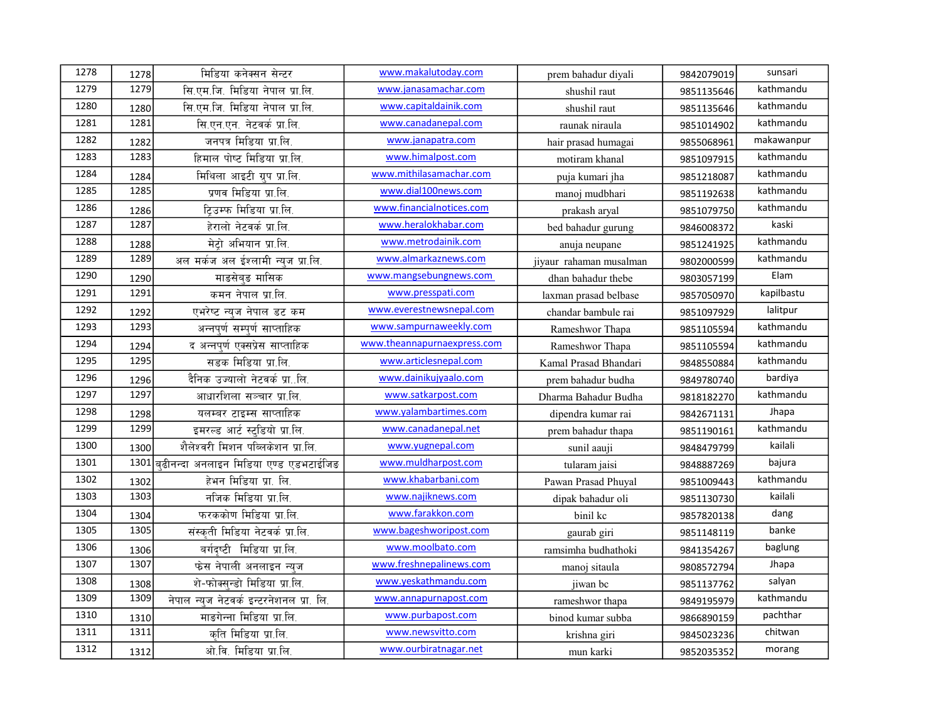| 1278 | 1278 | मिडिया कनेक्सन सेन्टर                    | www.makalutoday.com         | prem bahadur diyali     | 9842079019 | sunsari    |
|------|------|------------------------------------------|-----------------------------|-------------------------|------------|------------|
| 1279 | 1279 | सि.एम.जि. मिडिया नेपाल प्रा.लि.          | www.janasamachar.com        | shushil raut            | 9851135646 | kathmandu  |
| 1280 | 1280 | सि.एम.जि. मिडिया नेपाल प्रा.लि.          | www.capitaldainik.com       | shushil raut            | 9851135646 | kathmandu  |
| 1281 | 1281 | सि.एन.एन. नेटवर्क प्रा.लि.               | www.canadanepal.com         | raunak niraula          | 9851014902 | kathmandu  |
| 1282 | 1282 | जनपत्र मिडिया प्रा.लि.                   | www.janapatra.com           | hair prasad humagai     | 9855068961 | makawanpur |
| 1283 | 1283 | हिमाल पोष्ट मिडिया प्रा.लि.              | www.himalpost.com           | motiram khanal          | 9851097915 | kathmandu  |
| 1284 | 1284 | मिथिला आइटी ग्रुप प्रा.लि.               | www.mithilasamachar.com     | puja kumari jha         | 9851218087 | kathmandu  |
| 1285 | 1285 | प्रणव मिडिया प्रा.लि.                    | www.dial100news.com         | manoj mudbhari          | 9851192638 | kathmandu  |
| 1286 | 1286 | टिउम्फ मिडिया प्रा.लि.                   | www.financialnotices.com    | prakash aryal           | 9851079750 | kathmandu  |
| 1287 | 1287 | हेरालो नेटवर्क प्रा.लि.                  | www.heralokhabar.com        | bed bahadur gurung      | 9846008372 | kaski      |
| 1288 | 1288 | मेटो अभियान प्रा.लि.                     | www.metrodainik.com         | anuja neupane           | 9851241925 | kathmandu  |
| 1289 | 1289 | अल मर्कज अल ईश्लामी न्यूज प्रा.लि.       | www.almarkaznews.com        | jiyaur rahaman musalman | 9802000599 | kathmandu  |
| 1290 | 1290 | माङसेबङ मासिक                            | www.mangsebungnews.com      | dhan bahadur thebe      | 9803057199 | Elam       |
| 1291 | 1291 | कमन नेपाल प्रा.लि.                       | www.presspati.com           | laxman prasad belbase   | 9857050970 | kapilbastu |
| 1292 | 1292 | एभरेष्ट न्यूज नेपाल डट कम                | www.everestnewsnepal.com    | chandar bambule rai     | 9851097929 | lalitpur   |
| 1293 | 1293 | अन्नपूर्ण सम्पूर्ण साप्ताहिक             | www.sampurnaweekly.com      | Rameshwor Thapa         | 9851105594 | kathmandu  |
| 1294 | 1294 | द अन्नपूर्ण एक्सप्रेस साप्ताहिक          | www.theannapurnaexpress.com | Rameshwor Thapa         | 9851105594 | kathmandu  |
| 1295 | 1295 | सडक मिडिया प्रा.लि.                      | www.articlesnepal.com       | Kamal Prasad Bhandari   | 9848550884 | kathmandu  |
| 1296 | 1296 | दैनिक उज्यालो नेटवर्क प्रालि.            | www.dainikujyaalo.com       | prem bahadur budha      | 9849780740 | bardiya    |
| 1297 | 1297 | आधारशिला सञ्चार प्रा.लि.                 | www.satkarpost.com          | Dharma Bahadur Budha    | 9818182270 | kathmandu  |
| 1298 | 1298 | यलम्बर टाइम्स साप्ताहिक                  | www.yalambartimes.com       | dipendra kumar rai      | 9842671131 | Jhapa      |
| 1299 | 1299 | इमरल्ड आर्ट स्टुडियो प्रा.लि.            | www.canadanepal.net         | prem bahadur thapa      | 9851190161 | kathmandu  |
| 1300 | 1300 | शैलेश्वरी मिशन पब्लिकेशन प्रा.लि.        | www.yugnepal.com            | sunil aauji             | 9848479799 | kailali    |
| 1301 | 1301 | बढीनन्दा अनलाइन मिडिया एण्ड एडभटाईजिङ    | www.muldharpost.com         | tularam jaisi           | 9848887269 | bajura     |
| 1302 | 1302 | हेभन मिडिया प्रा. लि.                    | www.khabarbani.com          | Pawan Prasad Phuyal     | 9851009443 | kathmandu  |
| 1303 | 1303 | नजिक मिडिया प्रा.लि.                     | www.najiknews.com           | dipak bahadur oli       | 9851130730 | kailali    |
| 1304 | 1304 | फरककोण मिडिया प्रा.लि.                   | www.farakkon.com            | binil kc                | 9857820138 | dang       |
| 1305 | 1305 | संस्कृती मिडिया नेटवर्क प्रा.लि.         | www.bageshworipost.com      | gaurab giri             | 9851148119 | banke      |
| 1306 | 1306 | बर्गदृष्टी मिडिया प्रा.लि.               | www.moolbato.com            | ramsimha budhathoki     | 9841354267 | baglung    |
| 1307 | 1307 | फेस नेपाली अनलाइन न्यूज                  | www.freshnepalinews.com     | manoj sitaula           | 9808572794 | Jhapa      |
| 1308 | 1308 | शे-फोक्स्न्डो मिडिया प्रा.लि.            | www.yeskathmandu.com        | jiwan bc                | 9851137762 | salyan     |
| 1309 | 1309 | नेपाल न्युज नेटवर्क इन्टरनेशनल प्रा. लि. | www.annapurnapost.com       | rameshwor thapa         | 9849195979 | kathmandu  |
| 1310 | 1310 | माङगेन्ना मिडिया प्रा.लि.                | www.purbapost.com           | binod kumar subba       | 9866890159 | pachthar   |
| 1311 | 1311 | कति मिडिया प्रा.लि.                      | www.newsvitto.com           | krishna giri            | 9845023236 | chitwan    |
| 1312 | 1312 | ओ.वि. मिडिया प्रा.लि.                    | www.ourbiratnagar.net       | mun karki               | 9852035352 | morang     |